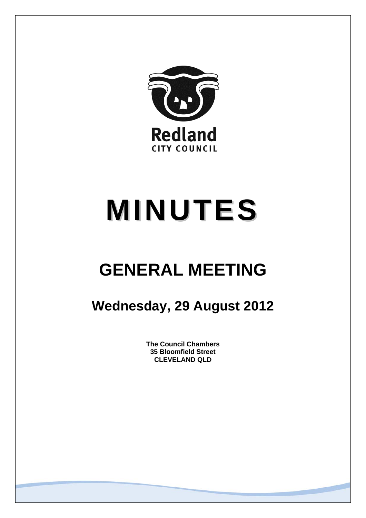

# **MINUTES**

## **GENERAL MEETING**

### **Wednesday, 29 August 2012**

**The Council Chambers 35 Bloomfield Street CLEVELAND QLD**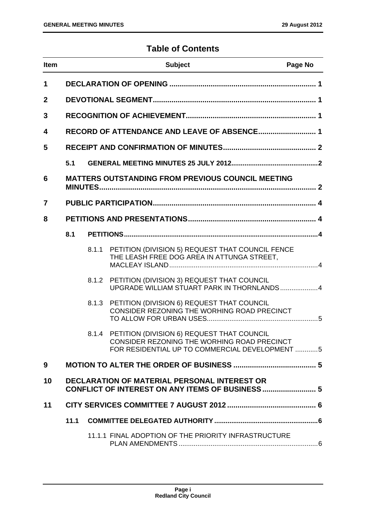#### **Table of Contents**

| <b>Item</b>    |      |       | <b>Subject</b>                                                                                                                                    | Page No |
|----------------|------|-------|---------------------------------------------------------------------------------------------------------------------------------------------------|---------|
| 1              |      |       |                                                                                                                                                   |         |
| $\mathbf{2}$   |      |       |                                                                                                                                                   |         |
| 3              |      |       |                                                                                                                                                   |         |
| 4              |      |       |                                                                                                                                                   |         |
| 5              |      |       |                                                                                                                                                   |         |
|                | 5.1  |       |                                                                                                                                                   |         |
| 6              |      |       | <b>MATTERS OUTSTANDING FROM PREVIOUS COUNCIL MEETING</b>                                                                                          |         |
| $\overline{7}$ |      |       |                                                                                                                                                   |         |
| 8              |      |       |                                                                                                                                                   |         |
|                | 8.1  |       |                                                                                                                                                   |         |
|                |      | 8.1.1 | PETITION (DIVISION 5) REQUEST THAT COUNCIL FENCE<br>THE LEASH FREE DOG AREA IN ATTUNGA STREET.                                                    |         |
|                |      |       | 8.1.2 PETITION (DIVISION 3) REQUEST THAT COUNCIL<br>UPGRADE WILLIAM STUART PARK IN THORNLANDS4                                                    |         |
|                |      | 8.1.3 | PETITION (DIVISION 6) REQUEST THAT COUNCIL<br>CONSIDER REZONING THE WORHING ROAD PRECINCT                                                         |         |
|                |      |       | 8.1.4 PETITION (DIVISION 6) REQUEST THAT COUNCIL<br>CONSIDER REZONING THE WORHING ROAD PRECINCT<br>FOR RESIDENTIAL UP TO COMMERCIAL DEVELOPMENT 5 |         |
| 9              |      |       |                                                                                                                                                   |         |
| 10             |      |       | <b>DECLARATION OF MATERIAL PERSONAL INTEREST OR</b><br>CONFLICT OF INTEREST ON ANY ITEMS OF BUSINESS 5                                            |         |
| 11             |      |       |                                                                                                                                                   |         |
|                | 11.1 |       |                                                                                                                                                   |         |
|                |      |       | 11.1.1 FINAL ADOPTION OF THE PRIORITY INFRASTRUCTURE                                                                                              |         |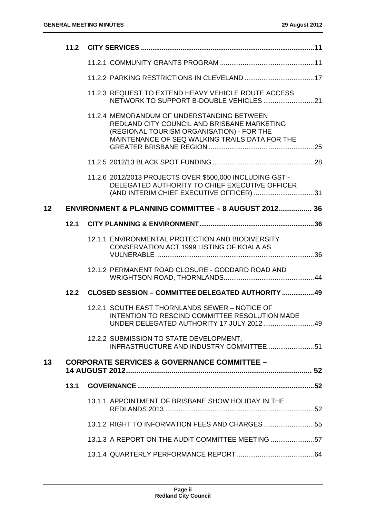|    | 11.2 |                                                                                                                                                                                          |  |
|----|------|------------------------------------------------------------------------------------------------------------------------------------------------------------------------------------------|--|
|    |      |                                                                                                                                                                                          |  |
|    |      |                                                                                                                                                                                          |  |
|    |      | 11.2.3 REQUEST TO EXTEND HEAVY VEHICLE ROUTE ACCESS                                                                                                                                      |  |
|    |      | 11.2.4 MEMORANDUM OF UNDERSTANDING BETWEEN<br>REDLAND CITY COUNCIL AND BRISBANE MARKETING<br>(REGIONAL TOURISM ORGANISATION) - FOR THE<br>MAINTENANCE OF SEQ WALKING TRAILS DATA FOR THE |  |
|    |      |                                                                                                                                                                                          |  |
|    |      | 11.2.6 2012/2013 PROJECTS OVER \$500,000 INCLUDING GST -<br>DELEGATED AUTHORITY TO CHIEF EXECUTIVE OFFICER<br>(AND INTERIM CHIEF EXECUTIVE OFFICER) 31                                   |  |
| 12 |      | <b>ENVIRONMENT &amp; PLANNING COMMITTEE - 8 AUGUST 2012 36</b>                                                                                                                           |  |
|    | 12.1 |                                                                                                                                                                                          |  |
|    |      | 12.1.1 ENVIRONMENTAL PROTECTION AND BIODIVERSITY<br>CONSERVATION ACT 1999 LISTING OF KOALA AS                                                                                            |  |
|    |      | 12.1.2 PERMANENT ROAD CLOSURE - GODDARD ROAD AND                                                                                                                                         |  |
|    | 12.2 | <b>CLOSED SESSION - COMMITTEE DELEGATED AUTHORITY  49</b>                                                                                                                                |  |
|    |      | 12.2.1 SOUTH EAST THORNLANDS SEWER - NOTICE OF<br>INTENTION TO RESCIND COMMITTEE RESOLUTION MADE                                                                                         |  |
|    |      | 12.2.2 SUBMISSION TO STATE DEVELOPMENT,<br>INFRASTRUCTURE AND INDUSTRY COMMITTEE51                                                                                                       |  |
| 13 |      | <b>CORPORATE SERVICES &amp; GOVERNANCE COMMITTEE -</b>                                                                                                                                   |  |
|    | 13.1 |                                                                                                                                                                                          |  |
|    |      | 13.1.1 APPOINTMENT OF BRISBANE SHOW HOLIDAY IN THE                                                                                                                                       |  |
|    |      | 13.1.2 RIGHT TO INFORMATION FEES AND CHARGES55                                                                                                                                           |  |
|    |      | 13.1.3 A REPORT ON THE AUDIT COMMITTEE MEETING 57                                                                                                                                        |  |
|    |      |                                                                                                                                                                                          |  |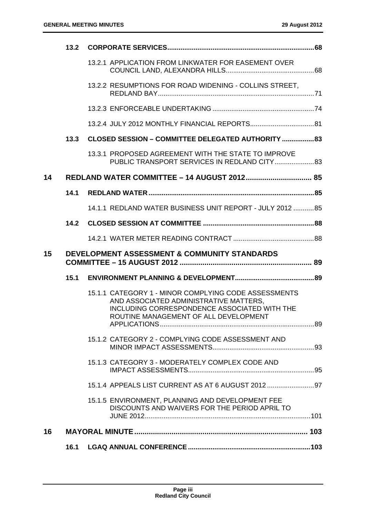|    | 13.2 |                                                                                                                                                                                         |  |
|----|------|-----------------------------------------------------------------------------------------------------------------------------------------------------------------------------------------|--|
|    |      | 13.2.1 APPLICATION FROM LINKWATER FOR EASEMENT OVER                                                                                                                                     |  |
|    |      | 13.2.2 RESUMPTIONS FOR ROAD WIDENING - COLLINS STREET,                                                                                                                                  |  |
|    |      |                                                                                                                                                                                         |  |
|    |      |                                                                                                                                                                                         |  |
|    | 13.3 | <b>CLOSED SESSION - COMMITTEE DELEGATED AUTHORITY  83</b>                                                                                                                               |  |
|    |      | 13.3.1 PROPOSED AGREEMENT WITH THE STATE TO IMPROVE                                                                                                                                     |  |
| 14 |      |                                                                                                                                                                                         |  |
|    | 14.1 |                                                                                                                                                                                         |  |
|    |      | 14.1.1 REDLAND WATER BUSINESS UNIT REPORT - JULY 2012 85                                                                                                                                |  |
|    | 14.2 |                                                                                                                                                                                         |  |
|    |      |                                                                                                                                                                                         |  |
|    |      |                                                                                                                                                                                         |  |
| 15 |      | DEVELOPMENT ASSESSMENT & COMMUNITY STANDARDS                                                                                                                                            |  |
|    | 15.1 |                                                                                                                                                                                         |  |
|    |      | 15.1.1 CATEGORY 1 - MINOR COMPLYING CODE ASSESSMENTS<br>AND ASSOCIATED ADMINISTRATIVE MATTERS.<br>INCLUDING CORRESPONDENCE ASSOCIATED WITH THE<br>ROUTINE MANAGEMENT OF ALL DEVELOPMENT |  |
|    |      | 15.1.2 CATEGORY 2 - COMPLYING CODE ASSESSMENT AND                                                                                                                                       |  |
|    |      | 15.1.3 CATEGORY 3 - MODERATELY COMPLEX CODE AND                                                                                                                                         |  |
|    |      | 15.1.4 APPEALS LIST CURRENT AS AT 6 AUGUST 2012                                                                                                                                         |  |
|    |      | 15.1.5 ENVIRONMENT, PLANNING AND DEVELOPMENT FEE<br>DISCOUNTS AND WAIVERS FOR THE PERIOD APRIL TO                                                                                       |  |
| 16 |      |                                                                                                                                                                                         |  |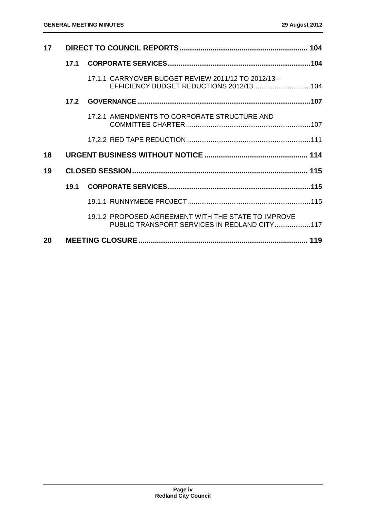| 17 |      |                                                                                                     |  |
|----|------|-----------------------------------------------------------------------------------------------------|--|
|    | 17.1 |                                                                                                     |  |
|    |      | 17.1.1 CARRYOVER BUDGET REVIEW 2011/12 TO 2012/13 -<br>EFFICIENCY BUDGET REDUCTIONS 2012/13 104     |  |
|    | 17.2 |                                                                                                     |  |
|    |      | 17.2.1 AMENDMENTS TO CORPORATE STRUCTURE AND                                                        |  |
|    |      |                                                                                                     |  |
| 18 |      |                                                                                                     |  |
| 19 |      |                                                                                                     |  |
|    | 19.1 |                                                                                                     |  |
|    |      |                                                                                                     |  |
|    |      | 19.1.2 PROPOSED AGREEMENT WITH THE STATE TO IMPROVE<br>PUBLIC TRANSPORT SERVICES IN REDLAND CITY117 |  |
| 20 |      |                                                                                                     |  |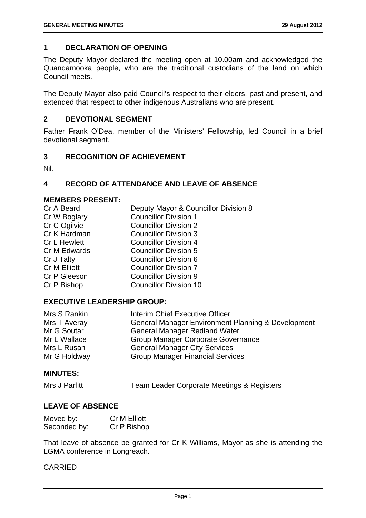#### **1 DECLARATION OF OPENING**

The Deputy Mayor declared the meeting open at 10.00am and acknowledged the Quandamooka people, who are the traditional custodians of the land on which Council meets.

The Deputy Mayor also paid Council's respect to their elders, past and present, and extended that respect to other indigenous Australians who are present.

#### **2 DEVOTIONAL SEGMENT**

Father Frank O'Dea, member of the Ministers' Fellowship, led Council in a brief devotional segment.

#### **3 RECOGNITION OF ACHIEVEMENT**

Nil.

#### **4 RECORD OF ATTENDANCE AND LEAVE OF ABSENCE**

#### **MEMBERS PRESENT:**

| Cr A Beard          | Deputy Mayor & Councillor Division 8 |
|---------------------|--------------------------------------|
| Cr W Boglary        | <b>Councillor Division 1</b>         |
| Cr C Ogilvie        | <b>Councillor Division 2</b>         |
| Cr K Hardman        | <b>Councillor Division 3</b>         |
| <b>Cr L Hewlett</b> | <b>Councillor Division 4</b>         |
| Cr M Edwards        | <b>Councillor Division 5</b>         |
| Cr J Talty          | <b>Councillor Division 6</b>         |
| Cr M Elliott        | <b>Councillor Division 7</b>         |
| Cr P Gleeson        | <b>Councillor Division 9</b>         |
| Cr P Bishop         | <b>Councillor Division 10</b>        |
|                     |                                      |

#### **EXECUTIVE LEADERSHIP GROUP:**

| Mrs S Rankin | Interim Chief Executive Officer                    |
|--------------|----------------------------------------------------|
| Mrs T Averay | General Manager Environment Planning & Development |
| Mr G Soutar  | <b>General Manager Redland Water</b>               |
| Mr L Wallace | <b>Group Manager Corporate Governance</b>          |
| Mrs L Rusan  | <b>General Manager City Services</b>               |
| Mr G Holdway | <b>Group Manager Financial Services</b>            |

#### **MINUTES:**

```
Mrs J Parfitt Team Leader Corporate Meetings & Registers
```
#### **LEAVE OF ABSENCE**

| Moved by:    | <b>Cr M Elliott</b> |
|--------------|---------------------|
| Seconded by: | Cr P Bishop         |

That leave of absence be granted for Cr K Williams, Mayor as she is attending the LGMA conference in Longreach.

#### CARRIED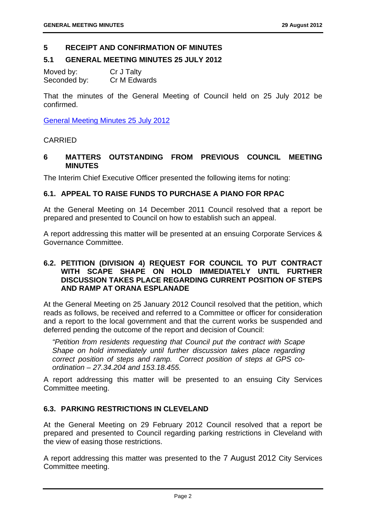#### **5 RECEIPT AND CONFIRMATION OF MINUTES**

#### **5.1 GENERAL MEETING MINUTES 25 JULY 2012**

Moved by: Cr J Talty Seconded by: Cr M Edwards

That the minutes of the General Meeting of Council held on 25 July 2012 be confirmed.

General Meeting Minutes 25 July 2012

#### CARRIED

#### **6 MATTERS OUTSTANDING FROM PREVIOUS COUNCIL MEETING MINUTES**

The Interim Chief Executive Officer presented the following items for noting:

#### **6.1. APPEAL TO RAISE FUNDS TO PURCHASE A PIANO FOR RPAC**

At the General Meeting on 14 December 2011 Council resolved that a report be prepared and presented to Council on how to establish such an appeal.

A report addressing this matter will be presented at an ensuing Corporate Services & Governance Committee.

#### **6.2. PETITION (DIVISION 4) REQUEST FOR COUNCIL TO PUT CONTRACT WITH SCAPE SHAPE ON HOLD IMMEDIATELY UNTIL FURTHER DISCUSSION TAKES PLACE REGARDING CURRENT POSITION OF STEPS AND RAMP AT ORANA ESPLANADE**

At the General Meeting on 25 January 2012 Council resolved that the petition, which reads as follows, be received and referred to a Committee or officer for consideration and a report to the local government and that the current works be suspended and deferred pending the outcome of the report and decision of Council:

*"Petition from residents requesting that Council put the contract with Scape Shape on hold immediately until further discussion takes place regarding correct position of steps and ramp. Correct position of steps at GPS coordination – 27.34.204 and 153.18.455.* 

A report addressing this matter will be presented to an ensuing City Services Committee meeting.

#### **6.3. PARKING RESTRICTIONS IN CLEVELAND**

At the General Meeting on 29 February 2012 Council resolved that a report be prepared and presented to Council regarding parking restrictions in Cleveland with the view of easing those restrictions.

A report addressing this matter was presented to the 7 August 2012 City Services Committee meeting.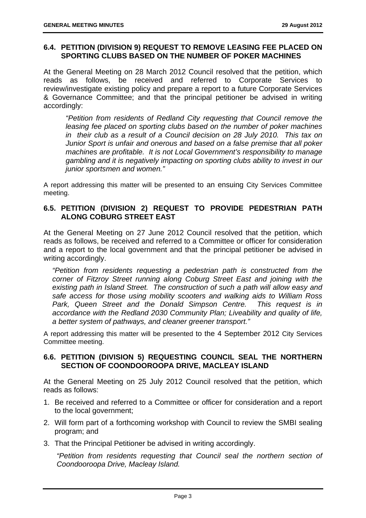#### **6.4. PETITION (DIVISION 9) REQUEST TO REMOVE LEASING FEE PLACED ON SPORTING CLUBS BASED ON THE NUMBER OF POKER MACHINES**

At the General Meeting on 28 March 2012 Council resolved that the petition, which reads as follows, be received and referred to Corporate Services to review/investigate existing policy and prepare a report to a future Corporate Services & Governance Committee; and that the principal petitioner be advised in writing accordingly:

*"Petition from residents of Redland City requesting that Council remove the leasing fee placed on sporting clubs based on the number of poker machines in their club as a result of a Council decision on 28 July 2010. This tax on Junior Sport is unfair and onerous and based on a false premise that all poker machines are profitable. It is not Local Government's responsibility to manage gambling and it is negatively impacting on sporting clubs ability to invest in our junior sportsmen and women."* 

A report addressing this matter will be presented to an ensuing City Services Committee meeting.

#### **6.5. PETITION (DIVISION 2) REQUEST TO PROVIDE PEDESTRIAN PATH ALONG COBURG STREET EAST**

At the General Meeting on 27 June 2012 Council resolved that the petition, which reads as follows, be received and referred to a Committee or officer for consideration and a report to the local government and that the principal petitioner be advised in writing accordingly.

*"Petition from residents requesting a pedestrian path is constructed from the corner of Fitzroy Street running along Coburg Street East and joining with the existing path in Island Street. The construction of such a path will allow easy and safe access for those using mobility scooters and walking aids to William Ross Park, Queen Street and the Donald Simpson Centre. This request is in accordance with the Redland 2030 Community Plan; Liveability and quality of life, a better system of pathways, and cleaner greener transport."* 

A report addressing this matter will be presented to the 4 September 2012 City Services Committee meeting.

#### **6.6. PETITION (DIVISION 5) REQUESTING COUNCIL SEAL THE NORTHERN SECTION OF COONDOOROOPA DRIVE, MACLEAY ISLAND**

At the General Meeting on 25 July 2012 Council resolved that the petition, which reads as follows:

- 1. Be received and referred to a Committee or officer for consideration and a report to the local government;
- 2. Will form part of a forthcoming workshop with Council to review the SMBI sealing program; and
- 3. That the Principal Petitioner be advised in writing accordingly.

*"Petition from residents requesting that Council seal the northern section of Coondooroopa Drive, Macleay Island.*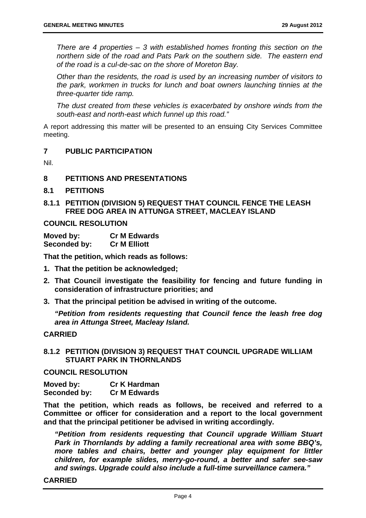*There are 4 properties – 3 with established homes fronting this section on the northern side of the road and Pats Park on the southern side. The eastern end of the road is a cul-de-sac on the shore of Moreton Bay.* 

*Other than the residents, the road is used by an increasing number of visitors to the park, workmen in trucks for lunch and boat owners launching tinnies at the three-quarter tide ramp.* 

*The dust created from these vehicles is exacerbated by onshore winds from the south-east and north-east which funnel up this road."* 

A report addressing this matter will be presented to an ensuing City Services Committee meeting.

#### **7 PUBLIC PARTICIPATION**

Nil.

#### **8 PETITIONS AND PRESENTATIONS**

- **8.1 PETITIONS**
- **8.1.1 PETITION (DIVISION 5) REQUEST THAT COUNCIL FENCE THE LEASH FREE DOG AREA IN ATTUNGA STREET, MACLEAY ISLAND**

#### **COUNCIL RESOLUTION**

| Moved by:    | <b>Cr M Edwards</b> |
|--------------|---------------------|
| Seconded by: | <b>Cr M Elliott</b> |

**That the petition, which reads as follows:** 

- **1. That the petition be acknowledged;**
- **2. That Council investigate the feasibility for fencing and future funding in consideration of infrastructure priorities; and**
- **3. That the principal petition be advised in writing of the outcome.**

*"Petition from residents requesting that Council fence the leash free dog area in Attunga Street, Macleay Island.* 

#### **CARRIED**

**8.1.2 PETITION (DIVISION 3) REQUEST THAT COUNCIL UPGRADE WILLIAM STUART PARK IN THORNLANDS** 

#### **COUNCIL RESOLUTION**

| Moved by:    | <b>Cr K Hardman</b> |
|--------------|---------------------|
| Seconded by: | <b>Cr M Edwards</b> |

**That the petition, which reads as follows, be received and referred to a Committee or officer for consideration and a report to the local government and that the principal petitioner be advised in writing accordingly.** 

*"Petition from residents requesting that Council upgrade William Stuart Park in Thornlands by adding a family recreational area with some BBQ's, more tables and chairs, better and younger play equipment for littler children, for example slides, merry-go-round, a better and safer see-saw and swings. Upgrade could also include a full-time surveillance camera."* 

#### **CARRIED**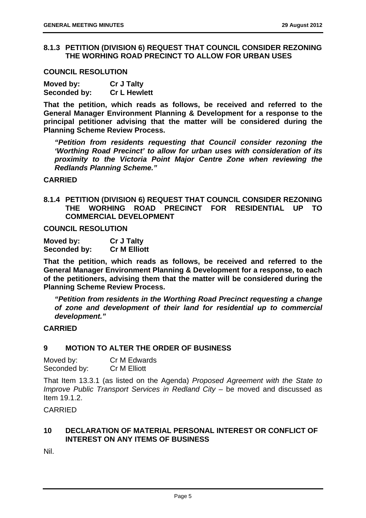#### **8.1.3 PETITION (DIVISION 6) REQUEST THAT COUNCIL CONSIDER REZONING THE WORHING ROAD PRECINCT TO ALLOW FOR URBAN USES**

#### **COUNCIL RESOLUTION**

| Moved by:    | <b>Cr J Talty</b>   |
|--------------|---------------------|
| Seconded by: | <b>Cr L Hewlett</b> |

**That the petition, which reads as follows, be received and referred to the General Manager Environment Planning & Development for a response to the principal petitioner advising that the matter will be considered during the Planning Scheme Review Process.** 

*"Petition from residents requesting that Council consider rezoning the 'Worthing Road Precinct' to allow for urban uses with consideration of its proximity to the Victoria Point Major Centre Zone when reviewing the Redlands Planning Scheme."* 

#### **CARRIED**

**8.1.4 PETITION (DIVISION 6) REQUEST THAT COUNCIL CONSIDER REZONING THE WORHING ROAD PRECINCT FOR RESIDENTIAL UP TO COMMERCIAL DEVELOPMENT** 

**COUNCIL RESOLUTION** 

| Moved by:    | <b>Cr J Talty</b>   |
|--------------|---------------------|
| Seconded by: | <b>Cr M Elliott</b> |

**That the petition, which reads as follows, be received and referred to the General Manager Environment Planning & Development for a response, to each of the petitioners, advising them that the matter will be considered during the Planning Scheme Review Process.** 

*"Petition from residents in the Worthing Road Precinct requesting a change of zone and development of their land for residential up to commercial development."* 

#### **CARRIED**

#### **9 MOTION TO ALTER THE ORDER OF BUSINESS**

| Moved by:    | Cr M Edwards        |
|--------------|---------------------|
| Seconded by: | <b>Cr M Elliott</b> |

That Item 13.3.1 (as listed on the Agenda) *Proposed Agreement with the State to Improve Public Transport Services in Redland City* – be moved and discussed as Item 19.1.2.

CARRIED

#### **10 DECLARATION OF MATERIAL PERSONAL INTEREST OR CONFLICT OF INTEREST ON ANY ITEMS OF BUSINESS**

Nil.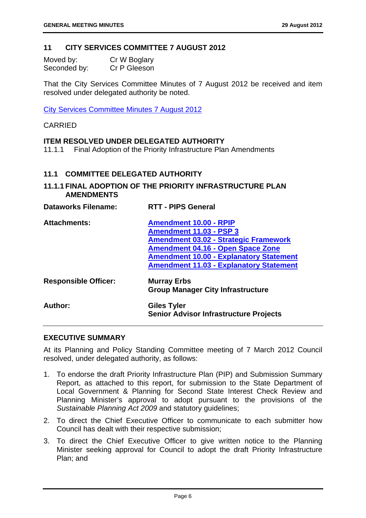#### **11 CITY SERVICES COMMITTEE 7 AUGUST 2012**

| Moved by:    | Cr W Boglary |
|--------------|--------------|
| Seconded by: | Cr P Gleeson |

That the City Services Committee Minutes of 7 August 2012 be received and item resolved under delegated authority be noted.

City Services Committee Minutes 7 August 2012

#### CARRIED

#### **ITEM RESOLVED UNDER DELEGATED AUTHORITY**

11.1.1 Final Adoption of the Priority Infrastructure Plan Amendments

#### **11.1 COMMITTEE DELEGATED AUTHORITY**

#### **11.1.1 FINAL ADOPTION OF THE PRIORITY INFRASTRUCTURE PLAN AMENDMENTS**

| <b>Dataworks Filename:</b>  | <b>RTT - PIPS General</b>                                                      |
|-----------------------------|--------------------------------------------------------------------------------|
| <b>Attachments:</b>         | <b>Amendment 10.00 - RPIP</b>                                                  |
|                             | <b>Amendment 11.03 - PSP 3</b><br><b>Amendment 03.02 - Strategic Framework</b> |
|                             | <b>Amendment 04.16 - Open Space Zone</b>                                       |
|                             | <b>Amendment 10.00 - Explanatory Statement</b>                                 |
|                             | <b>Amendment 11.03 - Explanatory Statement</b>                                 |
| <b>Responsible Officer:</b> | <b>Murray Erbs</b><br><b>Group Manager City Infrastructure</b>                 |
| Author:                     | <b>Giles Tyler</b><br><b>Senior Advisor Infrastructure Projects</b>            |

#### **EXECUTIVE SUMMARY**

At its Planning and Policy Standing Committee meeting of 7 March 2012 Council resolved, under delegated authority, as follows:

- 1. To endorse the draft Priority Infrastructure Plan (PIP) and Submission Summary Report, as attached to this report, for submission to the State Department of Local Government & Planning for Second State Interest Check Review and Planning Minister's approval to adopt pursuant to the provisions of the *Sustainable Planning Act 2009* and statutory guidelines;
- 2. To direct the Chief Executive Officer to communicate to each submitter how Council has dealt with their respective submission;
- 3. To direct the Chief Executive Officer to give written notice to the Planning Minister seeking approval for Council to adopt the draft Priority Infrastructure Plan; and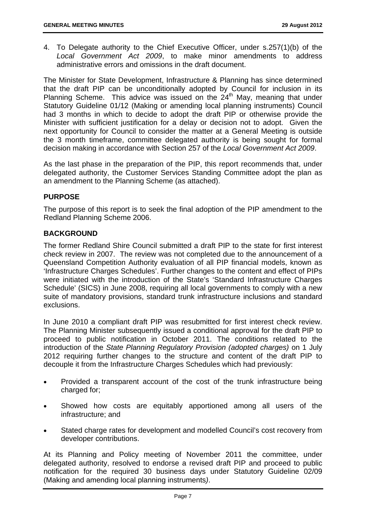4. To Delegate authority to the Chief Executive Officer, under s.257(1)(b) of the *Local Government Act 2009*, to make minor amendments to address administrative errors and omissions in the draft document.

The Minister for State Development, Infrastructure & Planning has since determined that the draft PIP can be unconditionally adopted by Council for inclusion in its Planning Scheme. This advice was issued on the  $24<sup>th</sup>$  May, meaning that under Statutory Guideline 01/12 (Making or amending local planning instruments) Council had 3 months in which to decide to adopt the draft PIP or otherwise provide the Minister with sufficient justification for a delay or decision not to adopt. Given the next opportunity for Council to consider the matter at a General Meeting is outside the 3 month timeframe, committee delegated authority is being sought for formal decision making in accordance with Section 257 of the *Local Government Act 2009*.

As the last phase in the preparation of the PIP, this report recommends that, under delegated authority, the Customer Services Standing Committee adopt the plan as an amendment to the Planning Scheme (as attached).

#### **PURPOSE**

The purpose of this report is to seek the final adoption of the PIP amendment to the Redland Planning Scheme 2006.

#### **BACKGROUND**

The former Redland Shire Council submitted a draft PIP to the state for first interest check review in 2007. The review was not completed due to the announcement of a Queensland Competition Authority evaluation of all PIP financial models, known as 'Infrastructure Charges Schedules'. Further changes to the content and effect of PIPs were initiated with the introduction of the State's 'Standard Infrastructure Charges Schedule' (SICS) in June 2008, requiring all local governments to comply with a new suite of mandatory provisions, standard trunk infrastructure inclusions and standard exclusions.

In June 2010 a compliant draft PIP was resubmitted for first interest check review. The Planning Minister subsequently issued a conditional approval for the draft PIP to proceed to public notification in October 2011. The conditions related to the introduction of the *State Planning Regulatory Provision (adopted charges)* on 1 July 2012 requiring further changes to the structure and content of the draft PIP to decouple it from the Infrastructure Charges Schedules which had previously:

- Provided a transparent account of the cost of the trunk infrastructure being charged for;
- Showed how costs are equitably apportioned among all users of the infrastructure; and
- Stated charge rates for development and modelled Council's cost recovery from developer contributions.

At its Planning and Policy meeting of November 2011 the committee, under delegated authority, resolved to endorse a revised draft PIP and proceed to public notification for the required 30 business days under Statutory Guideline 02/09 (Making and amending local planning instruments*)*.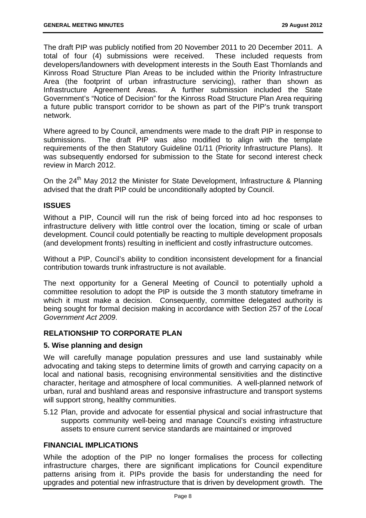The draft PIP was publicly notified from 20 November 2011 to 20 December 2011. A total of four (4) submissions were received. These included requests from developers/landowners with development interests in the South East Thornlands and Kinross Road Structure Plan Areas to be included within the Priority Infrastructure Area (the footprint of urban infrastructure servicing), rather than shown as Infrastructure Agreement Areas. A further submission included the State Government's "Notice of Decision" for the Kinross Road Structure Plan Area requiring a future public transport corridor to be shown as part of the PIP's trunk transport network.

Where agreed to by Council, amendments were made to the draft PIP in response to submissions. The draft PIP was also modified to align with the template requirements of the then Statutory Guideline 01/11 (Priority Infrastructure Plans). It was subsequently endorsed for submission to the State for second interest check review in March 2012.

On the 24<sup>th</sup> May 2012 the Minister for State Development, Infrastructure & Planning advised that the draft PIP could be unconditionally adopted by Council.

#### **ISSUES**

Without a PIP, Council will run the risk of being forced into ad hoc responses to infrastructure delivery with little control over the location, timing or scale of urban development. Council could potentially be reacting to multiple development proposals (and development fronts) resulting in inefficient and costly infrastructure outcomes.

Without a PIP, Council's ability to condition inconsistent development for a financial contribution towards trunk infrastructure is not available.

The next opportunity for a General Meeting of Council to potentially uphold a committee resolution to adopt the PIP is outside the 3 month statutory timeframe in which it must make a decision. Consequently, committee delegated authority is being sought for formal decision making in accordance with Section 257 of the *Local Government Act 2009*.

#### **RELATIONSHIP TO CORPORATE PLAN**

#### **5. Wise planning and design**

We will carefully manage population pressures and use land sustainably while advocating and taking steps to determine limits of growth and carrying capacity on a local and national basis, recognising environmental sensitivities and the distinctive character, heritage and atmosphere of local communities. A well-planned network of urban, rural and bushland areas and responsive infrastructure and transport systems will support strong, healthy communities.

5.12 Plan, provide and advocate for essential physical and social infrastructure that supports community well-being and manage Council's existing infrastructure assets to ensure current service standards are maintained or improved

#### **FINANCIAL IMPLICATIONS**

While the adoption of the PIP no longer formalises the process for collecting infrastructure charges, there are significant implications for Council expenditure patterns arising from it. PIPs provide the basis for understanding the need for upgrades and potential new infrastructure that is driven by development growth. The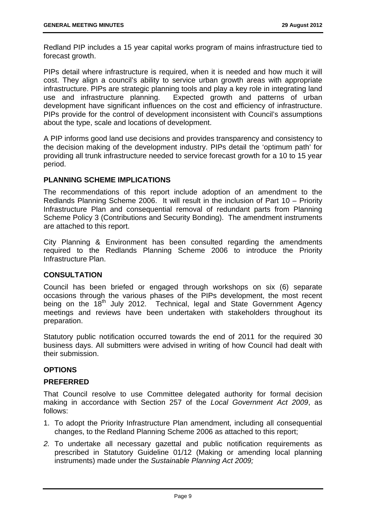Redland PIP includes a 15 year capital works program of mains infrastructure tied to forecast growth.

PIPs detail where infrastructure is required, when it is needed and how much it will cost. They align a council's ability to service urban growth areas with appropriate infrastructure. PIPs are strategic planning tools and play a key role in integrating land use and infrastructure planning. Expected growth and patterns of urban development have significant influences on the cost and efficiency of infrastructure. PIPs provide for the control of development inconsistent with Council's assumptions about the type, scale and locations of development.

A PIP informs good land use decisions and provides transparency and consistency to the decision making of the development industry. PIPs detail the 'optimum path' for providing all trunk infrastructure needed to service forecast growth for a 10 to 15 year period.

#### **PLANNING SCHEME IMPLICATIONS**

The recommendations of this report include adoption of an amendment to the Redlands Planning Scheme 2006. It will result in the inclusion of Part 10 – Priority Infrastructure Plan and consequential removal of redundant parts from Planning Scheme Policy 3 (Contributions and Security Bonding). The amendment instruments are attached to this report.

City Planning & Environment has been consulted regarding the amendments required to the Redlands Planning Scheme 2006 to introduce the Priority Infrastructure Plan.

#### **CONSULTATION**

Council has been briefed or engaged through workshops on six (6) separate occasions through the various phases of the PIPs development, the most recent being on the 18<sup>th</sup> July 2012. Technical, legal and State Government Agency meetings and reviews have been undertaken with stakeholders throughout its preparation.

Statutory public notification occurred towards the end of 2011 for the required 30 business days. All submitters were advised in writing of how Council had dealt with their submission.

#### **OPTIONS**

#### **PREFERRED**

That Council resolve to use Committee delegated authority for formal decision making in accordance with Section 257 of the *Local Government Act 2009*, as follows:

- 1. To adopt the Priority Infrastructure Plan amendment, including all consequential changes, to the Redland Planning Scheme 2006 as attached to this report;
- *2.* To undertake all necessary gazettal and public notification requirements as prescribed in Statutory Guideline 01/12 (Making or amending local planning instruments) made under the *Sustainable Planning Act 2009;*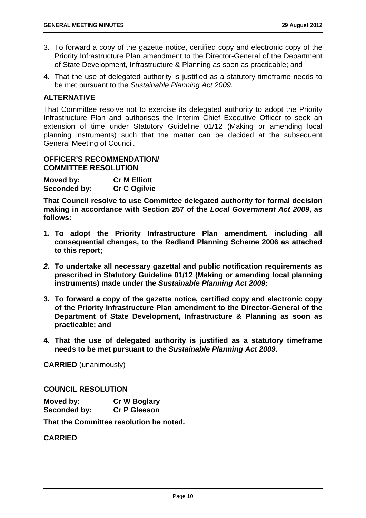- 3. To forward a copy of the gazette notice, certified copy and electronic copy of the Priority Infrastructure Plan amendment to the Director-General of the Department of State Development, Infrastructure & Planning as soon as practicable; and
- 4. That the use of delegated authority is justified as a statutory timeframe needs to be met pursuant to the *Sustainable Planning Act 2009*.

#### **ALTERNATIVE**

That Committee resolve not to exercise its delegated authority to adopt the Priority Infrastructure Plan and authorises the Interim Chief Executive Officer to seek an extension of time under Statutory Guideline 01/12 (Making or amending local planning instruments) such that the matter can be decided at the subsequent General Meeting of Council.

#### **OFFICER'S RECOMMENDATION/ COMMITTEE RESOLUTION**

**Moved by: Cr M Elliott Seconded by: Cr C Ogilvie** 

**That Council resolve to use Committee delegated authority for formal decision making in accordance with Section 257 of the** *Local Government Act 2009***, as follows:** 

- **1. To adopt the Priority Infrastructure Plan amendment, including all consequential changes, to the Redland Planning Scheme 2006 as attached to this report;**
- *2.* **To undertake all necessary gazettal and public notification requirements as prescribed in Statutory Guideline 01/12 (Making or amending local planning instruments) made under the** *Sustainable Planning Act 2009;*
- **3. To forward a copy of the gazette notice, certified copy and electronic copy of the Priority Infrastructure Plan amendment to the Director-General of the Department of State Development, Infrastructure & Planning as soon as practicable; and**
- **4. That the use of delegated authority is justified as a statutory timeframe needs to be met pursuant to the** *Sustainable Planning Act 2009***.**

**CARRIED** (unanimously)

**COUNCIL RESOLUTION** 

| Moved by:    | <b>Cr W Boglary</b> |
|--------------|---------------------|
| Seconded by: | <b>Cr P Gleeson</b> |

**That the Committee resolution be noted.** 

#### **CARRIED**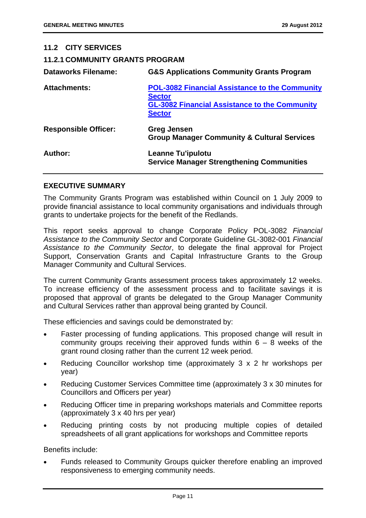| 11.2 CITY SERVICES                     |                                                                                                                                                 |
|----------------------------------------|-------------------------------------------------------------------------------------------------------------------------------------------------|
| <b>11.2.1 COMMUNITY GRANTS PROGRAM</b> |                                                                                                                                                 |
| <b>Dataworks Filename:</b>             | <b>G&amp;S Applications Community Grants Program</b>                                                                                            |
| <b>Attachments:</b>                    | <b>POL-3082 Financial Assistance to the Community</b><br><b>Sector</b><br><b>GL-3082 Financial Assistance to the Community</b><br><b>Sector</b> |
| <b>Responsible Officer:</b>            | <b>Greg Jensen</b><br><b>Group Manager Community &amp; Cultural Services</b>                                                                    |
| Author:                                | <b>Leanne Tu'ipulotu</b><br><b>Service Manager Strengthening Communities</b>                                                                    |

#### **EXECUTIVE SUMMARY**

The Community Grants Program was established within Council on 1 July 2009 to provide financial assistance to local community organisations and individuals through grants to undertake projects for the benefit of the Redlands.

This report seeks approval to change Corporate Policy POL-3082 *Financial Assistance to the Community Sector* and Corporate Guideline GL-3082-001 *Financial Assistance to the Community Sector*, to delegate the final approval for Project Support, Conservation Grants and Capital Infrastructure Grants to the Group Manager Community and Cultural Services.

The current Community Grants assessment process takes approximately 12 weeks. To increase efficiency of the assessment process and to facilitate savings it is proposed that approval of grants be delegated to the Group Manager Community and Cultural Services rather than approval being granted by Council.

These efficiencies and savings could be demonstrated by:

- Faster processing of funding applications. This proposed change will result in community groups receiving their approved funds within  $6 - 8$  weeks of the grant round closing rather than the current 12 week period.
- Reducing Councillor workshop time (approximately 3 x 2 hr workshops per year)
- Reducing Customer Services Committee time (approximately 3 x 30 minutes for Councillors and Officers per year)
- Reducing Officer time in preparing workshops materials and Committee reports (approximately 3 x 40 hrs per year)
- Reducing printing costs by not producing multiple copies of detailed spreadsheets of all grant applications for workshops and Committee reports

Benefits include:

 Funds released to Community Groups quicker therefore enabling an improved responsiveness to emerging community needs.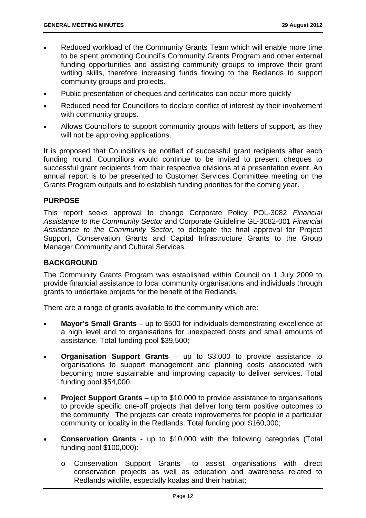- Reduced workload of the Community Grants Team which will enable more time to be spent promoting Council's Community Grants Program and other external funding opportunities and assisting community groups to improve their grant writing skills, therefore increasing funds flowing to the Redlands to support community groups and projects.
- Public presentation of cheques and certificates can occur more quickly
- Reduced need for Councillors to declare conflict of interest by their involvement with community groups.
- Allows Councillors to support community groups with letters of support, as they will not be approving applications.

It is proposed that Councillors be notified of successful grant recipients after each funding round. Councillors would continue to be invited to present cheques to successful grant recipients from their respective divisions at a presentation event. An annual report is to be presented to Customer Services Committee meeting on the Grants Program outputs and to establish funding priorities for the coming year.

#### **PURPOSE**

This report seeks approval to change Corporate Policy POL-3082 *Financial Assistance to the Community Sector* and Corporate Guideline GL-3082-001 *Financial Assistance to the Community Sector*, to delegate the final approval for Project Support, Conservation Grants and Capital Infrastructure Grants to the Group Manager Community and Cultural Services.

#### **BACKGROUND**

The Community Grants Program was established within Council on 1 July 2009 to provide financial assistance to local community organisations and individuals through grants to undertake projects for the benefit of the Redlands.

There are a range of grants available to the community which are:

- **Mayor's Small Grants** up to \$500 for individuals demonstrating excellence at a high level and to organisations for unexpected costs and small amounts of assistance. Total funding pool \$39,500;
- **Organisation Support Grants** up to \$3,000 to provide assistance to organisations to support management and planning costs associated with becoming more sustainable and improving capacity to deliver services. Total funding pool \$54,000.
- **Project Support Grants** up to \$10,000 to provide assistance to organisations to provide specific one-off projects that deliver long term positive outcomes to the community. The projects can create improvements for people in a particular community or locality in the Redlands. Total funding pool \$160,000;
- **Conservation Grants** up to \$10,000 with the following categories (Total funding pool \$100,000):
	- o Conservation Support Grants –to assist organisations with direct conservation projects as well as education and awareness related to Redlands wildlife, especially koalas and their habitat;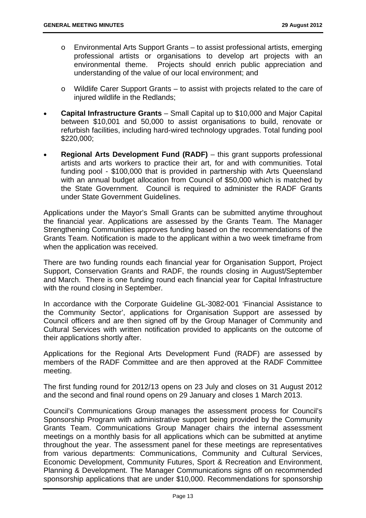- o Environmental Arts Support Grants to assist professional artists, emerging professional artists or organisations to develop art projects with an environmental theme. Projects should enrich public appreciation and understanding of the value of our local environment; and
- o Wildlife Carer Support Grants to assist with projects related to the care of injured wildlife in the Redlands;
- **Capital Infrastructure Grants** Small Capital up to \$10,000 and Major Capital between \$10,001 and 50,000 to assist organisations to build, renovate or refurbish facilities, including hard-wired technology upgrades. Total funding pool \$220,000;
- **Regional Arts Development Fund (RADF)** this grant supports professional artists and arts workers to practice their art, for and with communities. Total funding pool - \$100,000 that is provided in partnership with Arts Queensland with an annual budget allocation from Council of \$50,000 which is matched by the State Government. Council is required to administer the RADF Grants under State Government Guidelines.

Applications under the Mayor's Small Grants can be submitted anytime throughout the financial year. Applications are assessed by the Grants Team. The Manager Strengthening Communities approves funding based on the recommendations of the Grants Team. Notification is made to the applicant within a two week timeframe from when the application was received.

There are two funding rounds each financial year for Organisation Support, Project Support, Conservation Grants and RADF, the rounds closing in August/September and March. There is one funding round each financial year for Capital Infrastructure with the round closing in September.

In accordance with the Corporate Guideline GL-3082-001 'Financial Assistance to the Community Sector', applications for Organisation Support are assessed by Council officers and are then signed off by the Group Manager of Community and Cultural Services with written notification provided to applicants on the outcome of their applications shortly after.

Applications for the Regional Arts Development Fund (RADF) are assessed by members of the RADF Committee and are then approved at the RADF Committee meeting.

The first funding round for 2012/13 opens on 23 July and closes on 31 August 2012 and the second and final round opens on 29 January and closes 1 March 2013.

Council's Communications Group manages the assessment process for Council's Sponsorship Program with administrative support being provided by the Community Grants Team. Communications Group Manager chairs the internal assessment meetings on a monthly basis for all applications which can be submitted at anytime throughout the year. The assessment panel for these meetings are representatives from various departments: Communications, Community and Cultural Services, Economic Development, Community Futures, Sport & Recreation and Environment, Planning & Development. The Manager Communications signs off on recommended sponsorship applications that are under \$10,000. Recommendations for sponsorship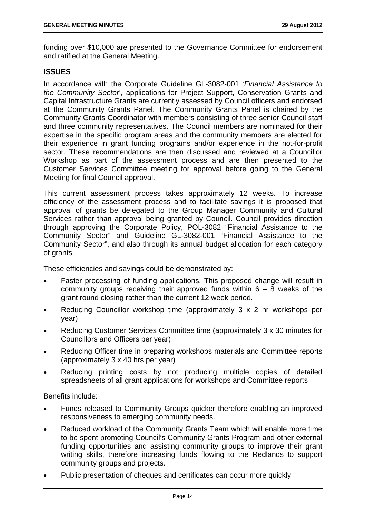funding over \$10,000 are presented to the Governance Committee for endorsement and ratified at the General Meeting.

#### **ISSUES**

In accordance with the Corporate Guideline GL-3082-001 *'Financial Assistance to the Community Sector*', applications for Project Support, Conservation Grants and Capital Infrastructure Grants are currently assessed by Council officers and endorsed at the Community Grants Panel. The Community Grants Panel is chaired by the Community Grants Coordinator with members consisting of three senior Council staff and three community representatives. The Council members are nominated for their expertise in the specific program areas and the community members are elected for their experience in grant funding programs and/or experience in the not-for-profit sector. These recommendations are then discussed and reviewed at a Councillor Workshop as part of the assessment process and are then presented to the Customer Services Committee meeting for approval before going to the General Meeting for final Council approval.

This current assessment process takes approximately 12 weeks. To increase efficiency of the assessment process and to facilitate savings it is proposed that approval of grants be delegated to the Group Manager Community and Cultural Services rather than approval being granted by Council. Council provides direction through approving the Corporate Policy, POL-3082 "Financial Assistance to the Community Sector" and Guideline GL-3082-001 "Financial Assistance to the Community Sector", and also through its annual budget allocation for each category of grants.

These efficiencies and savings could be demonstrated by:

- Faster processing of funding applications. This proposed change will result in community groups receiving their approved funds within  $6 - 8$  weeks of the grant round closing rather than the current 12 week period.
- Reducing Councillor workshop time (approximately 3 x 2 hr workshops per year)
- Reducing Customer Services Committee time (approximately 3 x 30 minutes for Councillors and Officers per year)
- Reducing Officer time in preparing workshops materials and Committee reports (approximately 3 x 40 hrs per year)
- Reducing printing costs by not producing multiple copies of detailed spreadsheets of all grant applications for workshops and Committee reports

Benefits include:

- Funds released to Community Groups quicker therefore enabling an improved responsiveness to emerging community needs.
- Reduced workload of the Community Grants Team which will enable more time to be spent promoting Council's Community Grants Program and other external funding opportunities and assisting community groups to improve their grant writing skills, therefore increasing funds flowing to the Redlands to support community groups and projects.
- Public presentation of cheques and certificates can occur more quickly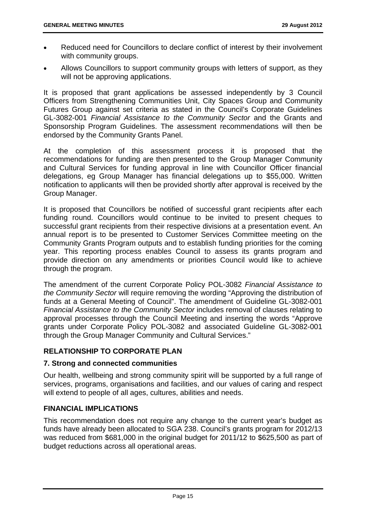- Reduced need for Councillors to declare conflict of interest by their involvement with community groups.
- Allows Councillors to support community groups with letters of support, as they will not be approving applications.

It is proposed that grant applications be assessed independently by 3 Council Officers from Strengthening Communities Unit, City Spaces Group and Community Futures Group against set criteria as stated in the Council's Corporate Guidelines GL-3082-001 *Financial Assistance to the Community Sector* and the Grants and Sponsorship Program Guidelines. The assessment recommendations will then be endorsed by the Community Grants Panel.

At the completion of this assessment process it is proposed that the recommendations for funding are then presented to the Group Manager Community and Cultural Services for funding approval in line with Councillor Officer financial delegations, eg Group Manager has financial delegations up to \$55,000. Written notification to applicants will then be provided shortly after approval is received by the Group Manager.

It is proposed that Councillors be notified of successful grant recipients after each funding round. Councillors would continue to be invited to present cheques to successful grant recipients from their respective divisions at a presentation event. An annual report is to be presented to Customer Services Committee meeting on the Community Grants Program outputs and to establish funding priorities for the coming year. This reporting process enables Council to assess its grants program and provide direction on any amendments or priorities Council would like to achieve through the program.

The amendment of the current Corporate Policy POL-3082 *Financial Assistance to the Community Sector* will require removing the wording "Approving the distribution of funds at a General Meeting of Council". The amendment of Guideline GL-3082-001 *Financial Assistance to the Community Sector* includes removal of clauses relating to approval processes through the Council Meeting and inserting the words "Approve grants under Corporate Policy POL-3082 and associated Guideline GL-3082-001 through the Group Manager Community and Cultural Services."

#### **RELATIONSHIP TO CORPORATE PLAN**

#### **7. Strong and connected communities**

Our health, wellbeing and strong community spirit will be supported by a full range of services, programs, organisations and facilities, and our values of caring and respect will extend to people of all ages, cultures, abilities and needs.

#### **FINANCIAL IMPLICATIONS**

This recommendation does not require any change to the current year's budget as funds have already been allocated to SGA 238. Council's grants program for 2012/13 was reduced from \$681,000 in the original budget for 2011/12 to \$625,500 as part of budget reductions across all operational areas.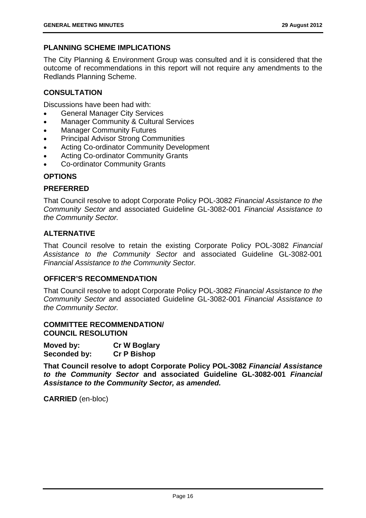#### **PLANNING SCHEME IMPLICATIONS**

The City Planning & Environment Group was consulted and it is considered that the outcome of recommendations in this report will not require any amendments to the Redlands Planning Scheme.

#### **CONSULTATION**

Discussions have been had with:

- General Manager City Services
- Manager Community & Cultural Services
- Manager Community Futures
- Principal Advisor Strong Communities
- Acting Co-ordinator Community Development
- Acting Co-ordinator Community Grants
- Co-ordinator Community Grants

#### **OPTIONS**

#### **PREFERRED**

That Council resolve to adopt Corporate Policy POL-3082 *Financial Assistance to the Community Sector* and associated Guideline GL-3082-001 *Financial Assistance to the Community Sector.* 

#### **ALTERNATIVE**

That Council resolve to retain the existing Corporate Policy POL-3082 *Financial Assistance to the Community Sector* and associated Guideline GL-3082-001 *Financial Assistance to the Community Sector.* 

#### **OFFICER'S RECOMMENDATION**

That Council resolve to adopt Corporate Policy POL-3082 *Financial Assistance to the Community Sector* and associated Guideline GL-3082-001 *Financial Assistance to the Community Sector.* 

#### **COMMITTEE RECOMMENDATION/ COUNCIL RESOLUTION**

| Moved by:    | <b>Cr W Boglary</b> |
|--------------|---------------------|
| Seconded by: | <b>Cr P Bishop</b>  |

**That Council resolve to adopt Corporate Policy POL-3082** *Financial Assistance to the Community Sector* **and associated Guideline GL-3082-001** *Financial Assistance to the Community Sector, as amended.* 

**CARRIED** (en-bloc)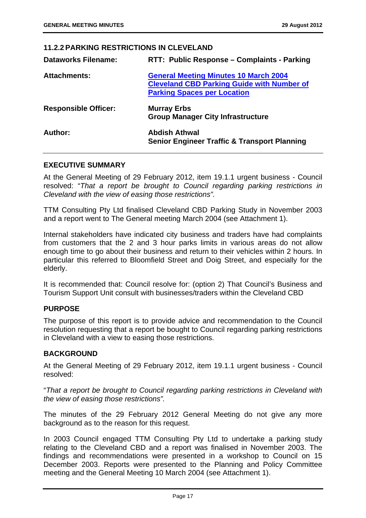#### **11.2.2 PARKING RESTRICTIONS IN CLEVELAND**

| <b>Dataworks Filename:</b>  | RTT: Public Response - Complaints - Parking                                                                                             |
|-----------------------------|-----------------------------------------------------------------------------------------------------------------------------------------|
| <b>Attachments:</b>         | <b>General Meeting Minutes 10 March 2004</b><br><b>Cleveland CBD Parking Guide with Number of</b><br><b>Parking Spaces per Location</b> |
| <b>Responsible Officer:</b> | <b>Murray Erbs</b><br><b>Group Manager City Infrastructure</b>                                                                          |
| Author:                     | <b>Abdish Athwal</b><br><b>Senior Engineer Traffic &amp; Transport Planning</b>                                                         |

#### **EXECUTIVE SUMMARY**

At the General Meeting of 29 February 2012, item 19.1.1 urgent business - Council resolved: "*That a report be brought to Council regarding parking restrictions in Cleveland with the view of easing those restrictions".*

TTM Consulting Pty Ltd finalised Cleveland CBD Parking Study in November 2003 and a report went to The General meeting March 2004 (see Attachment 1).

Internal stakeholders have indicated city business and traders have had complaints from customers that the 2 and 3 hour parks limits in various areas do not allow enough time to go about their business and return to their vehicles within 2 hours. In particular this referred to Bloomfield Street and Doig Street, and especially for the elderly.

It is recommended that: Council resolve for: (option 2) That Council's Business and Tourism Support Unit consult with businesses/traders within the Cleveland CBD

#### **PURPOSE**

The purpose of this report is to provide advice and recommendation to the Council resolution requesting that a report be bought to Council regarding parking restrictions in Cleveland with a view to easing those restrictions.

#### **BACKGROUND**

At the General Meeting of 29 February 2012, item 19.1.1 urgent business - Council resolved:

"*That a report be brought to Council regarding parking restrictions in Cleveland with the view of easing those restrictions".* 

The minutes of the 29 February 2012 General Meeting do not give any more background as to the reason for this request.

In 2003 Council engaged TTM Consulting Pty Ltd to undertake a parking study relating to the Cleveland CBD and a report was finalised in November 2003. The findings and recommendations were presented in a workshop to Council on 15 December 2003. Reports were presented to the Planning and Policy Committee meeting and the General Meeting 10 March 2004 (see Attachment 1).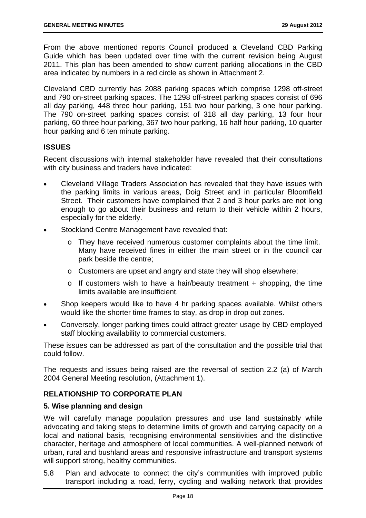From the above mentioned reports Council produced a Cleveland CBD Parking Guide which has been updated over time with the current revision being August 2011. This plan has been amended to show current parking allocations in the CBD area indicated by numbers in a red circle as shown in Attachment 2.

Cleveland CBD currently has 2088 parking spaces which comprise 1298 off-street and 790 on-street parking spaces. The 1298 off-street parking spaces consist of 696 all day parking, 448 three hour parking, 151 two hour parking, 3 one hour parking. The 790 on-street parking spaces consist of 318 all day parking, 13 four hour parking, 60 three hour parking, 367 two hour parking, 16 half hour parking, 10 quarter hour parking and 6 ten minute parking.

#### **ISSUES**

Recent discussions with internal stakeholder have revealed that their consultations with city business and traders have indicated:

- Cleveland Village Traders Association has revealed that they have issues with the parking limits in various areas, Doig Street and in particular Bloomfield Street. Their customers have complained that 2 and 3 hour parks are not long enough to go about their business and return to their vehicle within 2 hours, especially for the elderly.
- Stockland Centre Management have revealed that:
	- o They have received numerous customer complaints about the time limit. Many have received fines in either the main street or in the council car park beside the centre;
	- o Customers are upset and angry and state they will shop elsewhere;
	- $\circ$  If customers wish to have a hair/beauty treatment + shopping, the time limits available are insufficient.
- Shop keepers would like to have 4 hr parking spaces available. Whilst others would like the shorter time frames to stay, as drop in drop out zones.
- Conversely, longer parking times could attract greater usage by CBD employed staff blocking availability to commercial customers.

These issues can be addressed as part of the consultation and the possible trial that could follow.

The requests and issues being raised are the reversal of section 2.2 (a) of March 2004 General Meeting resolution, (Attachment 1).

#### **RELATIONSHIP TO CORPORATE PLAN**

#### **5. Wise planning and design**

We will carefully manage population pressures and use land sustainably while advocating and taking steps to determine limits of growth and carrying capacity on a local and national basis, recognising environmental sensitivities and the distinctive character, heritage and atmosphere of local communities. A well-planned network of urban, rural and bushland areas and responsive infrastructure and transport systems will support strong, healthy communities.

5.8 Plan and advocate to connect the city's communities with improved public transport including a road, ferry, cycling and walking network that provides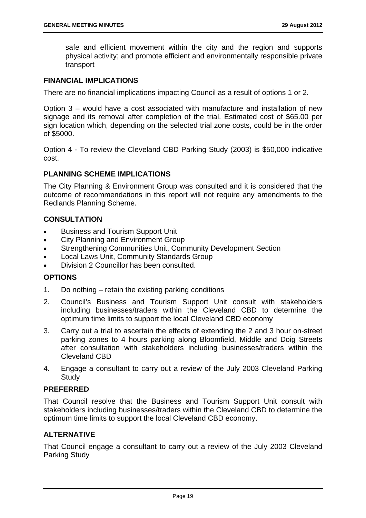safe and efficient movement within the city and the region and supports physical activity; and promote efficient and environmentally responsible private transport

#### **FINANCIAL IMPLICATIONS**

There are no financial implications impacting Council as a result of options 1 or 2.

Option 3 – would have a cost associated with manufacture and installation of new signage and its removal after completion of the trial. Estimated cost of \$65.00 per sign location which, depending on the selected trial zone costs, could be in the order of \$5000.

Option 4 - To review the Cleveland CBD Parking Study (2003) is \$50,000 indicative cost.

#### **PLANNING SCHEME IMPLICATIONS**

The City Planning & Environment Group was consulted and it is considered that the outcome of recommendations in this report will not require any amendments to the Redlands Planning Scheme.

#### **CONSULTATION**

- Business and Tourism Support Unit
- City Planning and Environment Group
- Strengthening Communities Unit, Community Development Section
- Local Laws Unit, Community Standards Group
- Division 2 Councillor has been consulted.

#### **OPTIONS**

- 1. Do nothing retain the existing parking conditions
- 2. Council's Business and Tourism Support Unit consult with stakeholders including businesses/traders within the Cleveland CBD to determine the optimum time limits to support the local Cleveland CBD economy
- 3. Carry out a trial to ascertain the effects of extending the 2 and 3 hour on-street parking zones to 4 hours parking along Bloomfield, Middle and Doig Streets after consultation with stakeholders including businesses/traders within the Cleveland CBD
- 4. Engage a consultant to carry out a review of the July 2003 Cleveland Parking **Study**

#### **PREFERRED**

That Council resolve that the Business and Tourism Support Unit consult with stakeholders including businesses/traders within the Cleveland CBD to determine the optimum time limits to support the local Cleveland CBD economy.

#### **ALTERNATIVE**

That Council engage a consultant to carry out a review of the July 2003 Cleveland Parking Study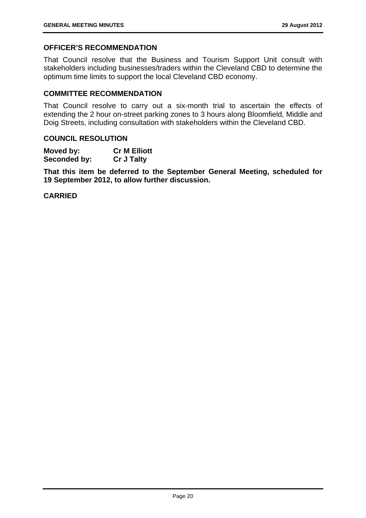#### **OFFICER'S RECOMMENDATION**

That Council resolve that the Business and Tourism Support Unit consult with stakeholders including businesses/traders within the Cleveland CBD to determine the optimum time limits to support the local Cleveland CBD economy.

#### **COMMITTEE RECOMMENDATION**

That Council resolve to carry out a six-month trial to ascertain the effects of extending the 2 hour on-street parking zones to 3 hours along Bloomfield, Middle and Doig Streets, including consultation with stakeholders within the Cleveland CBD.

#### **COUNCIL RESOLUTION**

| Moved by:    | <b>Cr M Elliott</b> |
|--------------|---------------------|
| Seconded by: | <b>Cr J Talty</b>   |

**That this item be deferred to the September General Meeting, scheduled for 19 September 2012, to allow further discussion.** 

**CARRIED**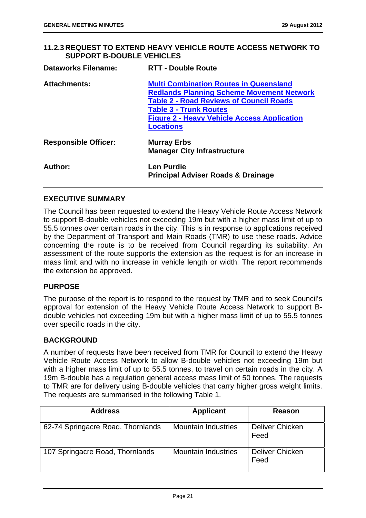#### **11.2.3 REQUEST TO EXTEND HEAVY VEHICLE ROUTE ACCESS NETWORK TO SUPPORT B-DOUBLE VEHICLES**

| <b>Dataworks Filename:</b>  | <b>RTT - Double Route</b>                                                                                                                                                                                                                                      |
|-----------------------------|----------------------------------------------------------------------------------------------------------------------------------------------------------------------------------------------------------------------------------------------------------------|
| <b>Attachments:</b>         | <b>Multi Combination Routes in Queensland</b><br><b>Redlands Planning Scheme Movement Network</b><br><b>Table 2 - Road Reviews of Council Roads</b><br><b>Table 3 - Trunk Routes</b><br><b>Figure 2 - Heavy Vehicle Access Application</b><br><b>Locations</b> |
| <b>Responsible Officer:</b> | <b>Murray Erbs</b><br><b>Manager City Infrastructure</b>                                                                                                                                                                                                       |
| Author:                     | <b>Len Purdie</b><br><b>Principal Adviser Roads &amp; Drainage</b>                                                                                                                                                                                             |

#### **EXECUTIVE SUMMARY**

The Council has been requested to extend the Heavy Vehicle Route Access Network to support B-double vehicles not exceeding 19m but with a higher mass limit of up to 55.5 tonnes over certain roads in the city. This is in response to applications received by the Department of Transport and Main Roads (TMR) to use these roads. Advice concerning the route is to be received from Council regarding its suitability. An assessment of the route supports the extension as the request is for an increase in mass limit and with no increase in vehicle length or width. The report recommends the extension be approved.

#### **PURPOSE**

The purpose of the report is to respond to the request by TMR and to seek Council's approval for extension of the Heavy Vehicle Route Access Network to support Bdouble vehicles not exceeding 19m but with a higher mass limit of up to 55.5 tonnes over specific roads in the city.

#### **BACKGROUND**

A number of requests have been received from TMR for Council to extend the Heavy Vehicle Route Access Network to allow B-double vehicles not exceeding 19m but with a higher mass limit of up to 55.5 tonnes, to travel on certain roads in the city. A 19m B-double has a regulation general access mass limit of 50 tonnes. The requests to TMR are for delivery using B-double vehicles that carry higher gross weight limits. The requests are summarised in the following Table 1.

| <b>Address</b>                    | <b>Applicant</b>           | Reason                  |
|-----------------------------------|----------------------------|-------------------------|
| 62-74 Springacre Road, Thornlands | <b>Mountain Industries</b> | Deliver Chicken<br>Feed |
| 107 Springacre Road, Thornlands   | <b>Mountain Industries</b> | Deliver Chicken<br>Feed |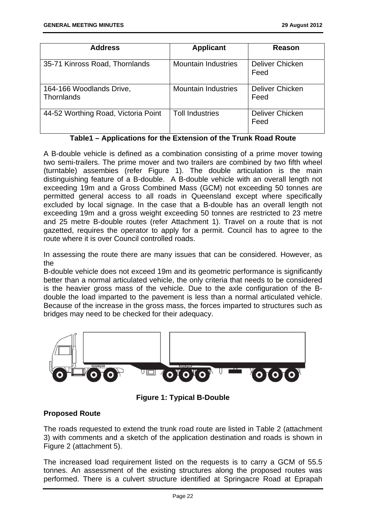| <b>Address</b>                         | <b>Applicant</b>           | Reason                         |
|----------------------------------------|----------------------------|--------------------------------|
| 35-71 Kinross Road, Thornlands         | <b>Mountain Industries</b> | <b>Deliver Chicken</b><br>Feed |
| 164-166 Woodlands Drive,<br>Thornlands | <b>Mountain Industries</b> | Deliver Chicken<br>Feed        |
| 44-52 Worthing Road, Victoria Point    | <b>Toll Industries</b>     | Deliver Chicken<br>Feed        |

**Table1 – Applications for the Extension of the Trunk Road Route** 

A B-double vehicle is defined as a combination consisting of a prime mover towing two semi-trailers. The prime mover and two trailers are combined by two fifth wheel (turntable) assembies (refer Figure 1). The double articulation is the main distinguishing feature of a B-double. A B-double vehicle with an overall length not exceeding 19m and a Gross Combined Mass (GCM) not exceeding 50 tonnes are permitted general access to all roads in Queensland except where specifically excluded by local signage. In the case that a B-double has an overall length not exceeding 19m and a gross weight exceeding 50 tonnes are restricted to 23 metre and 25 metre B-double routes (refer Attachment 1). Travel on a route that is not gazetted, requires the operator to apply for a permit. Council has to agree to the route where it is over Council controlled roads.

In assessing the route there are many issues that can be considered. However, as the

B-double vehicle does not exceed 19m and its geometric performance is significantly better than a normal articulated vehicle, the only criteria that needs to be considered is the heavier gross mass of the vehicle. Due to the axle configuration of the Bdouble the load imparted to the pavement is less than a normal articulated vehicle. Because of the increase in the gross mass, the forces imparted to structures such as bridges may need to be checked for their adequacy.



**Figure 1: Typical B-Double** 

#### **Proposed Route**

The roads requested to extend the trunk road route are listed in Table 2 (attachment 3) with comments and a sketch of the application destination and roads is shown in Figure 2 (attachment 5).

The increased load requirement listed on the requests is to carry a GCM of 55.5 tonnes. An assessment of the existing structures along the proposed routes was performed. There is a culvert structure identified at Springacre Road at Eprapah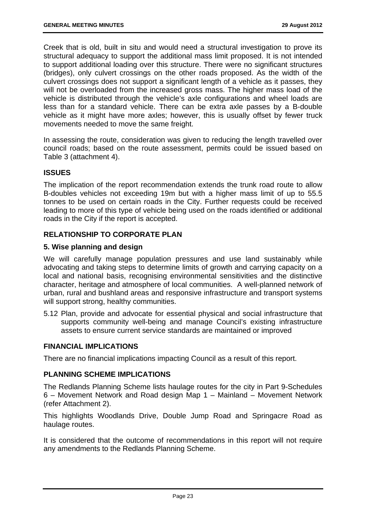Creek that is old, built in situ and would need a structural investigation to prove its structural adequacy to support the additional mass limit proposed. It is not intended to support additional loading over this structure. There were no significant structures (bridges), only culvert crossings on the other roads proposed. As the width of the culvert crossings does not support a significant length of a vehicle as it passes, they will not be overloaded from the increased gross mass. The higher mass load of the vehicle is distributed through the vehicle's axle configurations and wheel loads are less than for a standard vehicle. There can be extra axle passes by a B-double vehicle as it might have more axles; however, this is usually offset by fewer truck movements needed to move the same freight.

In assessing the route, consideration was given to reducing the length travelled over council roads; based on the route assessment, permits could be issued based on Table 3 (attachment 4).

#### **ISSUES**

The implication of the report recommendation extends the trunk road route to allow B-doubles vehicles not exceeding 19m but with a higher mass limit of up to 55.5 tonnes to be used on certain roads in the City. Further requests could be received leading to more of this type of vehicle being used on the roads identified or additional roads in the City if the report is accepted.

#### **RELATIONSHIP TO CORPORATE PLAN**

#### **5. Wise planning and design**

We will carefully manage population pressures and use land sustainably while advocating and taking steps to determine limits of growth and carrying capacity on a local and national basis, recognising environmental sensitivities and the distinctive character, heritage and atmosphere of local communities. A well-planned network of urban, rural and bushland areas and responsive infrastructure and transport systems will support strong, healthy communities.

5.12 Plan, provide and advocate for essential physical and social infrastructure that supports community well-being and manage Council's existing infrastructure assets to ensure current service standards are maintained or improved

#### **FINANCIAL IMPLICATIONS**

There are no financial implications impacting Council as a result of this report.

#### **PLANNING SCHEME IMPLICATIONS**

The Redlands Planning Scheme lists haulage routes for the city in Part 9-Schedules 6 – Movement Network and Road design Map 1 – Mainland – Movement Network (refer Attachment 2).

This highlights Woodlands Drive, Double Jump Road and Springacre Road as haulage routes.

It is considered that the outcome of recommendations in this report will not require any amendments to the Redlands Planning Scheme.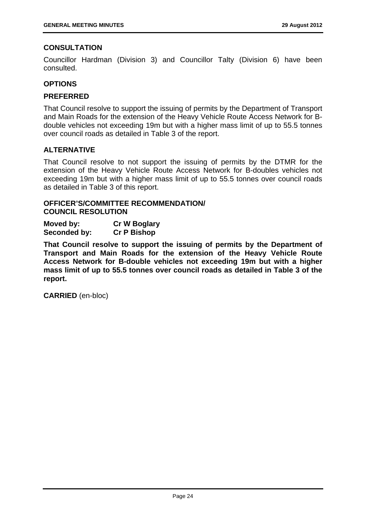#### **CONSULTATION**

Councillor Hardman (Division 3) and Councillor Talty (Division 6) have been consulted.

#### **OPTIONS**

#### **PREFERRED**

That Council resolve to support the issuing of permits by the Department of Transport and Main Roads for the extension of the Heavy Vehicle Route Access Network for Bdouble vehicles not exceeding 19m but with a higher mass limit of up to 55.5 tonnes over council roads as detailed in Table 3 of the report.

#### **ALTERNATIVE**

That Council resolve to not support the issuing of permits by the DTMR for the extension of the Heavy Vehicle Route Access Network for B-doubles vehicles not exceeding 19m but with a higher mass limit of up to 55.5 tonnes over council roads as detailed in Table 3 of this report.

#### **OFFICER'S/COMMITTEE RECOMMENDATION/ COUNCIL RESOLUTION**

**Moved by: Cr W Boglary Seconded by: Cr P Bishop** 

**That Council resolve to support the issuing of permits by the Department of Transport and Main Roads for the extension of the Heavy Vehicle Route Access Network for B-double vehicles not exceeding 19m but with a higher mass limit of up to 55.5 tonnes over council roads as detailed in Table 3 of the report.** 

**CARRIED** (en-bloc)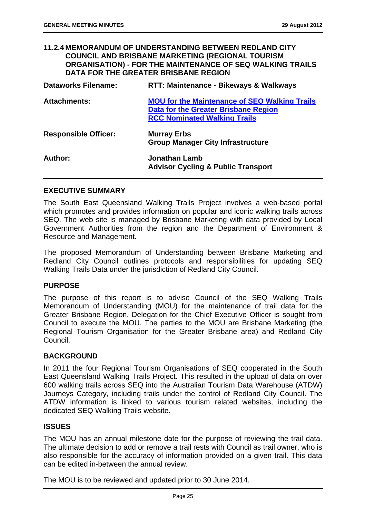#### **11.2.4 MEMORANDUM OF UNDERSTANDING BETWEEN REDLAND CITY COUNCIL AND BRISBANE MARKETING (REGIONAL TOURISM ORGANISATION) - FOR THE MAINTENANCE OF SEQ WALKING TRAILS DATA FOR THE GREATER BRISBANE REGION**

| <b>Dataworks Filename:</b>  | <b>RTT: Maintenance - Bikeways &amp; Walkways</b>                                                                                   |
|-----------------------------|-------------------------------------------------------------------------------------------------------------------------------------|
| <b>Attachments:</b>         | <b>MOU for the Maintenance of SEQ Walking Trails</b><br>Data for the Greater Brisbane Region<br><b>RCC Nominated Walking Trails</b> |
| <b>Responsible Officer:</b> | <b>Murray Erbs</b><br><b>Group Manager City Infrastructure</b>                                                                      |
| Author:                     | <b>Jonathan Lamb</b><br><b>Advisor Cycling &amp; Public Transport</b>                                                               |

#### **EXECUTIVE SUMMARY**

The South East Queensland Walking Trails Project involves a web-based portal which promotes and provides information on popular and iconic walking trails across SEQ. The web site is managed by Brisbane Marketing with data provided by Local Government Authorities from the region and the Department of Environment & Resource and Management.

The proposed Memorandum of Understanding between Brisbane Marketing and Redland City Council outlines protocols and responsibilities for updating SEQ Walking Trails Data under the jurisdiction of Redland City Council.

#### **PURPOSE**

The purpose of this report is to advise Council of the SEQ Walking Trails Memorandum of Understanding (MOU) for the maintenance of trail data for the Greater Brisbane Region. Delegation for the Chief Executive Officer is sought from Council to execute the MOU. The parties to the MOU are Brisbane Marketing (the Regional Tourism Organisation for the Greater Brisbane area) and Redland City Council.

#### **BACKGROUND**

In 2011 the four Regional Tourism Organisations of SEQ cooperated in the South East Queensland Walking Trails Project. This resulted in the upload of data on over 600 walking trails across SEQ into the Australian Tourism Data Warehouse (ATDW) Journeys Category, including trails under the control of Redland City Council. The ATDW information is linked to various tourism related websites, including the dedicated SEQ Walking Trails website.

#### **ISSUES**

The MOU has an annual milestone date for the purpose of reviewing the trail data. The ultimate decision to add or remove a trail rests with Council as trail owner, who is also responsible for the accuracy of information provided on a given trail. This data can be edited in-between the annual review.

The MOU is to be reviewed and updated prior to 30 June 2014.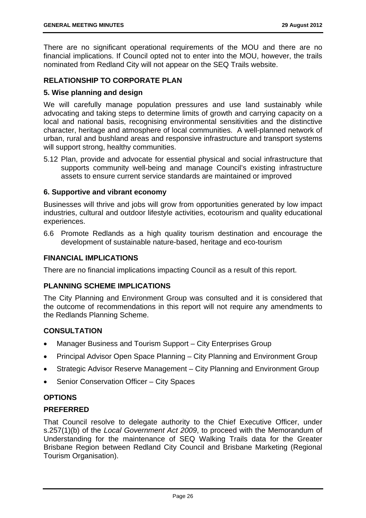There are no significant operational requirements of the MOU and there are no financial implications. If Council opted not to enter into the MOU, however, the trails nominated from Redland City will not appear on the SEQ Trails website.

#### **RELATIONSHIP TO CORPORATE PLAN**

#### **5. Wise planning and design**

We will carefully manage population pressures and use land sustainably while advocating and taking steps to determine limits of growth and carrying capacity on a local and national basis, recognising environmental sensitivities and the distinctive character, heritage and atmosphere of local communities. A well-planned network of urban, rural and bushland areas and responsive infrastructure and transport systems will support strong, healthy communities.

5.12 Plan, provide and advocate for essential physical and social infrastructure that supports community well-being and manage Council's existing infrastructure assets to ensure current service standards are maintained or improved

#### **6. Supportive and vibrant economy**

Businesses will thrive and jobs will grow from opportunities generated by low impact industries, cultural and outdoor lifestyle activities, ecotourism and quality educational experiences.

6.6 Promote Redlands as a high quality tourism destination and encourage the development of sustainable nature-based, heritage and eco-tourism

#### **FINANCIAL IMPLICATIONS**

There are no financial implications impacting Council as a result of this report.

#### **PLANNING SCHEME IMPLICATIONS**

The City Planning and Environment Group was consulted and it is considered that the outcome of recommendations in this report will not require any amendments to the Redlands Planning Scheme.

#### **CONSULTATION**

- Manager Business and Tourism Support City Enterprises Group
- Principal Advisor Open Space Planning City Planning and Environment Group
- Strategic Advisor Reserve Management City Planning and Environment Group
- Senior Conservation Officer City Spaces

#### **OPTIONS**

#### **PREFERRED**

That Council resolve to delegate authority to the Chief Executive Officer, under s.257(1)(b) of the *Local Government Act 2009*, to proceed with the Memorandum of Understanding for the maintenance of SEQ Walking Trails data for the Greater Brisbane Region between Redland City Council and Brisbane Marketing (Regional Tourism Organisation).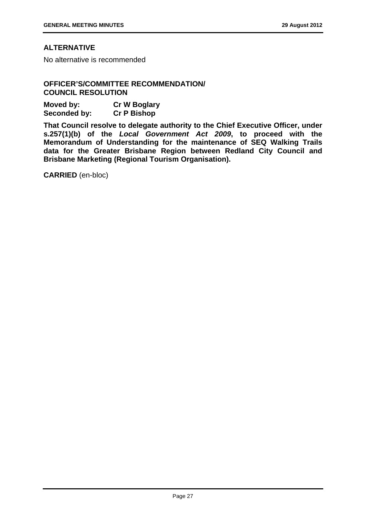#### **ALTERNATIVE**

No alternative is recommended

#### **OFFICER'S/COMMITTEE RECOMMENDATION/ COUNCIL RESOLUTION**

| Moved by:    | <b>Cr W Boglary</b> |
|--------------|---------------------|
| Seconded by: | <b>Cr P Bishop</b>  |

**That Council resolve to delegate authority to the Chief Executive Officer, under s.257(1)(b) of the** *Local Government Act 2009***, to proceed with the Memorandum of Understanding for the maintenance of SEQ Walking Trails data for the Greater Brisbane Region between Redland City Council and Brisbane Marketing (Regional Tourism Organisation).** 

**CARRIED** (en-bloc)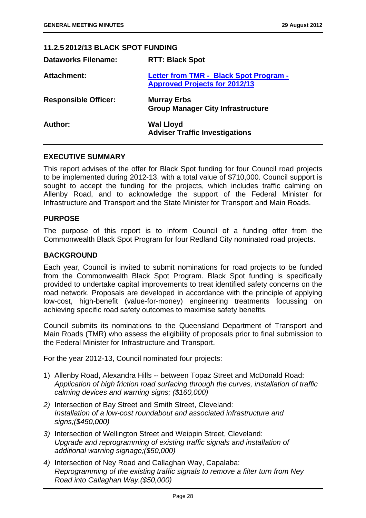| <b>11.2.5 2012/13 BLACK SPOT FUNDING</b> |                                                                                |
|------------------------------------------|--------------------------------------------------------------------------------|
| <b>Dataworks Filename:</b>               | <b>RTT: Black Spot</b>                                                         |
| Attachment:                              | Letter from TMR - Black Spot Program -<br><b>Approved Projects for 2012/13</b> |
| <b>Responsible Officer:</b>              | <b>Murray Erbs</b><br><b>Group Manager City Infrastructure</b>                 |
| Author:                                  | <b>Wal Lloyd</b><br><b>Adviser Traffic Investigations</b>                      |

#### **EXECUTIVE SUMMARY**

This report advises of the offer for Black Spot funding for four Council road projects to be implemented during 2012-13, with a total value of \$710,000. Council support is sought to accept the funding for the projects, which includes traffic calming on Allenby Road, and to acknowledge the support of the Federal Minister for Infrastructure and Transport and the State Minister for Transport and Main Roads.

#### **PURPOSE**

The purpose of this report is to inform Council of a funding offer from the Commonwealth Black Spot Program for four Redland City nominated road projects.

#### **BACKGROUND**

Each year, Council is invited to submit nominations for road projects to be funded from the Commonwealth Black Spot Program. Black Spot funding is specifically provided to undertake capital improvements to treat identified safety concerns on the road network. Proposals are developed in accordance with the principle of applying low-cost, high-benefit (value-for-money) engineering treatments focussing on achieving specific road safety outcomes to maximise safety benefits.

Council submits its nominations to the Queensland Department of Transport and Main Roads (TMR) who assess the eligibility of proposals prior to final submission to the Federal Minister for Infrastructure and Transport.

For the year 2012-13, Council nominated four projects:

- 1) Allenby Road, Alexandra Hills -- between Topaz Street and McDonald Road: *Application of high friction road surfacing through the curves, installation of traffic calming devices and warning signs; (\$160,000)*
- *2)* Intersection of Bay Street and Smith Street, Cleveland: *Installation of a low-cost roundabout and associated infrastructure and signs;(\$450,000)*
- *3)* Intersection of Wellington Street and Weippin Street, Cleveland: *Upgrade and reprogramming of existing traffic signals and installation of additional warning signage;(\$50,000)*
- *4)* Intersection of Ney Road and Callaghan Way, Capalaba: *Reprogramming of the existing traffic signals to remove a filter turn from Ney Road into Callaghan Way.(\$50,000)*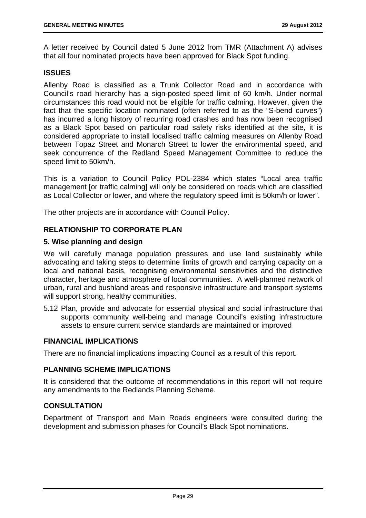A letter received by Council dated 5 June 2012 from TMR (Attachment A) advises that all four nominated projects have been approved for Black Spot funding.

#### **ISSUES**

Allenby Road is classified as a Trunk Collector Road and in accordance with Council's road hierarchy has a sign-posted speed limit of 60 km/h. Under normal circumstances this road would not be eligible for traffic calming. However, given the fact that the specific location nominated (often referred to as the "S-bend curves") has incurred a long history of recurring road crashes and has now been recognised as a Black Spot based on particular road safety risks identified at the site, it is considered appropriate to install localised traffic calming measures on Allenby Road between Topaz Street and Monarch Street to lower the environmental speed, and seek concurrence of the Redland Speed Management Committee to reduce the speed limit to 50km/h.

This is a variation to Council Policy POL-2384 which states "Local area traffic management [or traffic calming] will only be considered on roads which are classified as Local Collector or lower, and where the regulatory speed limit is 50km/h or lower".

The other projects are in accordance with Council Policy.

#### **RELATIONSHIP TO CORPORATE PLAN**

#### **5. Wise planning and design**

We will carefully manage population pressures and use land sustainably while advocating and taking steps to determine limits of growth and carrying capacity on a local and national basis, recognising environmental sensitivities and the distinctive character, heritage and atmosphere of local communities. A well-planned network of urban, rural and bushland areas and responsive infrastructure and transport systems will support strong, healthy communities.

5.12 Plan, provide and advocate for essential physical and social infrastructure that supports community well-being and manage Council's existing infrastructure assets to ensure current service standards are maintained or improved

#### **FINANCIAL IMPLICATIONS**

There are no financial implications impacting Council as a result of this report.

#### **PLANNING SCHEME IMPLICATIONS**

It is considered that the outcome of recommendations in this report will not require any amendments to the Redlands Planning Scheme.

#### **CONSULTATION**

Department of Transport and Main Roads engineers were consulted during the development and submission phases for Council's Black Spot nominations.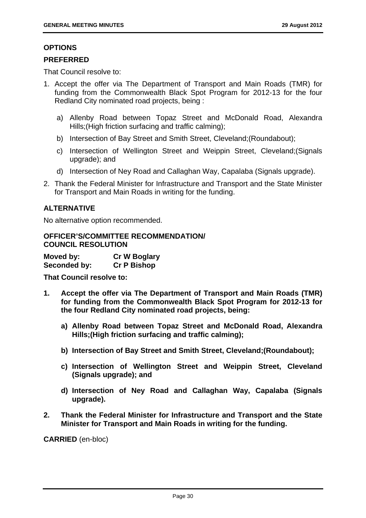#### **OPTIONS**

#### **PREFERRED**

That Council resolve to:

- 1. Accept the offer via The Department of Transport and Main Roads (TMR) for funding from the Commonwealth Black Spot Program for 2012-13 for the four Redland City nominated road projects, being :
	- a) Allenby Road between Topaz Street and McDonald Road, Alexandra Hills;(High friction surfacing and traffic calming);
	- b) Intersection of Bay Street and Smith Street, Cleveland;(Roundabout);
	- c) Intersection of Wellington Street and Weippin Street, Cleveland;(Signals upgrade); and
	- d) Intersection of Ney Road and Callaghan Way, Capalaba (Signals upgrade).
- 2. Thank the Federal Minister for Infrastructure and Transport and the State Minister for Transport and Main Roads in writing for the funding.

#### **ALTERNATIVE**

No alternative option recommended.

#### **OFFICER'S/COMMITTEE RECOMMENDATION/ COUNCIL RESOLUTION**

| Moved by:    | <b>Cr W Boglary</b> |
|--------------|---------------------|
| Seconded by: | <b>Cr P Bishop</b>  |

**That Council resolve to:** 

- **1. Accept the offer via The Department of Transport and Main Roads (TMR) for funding from the Commonwealth Black Spot Program for 2012-13 for the four Redland City nominated road projects, being:** 
	- **a) Allenby Road between Topaz Street and McDonald Road, Alexandra Hills;(High friction surfacing and traffic calming);**
	- **b) Intersection of Bay Street and Smith Street, Cleveland;(Roundabout);**
	- **c) Intersection of Wellington Street and Weippin Street, Cleveland (Signals upgrade); and**
	- **d) Intersection of Ney Road and Callaghan Way, Capalaba (Signals upgrade).**
- **2. Thank the Federal Minister for Infrastructure and Transport and the State Minister for Transport and Main Roads in writing for the funding.**

**CARRIED** (en-bloc)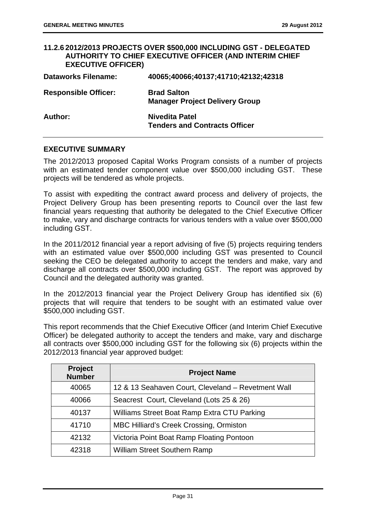#### **11.2.6 2012/2013 PROJECTS OVER \$500,000 INCLUDING GST - DELEGATED AUTHORITY TO CHIEF EXECUTIVE OFFICER (AND INTERIM CHIEF EXECUTIVE OFFICER) Dataworks Filename: 40065;40066;40137;41710;42132;42318 Responsible Officer: Brad Salton Manager Project Delivery Group**  Author: Nivedita Patel **Tenders and Contracts Officer**

#### **EXECUTIVE SUMMARY**

The 2012/2013 proposed Capital Works Program consists of a number of projects with an estimated tender component value over \$500,000 including GST. These projects will be tendered as whole projects.

To assist with expediting the contract award process and delivery of projects, the Project Delivery Group has been presenting reports to Council over the last few financial years requesting that authority be delegated to the Chief Executive Officer to make, vary and discharge contracts for various tenders with a value over \$500,000 including GST.

In the 2011/2012 financial year a report advising of five (5) projects requiring tenders with an estimated value over \$500,000 including GST was presented to Council seeking the CEO be delegated authority to accept the tenders and make, vary and discharge all contracts over \$500,000 including GST. The report was approved by Council and the delegated authority was granted.

In the 2012/2013 financial year the Project Delivery Group has identified six (6) projects that will require that tenders to be sought with an estimated value over \$500,000 including GST.

This report recommends that the Chief Executive Officer (and Interim Chief Executive Officer) be delegated authority to accept the tenders and make, vary and discharge all contracts over \$500,000 including GST for the following six (6) projects within the 2012/2013 financial year approved budget:

| <b>Project</b><br><b>Number</b> | <b>Project Name</b>                                |
|---------------------------------|----------------------------------------------------|
| 40065                           | 12 & 13 Seahaven Court, Cleveland - Revetment Wall |
| 40066                           | Seacrest Court, Cleveland (Lots 25 & 26)           |
| 40137                           | Williams Street Boat Ramp Extra CTU Parking        |
| 41710                           | <b>MBC Hilliard's Creek Crossing, Ormiston</b>     |
| 42132                           | Victoria Point Boat Ramp Floating Pontoon          |
| 42318                           | <b>William Street Southern Ramp</b>                |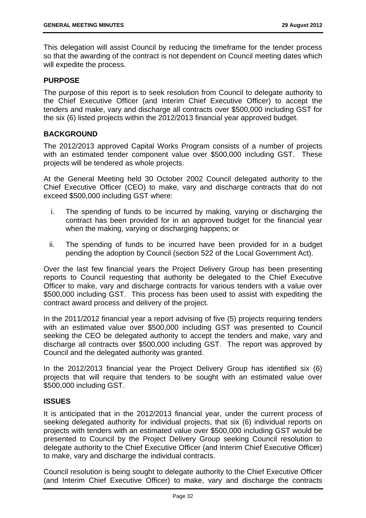This delegation will assist Council by reducing the timeframe for the tender process so that the awarding of the contract is not dependent on Council meeting dates which will expedite the process.

## **PURPOSE**

The purpose of this report is to seek resolution from Council to delegate authority to the Chief Executive Officer (and Interim Chief Executive Officer) to accept the tenders and make, vary and discharge all contracts over \$500,000 including GST for the six (6) listed projects within the 2012/2013 financial year approved budget.

## **BACKGROUND**

The 2012/2013 approved Capital Works Program consists of a number of projects with an estimated tender component value over \$500,000 including GST. These projects will be tendered as whole projects.

At the General Meeting held 30 October 2002 Council delegated authority to the Chief Executive Officer (CEO) to make, vary and discharge contracts that do not exceed \$500,000 including GST where:

- i. The spending of funds to be incurred by making, varying or discharging the contract has been provided for in an approved budget for the financial year when the making, varying or discharging happens; or
- ii. The spending of funds to be incurred have been provided for in a budget pending the adoption by Council (section 522 of the Local Government Act).

Over the last few financial years the Project Delivery Group has been presenting reports to Council requesting that authority be delegated to the Chief Executive Officer to make, vary and discharge contracts for various tenders with a value over \$500,000 including GST. This process has been used to assist with expediting the contract award process and delivery of the project.

In the 2011/2012 financial year a report advising of five (5) projects requiring tenders with an estimated value over \$500,000 including GST was presented to Council seeking the CEO be delegated authority to accept the tenders and make, vary and discharge all contracts over \$500,000 including GST. The report was approved by Council and the delegated authority was granted.

In the 2012/2013 financial year the Project Delivery Group has identified six (6) projects that will require that tenders to be sought with an estimated value over \$500,000 including GST.

### **ISSUES**

It is anticipated that in the 2012/2013 financial year, under the current process of seeking delegated authority for individual projects, that six (6) individual reports on projects with tenders with an estimated value over \$500,000 including GST would be presented to Council by the Project Delivery Group seeking Council resolution to delegate authority to the Chief Executive Officer (and Interim Chief Executive Officer) to make, vary and discharge the individual contracts.

Council resolution is being sought to delegate authority to the Chief Executive Officer (and Interim Chief Executive Officer) to make, vary and discharge the contracts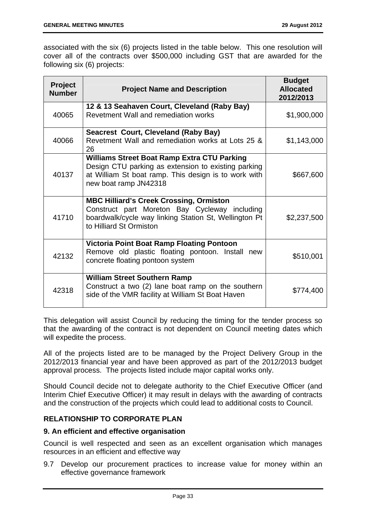associated with the six (6) projects listed in the table below. This one resolution will cover all of the contracts over \$500,000 including GST that are awarded for the following six (6) projects:

| <b>Project</b><br><b>Number</b> | <b>Project Name and Description</b>                                                                                                                                                        | <b>Budget</b><br><b>Allocated</b><br>2012/2013 |
|---------------------------------|--------------------------------------------------------------------------------------------------------------------------------------------------------------------------------------------|------------------------------------------------|
| 40065                           | 12 & 13 Seahaven Court, Cleveland (Raby Bay)<br>Revetment Wall and remediation works                                                                                                       | \$1,900,000                                    |
| 40066                           | Seacrest Court, Cleveland (Raby Bay)<br>Revetment Wall and remediation works at Lots 25 &<br>26                                                                                            | \$1,143,000                                    |
| 40137                           | <b>Williams Street Boat Ramp Extra CTU Parking</b><br>Design CTU parking as extension to existing parking<br>at William St boat ramp. This design is to work with<br>new boat ramp JN42318 | \$667,600                                      |
| 41710                           | <b>MBC Hilliard's Creek Crossing, Ormiston</b><br>Construct part Moreton Bay Cycleway including<br>boardwalk/cycle way linking Station St, Wellington Pt<br>to Hilliard St Ormiston        | \$2,237,500                                    |
| 42132                           | <b>Victoria Point Boat Ramp Floating Pontoon</b><br>Remove old plastic floating pontoon. Install new<br>concrete floating pontoon system                                                   | \$510,001                                      |
| 42318                           | <b>William Street Southern Ramp</b><br>Construct a two (2) lane boat ramp on the southern<br>side of the VMR facility at William St Boat Haven                                             | \$774,400                                      |

This delegation will assist Council by reducing the timing for the tender process so that the awarding of the contract is not dependent on Council meeting dates which will expedite the process.

All of the projects listed are to be managed by the Project Delivery Group in the 2012/2013 financial year and have been approved as part of the 2012/2013 budget approval process. The projects listed include major capital works only.

Should Council decide not to delegate authority to the Chief Executive Officer (and Interim Chief Executive Officer) it may result in delays with the awarding of contracts and the construction of the projects which could lead to additional costs to Council.

# **RELATIONSHIP TO CORPORATE PLAN**

### **9. An efficient and effective organisation**

Council is well respected and seen as an excellent organisation which manages resources in an efficient and effective way

9.7 Develop our procurement practices to increase value for money within an effective governance framework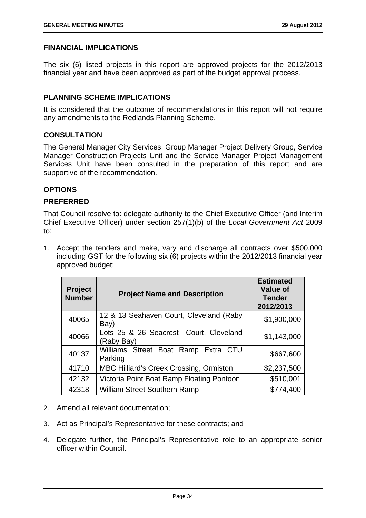# **FINANCIAL IMPLICATIONS**

The six (6) listed projects in this report are approved projects for the 2012/2013 financial year and have been approved as part of the budget approval process.

# **PLANNING SCHEME IMPLICATIONS**

It is considered that the outcome of recommendations in this report will not require any amendments to the Redlands Planning Scheme.

## **CONSULTATION**

The General Manager City Services, Group Manager Project Delivery Group, Service Manager Construction Projects Unit and the Service Manager Project Management Services Unit have been consulted in the preparation of this report and are supportive of the recommendation.

# **OPTIONS**

## **PREFERRED**

That Council resolve to: delegate authority to the Chief Executive Officer (and Interim Chief Executive Officer) under section 257(1)(b) of the *Local Government Act* 2009 to:

1. Accept the tenders and make, vary and discharge all contracts over \$500,000 including GST for the following six (6) projects within the 2012/2013 financial year approved budget;

| <b>Project</b><br><b>Number</b> | <b>Project Name and Description</b>                  | <b>Estimated</b><br><b>Value of</b><br><b>Tender</b><br>2012/2013 |
|---------------------------------|------------------------------------------------------|-------------------------------------------------------------------|
| 40065                           | 12 & 13 Seahaven Court, Cleveland (Raby<br>Bay)      | \$1,900,000                                                       |
| 40066                           | Lots 25 & 26 Seacrest Court, Cleveland<br>(Raby Bay) | \$1,143,000                                                       |
| 40137                           | Williams Street Boat Ramp Extra CTU<br>Parking       | \$667,600                                                         |
| 41710                           | <b>MBC Hilliard's Creek Crossing, Ormiston</b>       | \$2,237,500                                                       |
| 42132                           | Victoria Point Boat Ramp Floating Pontoon            | \$510,001                                                         |
| 42318                           | <b>William Street Southern Ramp</b>                  | \$774,400                                                         |

- 2. Amend all relevant documentation;
- 3. Act as Principal's Representative for these contracts; and
- 4. Delegate further, the Principal's Representative role to an appropriate senior officer within Council.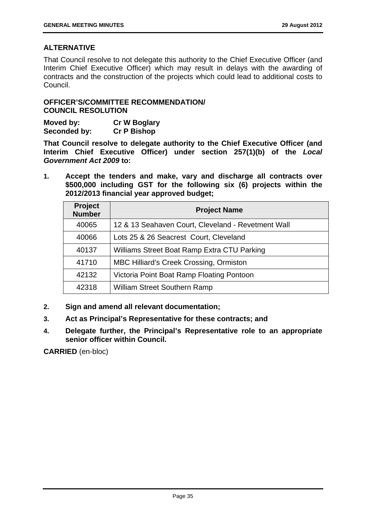# **ALTERNATIVE**

That Council resolve to not delegate this authority to the Chief Executive Officer (and Interim Chief Executive Officer) which may result in delays with the awarding of contracts and the construction of the projects which could lead to additional costs to Council.

# **OFFICER'S/COMMITTEE RECOMMENDATION/ COUNCIL RESOLUTION**

| Moved by:    | <b>Cr W Boglary</b> |
|--------------|---------------------|
| Seconded by: | <b>Cr P Bishop</b>  |

**That Council resolve to delegate authority to the Chief Executive Officer (and Interim Chief Executive Officer) under section 257(1)(b) of the** *Local Government Act 2009* **to:** 

**1. Accept the tenders and make, vary and discharge all contracts over \$500,000 including GST for the following six (6) projects within the 2012/2013 financial year approved budget;** 

| Project<br><b>Number</b> | <b>Project Name</b>                                |
|--------------------------|----------------------------------------------------|
| 40065                    | 12 & 13 Seahaven Court, Cleveland - Revetment Wall |
| 40066                    | Lots 25 & 26 Seacrest Court, Cleveland             |
| 40137                    | Williams Street Boat Ramp Extra CTU Parking        |
| 41710                    | <b>MBC Hilliard's Creek Crossing, Ormiston</b>     |
| 42132                    | Victoria Point Boat Ramp Floating Pontoon          |
| 42318                    | <b>William Street Southern Ramp</b>                |

- **2. Sign and amend all relevant documentation;**
- **3. Act as Principal's Representative for these contracts; and**
- **4. Delegate further, the Principal's Representative role to an appropriate senior officer within Council.**

**CARRIED** (en-bloc)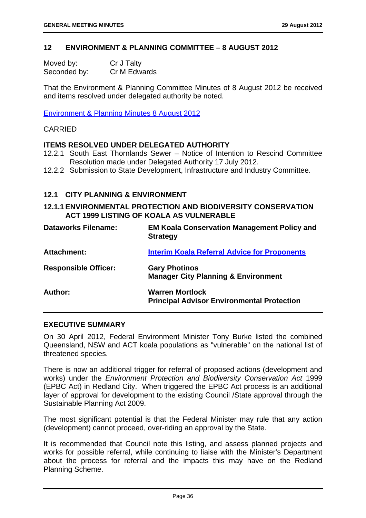## **12 ENVIRONMENT & PLANNING COMMITTEE – 8 AUGUST 2012**

| Moved by:    | Cr J Talty   |
|--------------|--------------|
| Seconded by: | Cr M Edwards |

That the Environment & Planning Committee Minutes of 8 August 2012 be received and items resolved under delegated authority be noted.

Environment & Planning Minutes 8 August 2012

#### CARRIED

### **ITEMS RESOLVED UNDER DELEGATED AUTHORITY**

- 12.2.1 South East Thornlands Sewer Notice of Intention to Rescind Committee Resolution made under Delegated Authority 17 July 2012.
- 12.2.2 Submission to State Development, Infrastructure and Industry Committee.

#### **12.1 CITY PLANNING & ENVIRONMENT**

# **12.1.1 ENVIRONMENTAL PROTECTION AND BIODIVERSITY CONSERVATION ACT 1999 LISTING OF KOALA AS VULNERABLE**

| <b>Dataworks Filename:</b>  | <b>EM Koala Conservation Management Policy and</b><br><b>Strategy</b>       |
|-----------------------------|-----------------------------------------------------------------------------|
| <b>Attachment:</b>          | <b>Interim Koala Referral Advice for Proponents</b>                         |
| <b>Responsible Officer:</b> | <b>Gary Photinos</b><br><b>Manager City Planning &amp; Environment</b>      |
| Author:                     | <b>Warren Mortlock</b><br><b>Principal Advisor Environmental Protection</b> |

#### **EXECUTIVE SUMMARY**

On 30 April 2012, Federal Environment Minister Tony Burke listed the combined Queensland, NSW and ACT koala populations as "vulnerable" on the national list of threatened species.

There is now an additional trigger for referral of proposed actions (development and works) under the *Environment Protection and Biodiversity Conservation Act* 1999 (EPBC Act) in Redland City. When triggered the EPBC Act process is an additional layer of approval for development to the existing Council /State approval through the Sustainable Planning Act 2009.

The most significant potential is that the Federal Minister may rule that any action (development) cannot proceed, over-riding an approval by the State.

It is recommended that Council note this listing, and assess planned projects and works for possible referral, while continuing to liaise with the Minister's Department about the process for referral and the impacts this may have on the Redland Planning Scheme.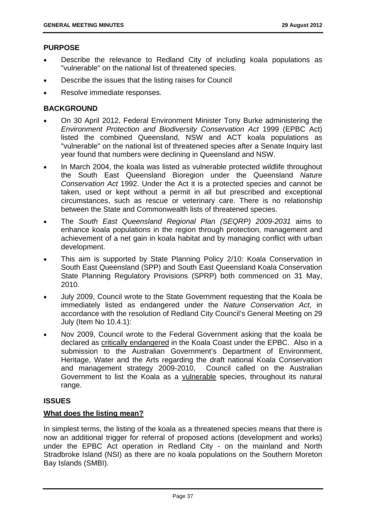# **PURPOSE**

- Describe the relevance to Redland City of including koala populations as "vulnerable" on the national list of threatened species.
- Describe the issues that the listing raises for Council
- Resolve immediate responses.

# **BACKGROUND**

- On 30 April 2012, Federal Environment Minister Tony Burke administering the *Environment Protection and Biodiversity Conservation Act* 1999 (EPBC Act) listed the combined Queensland, NSW and ACT koala populations as "vulnerable" on the national list of threatened species after a Senate Inquiry last year found that numbers were declining in Queensland and NSW.
- In March 2004, the koala was listed as vulnerable protected wildlife throughout the South East Queensland Bioregion under the Queensland *Nature Conservation Act* 1992. Under the Act it is a protected species and cannot be taken, used or kept without a permit in all but prescribed and exceptional circumstances, such as rescue or veterinary care. There is no relationship between the State and Commonwealth lists of threatened species.
- The *South East Queensland Regional Plan (SEQRP) 2009-2031* aims to enhance koala populations in the region through protection, management and achievement of a net gain in koala habitat and by managing conflict with urban development.
- This aim is supported by State Planning Policy 2/10: Koala Conservation in South East Queensland (SPP) and South East Queensland Koala Conservation State Planning Regulatory Provisions (SPRP) both commenced on 31 May, 2010.
- July 2009, Council wrote to the State Government requesting that the Koala be immediately listed as endangered under the *Nature Conservation Act*, in accordance with the resolution of Redland City Council's General Meeting on 29 July (Item No 10.4.1):
- Nov 2009, Council wrote to the Federal Government asking that the koala be declared as critically endangered in the Koala Coast under the EPBC. Also in a submission to the Australian Government's Department of Environment, Heritage, Water and the Arts regarding the draft national Koala Conservation and management strategy 2009-2010, Council called on the Australian Government to list the Koala as a vulnerable species, throughout its natural range.

# **ISSUES**

### **What does the listing mean?**

In simplest terms, the listing of the koala as a threatened species means that there is now an additional trigger for referral of proposed actions (development and works) under the EPBC Act operation in Redland City - on the mainland and North Stradbroke Island (NSI) as there are no koala populations on the Southern Moreton Bay Islands (SMBI).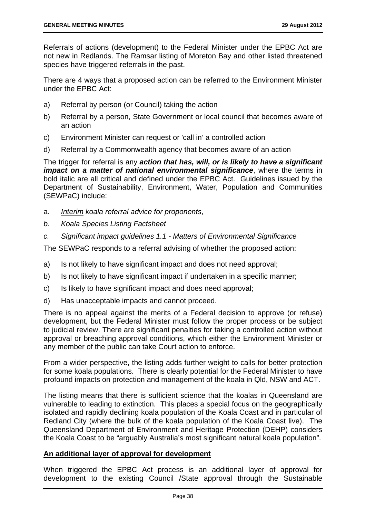Referrals of actions (development) to the Federal Minister under the EPBC Act are not new in Redlands. The Ramsar listing of Moreton Bay and other listed threatened species have triggered referrals in the past.

There are 4 ways that a proposed action can be referred to the Environment Minister under the EPBC Act:

- a) Referral by person (or Council) taking the action
- b) Referral by a person, State Government or local council that becomes aware of an action
- c) Environment Minister can request or 'call in' a controlled action
- d) Referral by a Commonwealth agency that becomes aware of an action

The trigger for referral is any *action that has, will, or is likely to have a significant impact on a matter of national environmental significance*, where the terms in bold italic are all critical and defined under the EPBC Act. Guidelines issued by the Department of Sustainability, Environment, Water, Population and Communities (SEWPaC) include:

- a. *Interim koala referral advice for proponents*,
- *b. Koala Species Listing Factsheet*
- *c. Significant impact guidelines 1.1 Matters of Environmental Significance*

The SEWPaC responds to a referral advising of whether the proposed action:

- a) Is not likely to have significant impact and does not need approval;
- b) Is not likely to have significant impact if undertaken in a specific manner;
- c) Is likely to have significant impact and does need approval;
- d) Has unacceptable impacts and cannot proceed.

There is no appeal against the merits of a Federal decision to approve (or refuse) development, but the Federal Minister must follow the proper process or be subject to judicial review. There are significant penalties for taking a controlled action without approval or breaching approval conditions, which either the Environment Minister or any member of the public can take Court action to enforce.

From a wider perspective, the listing adds further weight to calls for better protection for some koala populations. There is clearly potential for the Federal Minister to have profound impacts on protection and management of the koala in Qld, NSW and ACT.

The listing means that there is sufficient science that the koalas in Queensland are vulnerable to leading to extinction. This places a special focus on the geographically isolated and rapidly declining koala population of the Koala Coast and in particular of Redland City (where the bulk of the koala population of the Koala Coast live). The Queensland Department of Environment and Heritage Protection (DEHP) considers the Koala Coast to be "arguably Australia's most significant natural koala population".

# **An additional layer of approval for development**

When triggered the EPBC Act process is an additional layer of approval for development to the existing Council /State approval through the Sustainable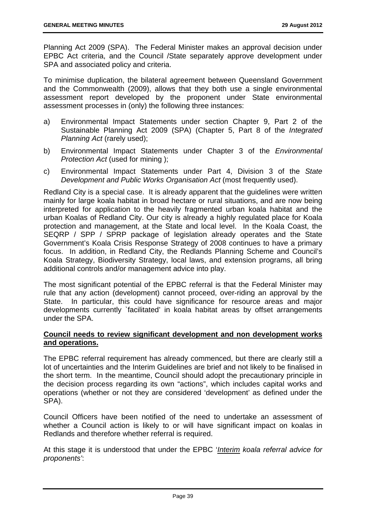Planning Act 2009 (SPA). The Federal Minister makes an approval decision under EPBC Act criteria, and the Council /State separately approve development under SPA and associated policy and criteria.

To minimise duplication, the bilateral agreement between Queensland Government and the Commonwealth (2009), allows that they both use a single environmental assessment report developed by the proponent under State environmental assessment processes in (only) the following three instances:

- a) Environmental Impact Statements under section Chapter 9, Part 2 of the Sustainable Planning Act 2009 (SPA) (Chapter 5, Part 8 of the *Integrated Planning Act* (rarely used);
- b) Environmental Impact Statements under Chapter 3 of the *Environmental Protection Act* (used for mining);
- c) Environmental Impact Statements under Part 4, Division 3 of the *State Development and Public Works Organisation Act* (most frequently used).

Redland City is a special case. It is already apparent that the guidelines were written mainly for large koala habitat in broad hectare or rural situations, and are now being interpreted for application to the heavily fragmented urban koala habitat and the urban Koalas of Redland City. Our city is already a highly regulated place for Koala protection and management, at the State and local level. In the Koala Coast, the SEQRP / SPP / SPRP package of legislation already operates and the State Government's Koala Crisis Response Strategy of 2008 continues to have a primary focus. In addition, in Redland City, the Redlands Planning Scheme and Council's Koala Strategy, Biodiversity Strategy, local laws, and extension programs, all bring additional controls and/or management advice into play.

The most significant potential of the EPBC referral is that the Federal Minister may rule that any action (development) cannot proceed, over-riding an approval by the State. In particular, this could have significance for resource areas and major developments currently `facilitated' in koala habitat areas by offset arrangements under the SPA.

# **Council needs to review significant development and non development works and operations.**

The EPBC referral requirement has already commenced, but there are clearly still a lot of uncertainties and the Interim Guidelines are brief and not likely to be finalised in the short term. In the meantime, Council should adopt the precautionary principle in the decision process regarding its own "actions", which includes capital works and operations (whether or not they are considered 'development' as defined under the SPA).

Council Officers have been notified of the need to undertake an assessment of whether a Council action is likely to or will have significant impact on koalas in Redlands and therefore whether referral is required.

At this stage it is understood that under the EPBC '*Interim koala referral advice for proponents'*: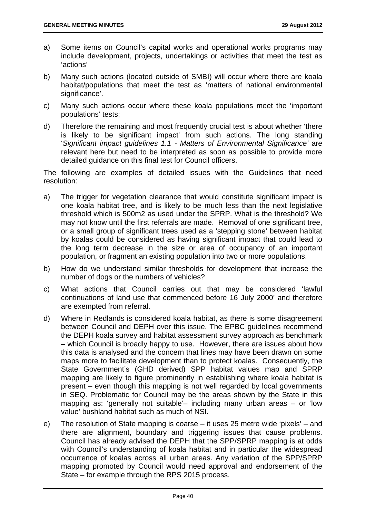- a) Some items on Council's capital works and operational works programs may include development, projects, undertakings or activities that meet the test as 'actions'
- b) Many such actions (located outside of SMBI) will occur where there are koala habitat/populations that meet the test as 'matters of national environmental significance'.
- c) Many such actions occur where these koala populations meet the 'important populations' tests;
- d) Therefore the remaining and most frequently crucial test is about whether 'there is likely to be significant impact' from such actions. The long standing '*Significant impact guidelines 1.1 - Matters of Environmental Significance'* are relevant here but need to be interpreted as soon as possible to provide more detailed guidance on this final test for Council officers.

The following are examples of detailed issues with the Guidelines that need resolution:

- a) The trigger for vegetation clearance that would constitute significant impact is one koala habitat tree, and is likely to be much less than the next legislative threshold which is 500m2 as used under the SPRP. What is the threshold? We may not know until the first referrals are made. Removal of one significant tree, or a small group of significant trees used as a 'stepping stone' between habitat by koalas could be considered as having significant impact that could lead to the long term decrease in the size or area of occupancy of an important population, or fragment an existing population into two or more populations.
- b) How do we understand similar thresholds for development that increase the number of dogs or the numbers of vehicles?
- c) What actions that Council carries out that may be considered 'lawful continuations of land use that commenced before 16 July 2000' and therefore are exempted from referral.
- d) Where in Redlands is considered koala habitat, as there is some disagreement between Council and DEPH over this issue. The EPBC guidelines recommend the DEPH koala survey and habitat assessment survey approach as benchmark – which Council is broadly happy to use. However, there are issues about how this data is analysed and the concern that lines may have been drawn on some maps more to facilitate development than to protect koalas. Consequently, the State Government's (GHD derived) SPP habitat values map and SPRP mapping are likely to figure prominently in establishing where koala habitat is present – even though this mapping is not well regarded by local governments in SEQ. Problematic for Council may be the areas shown by the State in this mapping as: 'generally not suitable'– including many urban areas – or 'low value' bushland habitat such as much of NSI.
- e) The resolution of State mapping is coarse it uses 25 metre wide 'pixels' and there are alignment, boundary and triggering issues that cause problems. Council has already advised the DEPH that the SPP/SPRP mapping is at odds with Council's understanding of koala habitat and in particular the widespread occurrence of koalas across all urban areas. Any variation of the SPP/SPRP mapping promoted by Council would need approval and endorsement of the State – for example through the RPS 2015 process.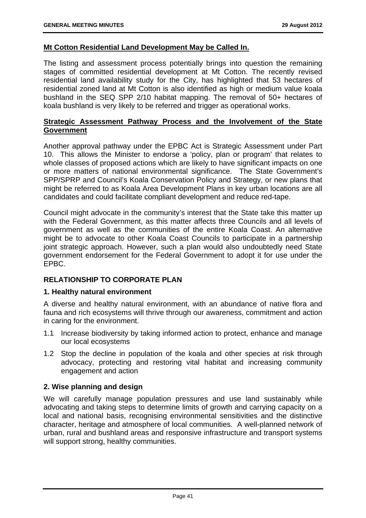### **Mt Cotton Residential Land Development May be Called In.**

The listing and assessment process potentially brings into question the remaining stages of committed residential development at Mt Cotton. The recently revised residential land availability study for the City, has highlighted that 53 hectares of residential zoned land at Mt Cotton is also identified as high or medium value koala bushland in the SEQ SPP 2/10 habitat mapping. The removal of 50+ hectares of koala bushland is very likely to be referred and trigger as operational works.

# **Strategic Assessment Pathway Process and the Involvement of the State Government**

Another approval pathway under the EPBC Act is Strategic Assessment under Part 10. This allows the Minister to endorse a 'policy, plan or program' that relates to whole classes of proposed actions which are likely to have significant impacts on one or more matters of national environmental significance. The State Government's SPP/SPRP and Council's Koala Conservation Policy and Strategy, or new plans that might be referred to as Koala Area Development Plans in key urban locations are all candidates and could facilitate compliant development and reduce red-tape.

Council might advocate in the community's interest that the State take this matter up with the Federal Government, as this matter affects three Councils and all levels of government as well as the communities of the entire Koala Coast. An alternative might be to advocate to other Koala Coast Councils to participate in a partnership joint strategic approach. However, such a plan would also undoubtedly need State government endorsement for the Federal Government to adopt it for use under the EPBC.

# **RELATIONSHIP TO CORPORATE PLAN**

### **1. Healthy natural environment**

A diverse and healthy natural environment, with an abundance of native flora and fauna and rich ecosystems will thrive through our awareness, commitment and action in caring for the environment.

- 1.1 Increase biodiversity by taking informed action to protect, enhance and manage our local ecosystems
- 1.2 Stop the decline in population of the koala and other species at risk through advocacy, protecting and restoring vital habitat and increasing community engagement and action

### **2. Wise planning and design**

We will carefully manage population pressures and use land sustainably while advocating and taking steps to determine limits of growth and carrying capacity on a local and national basis, recognising environmental sensitivities and the distinctive character, heritage and atmosphere of local communities. A well-planned network of urban, rural and bushland areas and responsive infrastructure and transport systems will support strong, healthy communities.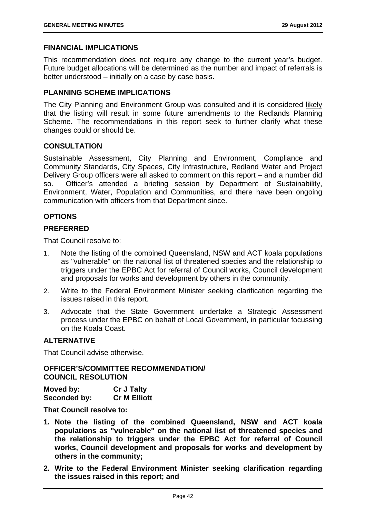### **FINANCIAL IMPLICATIONS**

This recommendation does not require any change to the current year's budget. Future budget allocations will be determined as the number and impact of referrals is better understood – initially on a case by case basis.

#### **PLANNING SCHEME IMPLICATIONS**

The City Planning and Environment Group was consulted and it is considered likely that the listing will result in some future amendments to the Redlands Planning Scheme. The recommendations in this report seek to further clarify what these changes could or should be.

#### **CONSULTATION**

Sustainable Assessment, City Planning and Environment, Compliance and Community Standards, City Spaces, City Infrastructure, Redland Water and Project Delivery Group officers were all asked to comment on this report – and a number did so. Officer's attended a briefing session by Department of Sustainability, Environment, Water, Population and Communities, and there have been ongoing communication with officers from that Department since.

### **OPTIONS**

### **PREFERRED**

That Council resolve to:

- 1. Note the listing of the combined Queensland, NSW and ACT koala populations as "vulnerable" on the national list of threatened species and the relationship to triggers under the EPBC Act for referral of Council works, Council development and proposals for works and development by others in the community.
- 2. Write to the Federal Environment Minister seeking clarification regarding the issues raised in this report.
- 3. Advocate that the State Government undertake a Strategic Assessment process under the EPBC on behalf of Local Government, in particular focussing on the Koala Coast.

# **ALTERNATIVE**

That Council advise otherwise.

### **OFFICER'S/COMMITTEE RECOMMENDATION/ COUNCIL RESOLUTION**

| Moved by:    | <b>Cr J Talty</b>   |
|--------------|---------------------|
| Seconded by: | <b>Cr M Elliott</b> |

**That Council resolve to:** 

- **1. Note the listing of the combined Queensland, NSW and ACT koala populations as "vulnerable" on the national list of threatened species and the relationship to triggers under the EPBC Act for referral of Council works, Council development and proposals for works and development by others in the community;**
- **2. Write to the Federal Environment Minister seeking clarification regarding the issues raised in this report; and**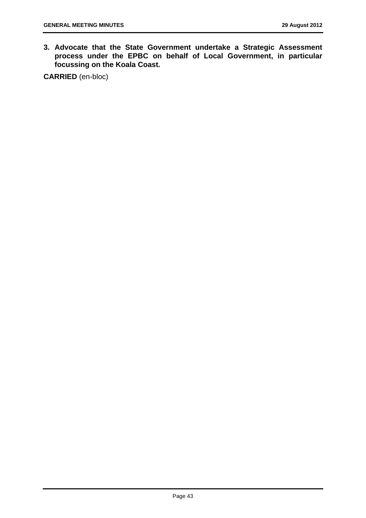**3. Advocate that the State Government undertake a Strategic Assessment process under the EPBC on behalf of Local Government, in particular focussing on the Koala Coast.** 

**CARRIED** (en-bloc)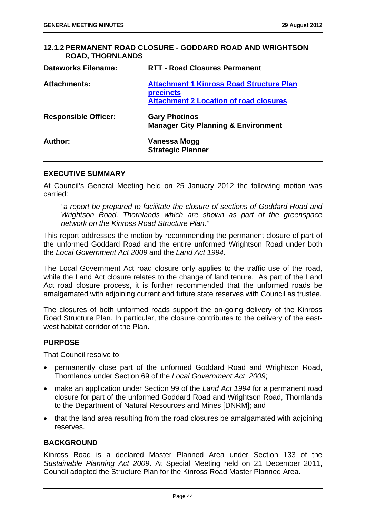## **12.1.2 PERMANENT ROAD CLOSURE - GODDARD ROAD AND WRIGHTSON ROAD, THORNLANDS**

| <b>Dataworks Filename:</b>  | <b>RTT - Road Closures Permanent</b>                                                                                 |
|-----------------------------|----------------------------------------------------------------------------------------------------------------------|
| <b>Attachments:</b>         | <b>Attachment 1 Kinross Road Structure Plan</b><br><b>precincts</b><br><b>Attachment 2 Location of road closures</b> |
| <b>Responsible Officer:</b> | <b>Gary Photinos</b><br><b>Manager City Planning &amp; Environment</b>                                               |
| Author:                     | Vanessa Mogg<br><b>Strategic Planner</b>                                                                             |

## **EXECUTIVE SUMMARY**

At Council's General Meeting held on 25 January 2012 the following motion was carried:

*"a report be prepared to facilitate the closure of sections of Goddard Road and Wrightson Road, Thornlands which are shown as part of the greenspace network on the Kinross Road Structure Plan."* 

This report addresses the motion by recommending the permanent closure of part of the unformed Goddard Road and the entire unformed Wrightson Road under both the *Local Government Act 2009* and the *Land Act 1994*.

The Local Government Act road closure only applies to the traffic use of the road, while the Land Act closure relates to the change of land tenure. As part of the Land Act road closure process, it is further recommended that the unformed roads be amalgamated with adjoining current and future state reserves with Council as trustee.

The closures of both unformed roads support the on-going delivery of the Kinross Road Structure Plan. In particular, the closure contributes to the delivery of the eastwest habitat corridor of the Plan.

# **PURPOSE**

That Council resolve to:

- permanently close part of the unformed Goddard Road and Wrightson Road, Thornlands under Section 69 of the *Local Government Act 2009*;
- make an application under Section 99 of the *Land Act 1994* for a permanent road closure for part of the unformed Goddard Road and Wrightson Road, Thornlands to the Department of Natural Resources and Mines [DNRM]; and
- that the land area resulting from the road closures be amalgamated with adjoining reserves.

# **BACKGROUND**

Kinross Road is a declared Master Planned Area under Section 133 of the *Sustainable Planning Act 2009*. At Special Meeting held on 21 December 2011, Council adopted the Structure Plan for the Kinross Road Master Planned Area.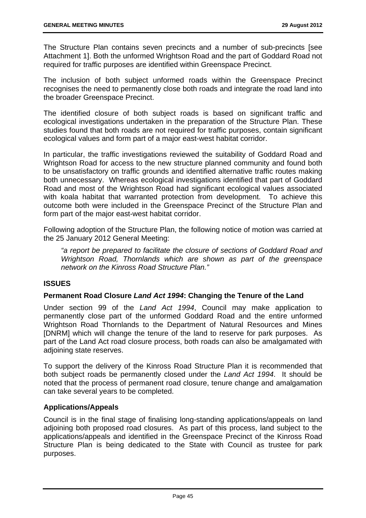The Structure Plan contains seven precincts and a number of sub-precincts [see Attachment 1]. Both the unformed Wrightson Road and the part of Goddard Road not required for traffic purposes are identified within Greenspace Precinct.

The inclusion of both subject unformed roads within the Greenspace Precinct recognises the need to permanently close both roads and integrate the road land into the broader Greenspace Precinct.

The identified closure of both subject roads is based on significant traffic and ecological investigations undertaken in the preparation of the Structure Plan. These studies found that both roads are not required for traffic purposes, contain significant ecological values and form part of a major east-west habitat corridor.

In particular, the traffic investigations reviewed the suitability of Goddard Road and Wrightson Road for access to the new structure planned community and found both to be unsatisfactory on traffic grounds and identified alternative traffic routes making both unnecessary. Whereas ecological investigations identified that part of Goddard Road and most of the Wrightson Road had significant ecological values associated with koala habitat that warranted protection from development. To achieve this outcome both were included in the Greenspace Precinct of the Structure Plan and form part of the major east-west habitat corridor.

Following adoption of the Structure Plan, the following notice of motion was carried at the 25 January 2012 General Meeting:

*"a report be prepared to facilitate the closure of sections of Goddard Road and Wrightson Road, Thornlands which are shown as part of the greenspace network on the Kinross Road Structure Plan."* 

# **ISSUES**

# **Permanent Road Closure** *Land Act 1994***: Changing the Tenure of the Land**

Under section 99 of the *Land Act 1994*, Council may make application to permanently close part of the unformed Goddard Road and the entire unformed Wrightson Road Thornlands to the Department of Natural Resources and Mines [DNRM] which will change the tenure of the land to reserve for park purposes. As part of the Land Act road closure process, both roads can also be amalgamated with adjoining state reserves.

To support the delivery of the Kinross Road Structure Plan it is recommended that both subject roads be permanently closed under the *Land Act 1994*. It should be noted that the process of permanent road closure, tenure change and amalgamation can take several years to be completed.

# **Applications/Appeals**

Council is in the final stage of finalising long-standing applications/appeals on land adjoining both proposed road closures. As part of this process, land subject to the applications/appeals and identified in the Greenspace Precinct of the Kinross Road Structure Plan is being dedicated to the State with Council as trustee for park purposes.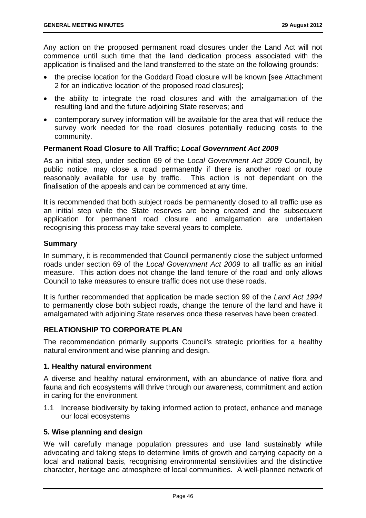Any action on the proposed permanent road closures under the Land Act will not commence until such time that the land dedication process associated with the application is finalised and the land transferred to the state on the following grounds:

- the precise location for the Goddard Road closure will be known [see Attachment 2 for an indicative location of the proposed road closures];
- the ability to integrate the road closures and with the amalgamation of the resulting land and the future adjoining State reserves; and
- contemporary survey information will be available for the area that will reduce the survey work needed for the road closures potentially reducing costs to the community.

## **Permanent Road Closure to All Traffic;** *Local Government Act 2009*

As an initial step, under section 69 of the *Local Government Act 2009* Council, by public notice, may close a road permanently if there is another road or route reasonably available for use by traffic. This action is not dependant on the finalisation of the appeals and can be commenced at any time.

It is recommended that both subject roads be permanently closed to all traffic use as an initial step while the State reserves are being created and the subsequent application for permanent road closure and amalgamation are undertaken recognising this process may take several years to complete.

## **Summary**

In summary, it is recommended that Council permanently close the subject unformed roads under section 69 of the *Local Government Act 2009* to all traffic as an initial measure. This action does not change the land tenure of the road and only allows Council to take measures to ensure traffic does not use these roads.

It is further recommended that application be made section 99 of the *Land Act 1994* to permanently close both subject roads, change the tenure of the land and have it amalgamated with adjoining State reserves once these reserves have been created.

# **RELATIONSHIP TO CORPORATE PLAN**

The recommendation primarily supports Council's strategic priorities for a healthy natural environment and wise planning and design.

### **1. Healthy natural environment**

A diverse and healthy natural environment, with an abundance of native flora and fauna and rich ecosystems will thrive through our awareness, commitment and action in caring for the environment.

1.1 Increase biodiversity by taking informed action to protect, enhance and manage our local ecosystems

### **5. Wise planning and design**

We will carefully manage population pressures and use land sustainably while advocating and taking steps to determine limits of growth and carrying capacity on a local and national basis, recognising environmental sensitivities and the distinctive character, heritage and atmosphere of local communities. A well-planned network of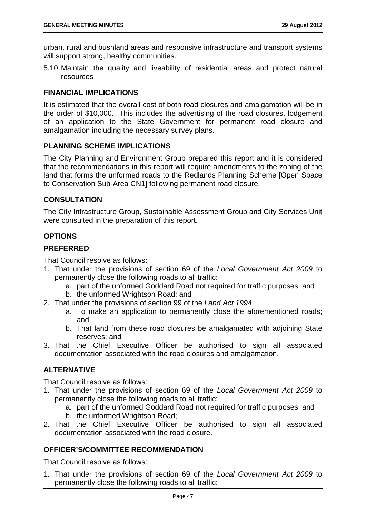urban, rural and bushland areas and responsive infrastructure and transport systems will support strong, healthy communities.

5.10 Maintain the quality and liveability of residential areas and protect natural resources

# **FINANCIAL IMPLICATIONS**

It is estimated that the overall cost of both road closures and amalgamation will be in the order of \$10,000. This includes the advertising of the road closures, lodgement of an application to the State Government for permanent road closure and amalgamation including the necessary survey plans.

# **PLANNING SCHEME IMPLICATIONS**

The City Planning and Environment Group prepared this report and it is considered that the recommendations in this report will require amendments to the zoning of the land that forms the unformed roads to the Redlands Planning Scheme [Open Space to Conservation Sub-Area CN1] following permanent road closure.

# **CONSULTATION**

The City Infrastructure Group, Sustainable Assessment Group and City Services Unit were consulted in the preparation of this report.

## **OPTIONS**

## **PREFERRED**

That Council resolve as follows:

- 1. That under the provisions of section 69 of the *Local Government Act 2009* to permanently close the following roads to all traffic:
	- a. part of the unformed Goddard Road not required for traffic purposes; and
	- b. the unformed Wrightson Road; and
- 2. That under the provisions of section 99 of the *Land Act 1994*:
	- a. To make an application to permanently close the aforementioned roads; and
	- b. That land from these road closures be amalgamated with adjoining State reserves; and
- 3. That the Chief Executive Officer be authorised to sign all associated documentation associated with the road closures and amalgamation.

# **ALTERNATIVE**

That Council resolve as follows:

- 1. That under the provisions of section 69 of the *Local Government Act 2009* to permanently close the following roads to all traffic:
	- a. part of the unformed Goddard Road not required for traffic purposes; and
	- b. the unformed Wrightson Road;
- 2. That the Chief Executive Officer be authorised to sign all associated documentation associated with the road closure.

# **OFFICER'S/COMMITTEE RECOMMENDATION**

That Council resolve as follows:

1. That under the provisions of section 69 of the *Local Government Act 2009* to permanently close the following roads to all traffic: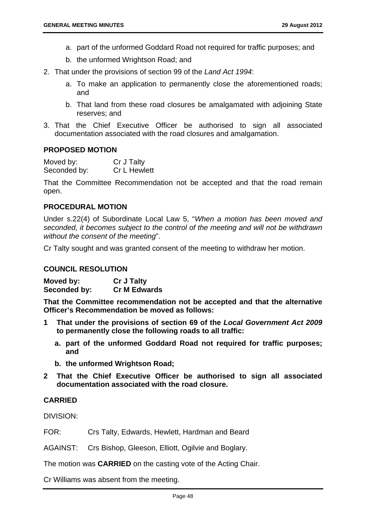- a. part of the unformed Goddard Road not required for traffic purposes; and
- b. the unformed Wrightson Road; and
- 2. That under the provisions of section 99 of the *Land Act 1994*:
	- a. To make an application to permanently close the aforementioned roads; and
	- b. That land from these road closures be amalgamated with adjoining State reserves; and
- 3. That the Chief Executive Officer be authorised to sign all associated documentation associated with the road closures and amalgamation.

#### **PROPOSED MOTION**

Moved by: Cr J Talty Seconded by: Cr L Hewlett

That the Committee Recommendation not be accepted and that the road remain open.

### **PROCEDURAL MOTION**

Under s.22(4) of Subordinate Local Law 5, "*When a motion has been moved and seconded, it becomes subject to the control of the meeting and will not be withdrawn without the consent of the meeting*".

Cr Talty sought and was granted consent of the meeting to withdraw her motion.

#### **COUNCIL RESOLUTION**

**Moved by: Cr J Talty Seconded by: Cr M Edwards** 

**That the Committee recommendation not be accepted and that the alternative Officer's Recommendation be moved as follows:** 

- **1 That under the provisions of section 69 of the** *Local Government Act 2009*  **to permanently close the following roads to all traffic:** 
	- **a. part of the unformed Goddard Road not required for traffic purposes; and**
	- **b. the unformed Wrightson Road;**
- **2 That the Chief Executive Officer be authorised to sign all associated documentation associated with the road closure.**

### **CARRIED**

DIVISION:

FOR: Crs Talty, Edwards, Hewlett, Hardman and Beard

AGAINST: Crs Bishop, Gleeson, Elliott, Ogilvie and Boglary.

The motion was **CARRIED** on the casting vote of the Acting Chair.

Cr Williams was absent from the meeting.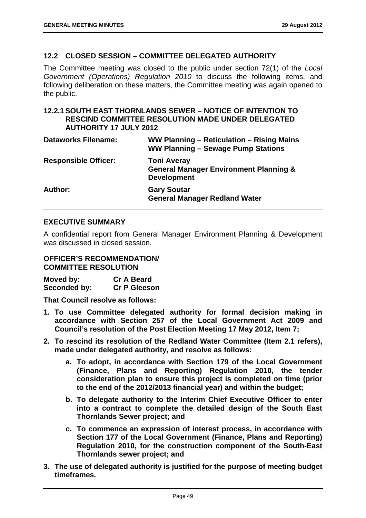### **12.2 CLOSED SESSION – COMMITTEE DELEGATED AUTHORITY**

The Committee meeting was closed to the public under section 72(1) of the *Local Government (Operations) Regulation 2010* to discuss the following items, and following deliberation on these matters, the Committee meeting was again opened to the public.

### **12.2.1 SOUTH EAST THORNLANDS SEWER – NOTICE OF INTENTION TO RESCIND COMMITTEE RESOLUTION MADE UNDER DELEGATED AUTHORITY 17 JULY 2012**

| <b>Dataworks Filename:</b>  | WW Planning – Reticulation – Rising Mains<br>WW Planning - Sewage Pump Stations               |
|-----------------------------|-----------------------------------------------------------------------------------------------|
| <b>Responsible Officer:</b> | <b>Toni Averay</b><br><b>General Manager Environment Planning &amp;</b><br><b>Development</b> |
| Author:                     | <b>Gary Soutar</b><br><b>General Manager Redland Water</b>                                    |

## **EXECUTIVE SUMMARY**

A confidential report from General Manager Environment Planning & Development was discussed in closed session.

#### **OFFICER'S RECOMMENDATION/ COMMITTEE RESOLUTION**

**Moved by: Cr A Beard Seconded by: Cr P Gleeson** 

**That Council resolve as follows:** 

- **1. To use Committee delegated authority for formal decision making in accordance with Section 257 of the Local Government Act 2009 and Council's resolution of the Post Election Meeting 17 May 2012, Item 7;**
- **2. To rescind its resolution of the Redland Water Committee (Item 2.1 refers), made under delegated authority, and resolve as follows:** 
	- **a. To adopt, in accordance with Section 179 of the Local Government (Finance, Plans and Reporting) Regulation 2010, the tender consideration plan to ensure this project is completed on time (prior to the end of the 2012/2013 financial year) and within the budget;**
	- **b. To delegate authority to the Interim Chief Executive Officer to enter into a contract to complete the detailed design of the South East Thornlands Sewer project; and**
	- **c. To commence an expression of interest process, in accordance with Section 177 of the Local Government (Finance, Plans and Reporting) Regulation 2010, for the construction component of the South-East Thornlands sewer project; and**
- **3. The use of delegated authority is justified for the purpose of meeting budget timeframes.**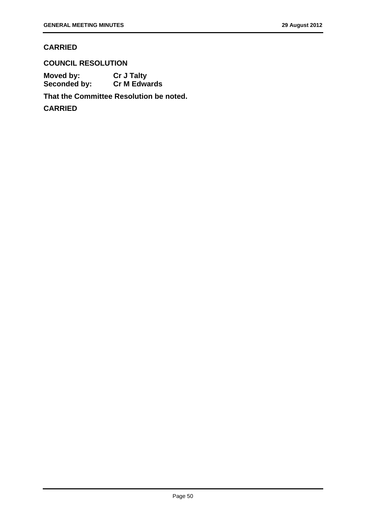# **CARRIED**

**COUNCIL RESOLUTION Moved by: Cr J Talty** 

**Seconded by: Cr M Edwards** 

**That the Committee Resolution be noted.** 

**CARRIED**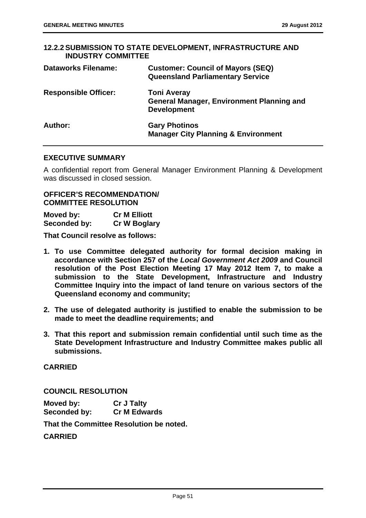# **12.2.2 SUBMISSION TO STATE DEVELOPMENT, INFRASTRUCTURE AND INDUSTRY COMMITTEE Dataworks Filename: Customer: Council of Mayors (SEQ) Queensland Parliamentary Service Responsible Officer: Toni Averay General Manager, Environment Planning and Development Author: Gary Photinos Manager City Planning & Environment**

### **EXECUTIVE SUMMARY**

A confidential report from General Manager Environment Planning & Development was discussed in closed session.

### **OFFICER'S RECOMMENDATION/ COMMITTEE RESOLUTION**

| Moved by:    | <b>Cr M Elliott</b> |
|--------------|---------------------|
| Seconded by: | <b>Cr W Boglary</b> |

**That Council resolve as follows:** 

- **1. To use Committee delegated authority for formal decision making in accordance with Section 257 of the** *Local Government Act 2009* **and Council resolution of the Post Election Meeting 17 May 2012 Item 7, to make a submission to the State Development, Infrastructure and Industry Committee Inquiry into the impact of land tenure on various sectors of the Queensland economy and community;**
- **2. The use of delegated authority is justified to enable the submission to be made to meet the deadline requirements; and**
- **3. That this report and submission remain confidential until such time as the State Development Infrastructure and Industry Committee makes public all submissions.**

**CARRIED** 

**COUNCIL RESOLUTION** 

**Moved by: Cr J Talty Seconded by: Cr M Edwards** 

**That the Committee Resolution be noted.** 

**CARRIED**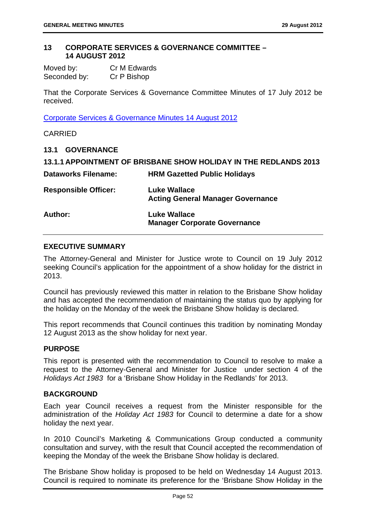### **13 CORPORATE SERVICES & GOVERNANCE COMMITTEE – 14 AUGUST 2012**

| Moved by:    | Cr M Edwards |
|--------------|--------------|
| Seconded by: | Cr P Bishop  |

That the Corporate Services & Governance Committee Minutes of 17 July 2012 be received.

Corporate Services & Governance Minutes 14 August 2012

CARRIED

# **13.1 GOVERNANCE**

|                             | 13.1.1 APPOINTMENT OF BRISBANE SHOW HOLIDAY IN THE REDLANDS 2013 |
|-----------------------------|------------------------------------------------------------------|
| <b>Dataworks Filename:</b>  | <b>HRM Gazetted Public Holidays</b>                              |
| <b>Responsible Officer:</b> | <b>Luke Wallace</b><br><b>Acting General Manager Governance</b>  |
| Author:                     | <b>Luke Wallace</b><br><b>Manager Corporate Governance</b>       |

## **EXECUTIVE SUMMARY**

The Attorney-General and Minister for Justice wrote to Council on 19 July 2012 seeking Council's application for the appointment of a show holiday for the district in 2013.

Council has previously reviewed this matter in relation to the Brisbane Show holiday and has accepted the recommendation of maintaining the status quo by applying for the holiday on the Monday of the week the Brisbane Show holiday is declared.

This report recommends that Council continues this tradition by nominating Monday 12 August 2013 as the show holiday for next year.

### **PURPOSE**

This report is presented with the recommendation to Council to resolve to make a request to the Attorney-General and Minister for Justice under section 4 of the *Holidays Act 1983* for a 'Brisbane Show Holiday in the Redlands' for 2013.

# **BACKGROUND**

Each year Council receives a request from the Minister responsible for the administration of the *Holiday Act 1983* for Council to determine a date for a show holiday the next year.

In 2010 Council's Marketing & Communications Group conducted a community consultation and survey, with the result that Council accepted the recommendation of keeping the Monday of the week the Brisbane Show holiday is declared.

The Brisbane Show holiday is proposed to be held on Wednesday 14 August 2013. Council is required to nominate its preference for the 'Brisbane Show Holiday in the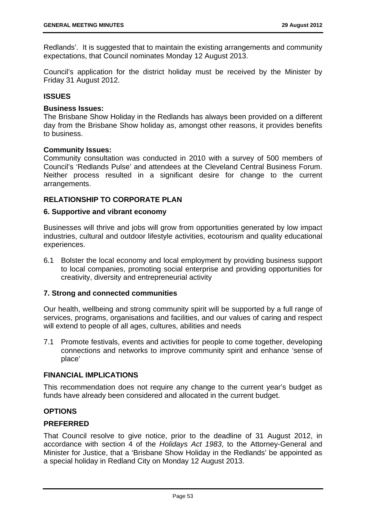Redlands'. It is suggested that to maintain the existing arrangements and community expectations, that Council nominates Monday 12 August 2013.

Council's application for the district holiday must be received by the Minister by Friday 31 August 2012.

# **ISSUES**

#### **Business Issues:**

The Brisbane Show Holiday in the Redlands has always been provided on a different day from the Brisbane Show holiday as, amongst other reasons, it provides benefits to business.

### **Community Issues:**

Community consultation was conducted in 2010 with a survey of 500 members of Council's 'Redlands Pulse' and attendees at the Cleveland Central Business Forum. Neither process resulted in a significant desire for change to the current arrangements.

# **RELATIONSHIP TO CORPORATE PLAN**

### **6. Supportive and vibrant economy**

Businesses will thrive and jobs will grow from opportunities generated by low impact industries, cultural and outdoor lifestyle activities, ecotourism and quality educational experiences.

6.1 Bolster the local economy and local employment by providing business support to local companies, promoting social enterprise and providing opportunities for creativity, diversity and entrepreneurial activity

### **7. Strong and connected communities**

Our health, wellbeing and strong community spirit will be supported by a full range of services, programs, organisations and facilities, and our values of caring and respect will extend to people of all ages, cultures, abilities and needs

7.1 Promote festivals, events and activities for people to come together, developing connections and networks to improve community spirit and enhance 'sense of place'

### **FINANCIAL IMPLICATIONS**

This recommendation does not require any change to the current year's budget as funds have already been considered and allocated in the current budget.

# **OPTIONS**

# **PREFERRED**

That Council resolve to give notice, prior to the deadline of 31 August 2012, in accordance with section 4 of the *Holidays Act 1983*, to the Attorney-General and Minister for Justice, that a 'Brisbane Show Holiday in the Redlands' be appointed as a special holiday in Redland City on Monday 12 August 2013.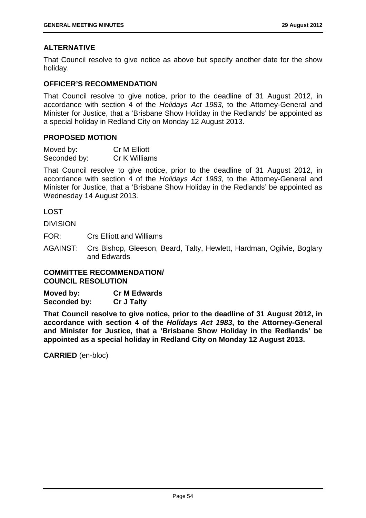# **ALTERNATIVE**

That Council resolve to give notice as above but specify another date for the show holiday.

## **OFFICER'S RECOMMENDATION**

That Council resolve to give notice, prior to the deadline of 31 August 2012, in accordance with section 4 of the *Holidays Act 1983*, to the Attorney-General and Minister for Justice, that a 'Brisbane Show Holiday in the Redlands' be appointed as a special holiday in Redland City on Monday 12 August 2013.

## **PROPOSED MOTION**

| Moved by:    | Cr M Elliott  |
|--------------|---------------|
| Seconded by: | Cr K Williams |

That Council resolve to give notice, prior to the deadline of 31 August 2012, in accordance with section 4 of the *Holidays Act 1983*, to the Attorney-General and Minister for Justice, that a 'Brisbane Show Holiday in the Redlands' be appointed as Wednesday 14 August 2013.

LOST

DIVISION

FOR: Crs Elliott and Williams

AGAINST: Crs Bishop, Gleeson, Beard, Talty, Hewlett, Hardman, Ogilvie, Boglary and Edwards

**COMMITTEE RECOMMENDATION/ COUNCIL RESOLUTION** 

**Moved by: Cr M Edwards Seconded by: Cr J Talty** 

**That Council resolve to give notice, prior to the deadline of 31 August 2012, in accordance with section 4 of the** *Holidays Act 1983***, to the Attorney-General and Minister for Justice, that a 'Brisbane Show Holiday in the Redlands' be appointed as a special holiday in Redland City on Monday 12 August 2013.** 

**CARRIED** (en-bloc)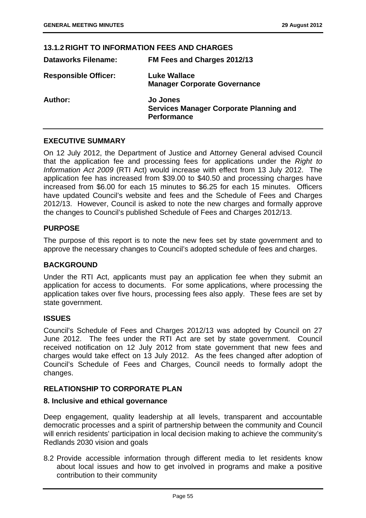#### **13.1.2 RIGHT TO INFORMATION FEES AND CHARGES**

| <b>Dataworks Filename:</b>  | FM Fees and Charges 2012/13                                                             |
|-----------------------------|-----------------------------------------------------------------------------------------|
| <b>Responsible Officer:</b> | <b>Luke Wallace</b><br><b>Manager Corporate Governance</b>                              |
| Author:                     | <b>Jo Jones</b><br><b>Services Manager Corporate Planning and</b><br><b>Performance</b> |

### **EXECUTIVE SUMMARY**

On 12 July 2012, the Department of Justice and Attorney General advised Council that the application fee and processing fees for applications under the *Right to Information Act 2009* (RTI Act) would increase with effect from 13 July 2012. The application fee has increased from \$39.00 to \$40.50 and processing charges have increased from \$6.00 for each 15 minutes to \$6.25 for each 15 minutes. Officers have updated Council's website and fees and the Schedule of Fees and Charges 2012/13. However, Council is asked to note the new charges and formally approve the changes to Council's published Schedule of Fees and Charges 2012/13.

### **PURPOSE**

The purpose of this report is to note the new fees set by state government and to approve the necessary changes to Council's adopted schedule of fees and charges.

### **BACKGROUND**

Under the RTI Act, applicants must pay an application fee when they submit an application for access to documents. For some applications, where processing the application takes over five hours, processing fees also apply. These fees are set by state government.

#### **ISSUES**

Council's Schedule of Fees and Charges 2012/13 was adopted by Council on 27 June 2012. The fees under the RTI Act are set by state government. Council received notification on 12 July 2012 from state government that new fees and charges would take effect on 13 July 2012. As the fees changed after adoption of Council's Schedule of Fees and Charges, Council needs to formally adopt the changes.

### **RELATIONSHIP TO CORPORATE PLAN**

### **8. Inclusive and ethical governance**

Deep engagement, quality leadership at all levels, transparent and accountable democratic processes and a spirit of partnership between the community and Council will enrich residents' participation in local decision making to achieve the community's Redlands 2030 vision and goals

8.2 Provide accessible information through different media to let residents know about local issues and how to get involved in programs and make a positive contribution to their community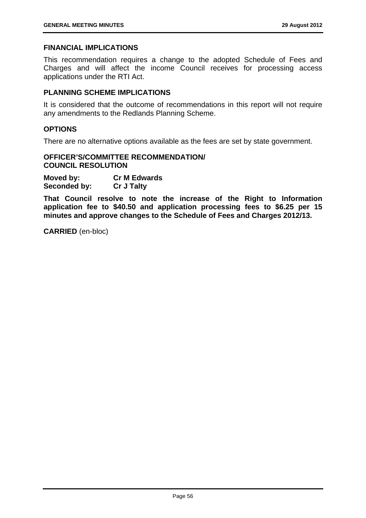### **FINANCIAL IMPLICATIONS**

This recommendation requires a change to the adopted Schedule of Fees and Charges and will affect the income Council receives for processing access applications under the RTI Act.

### **PLANNING SCHEME IMPLICATIONS**

It is considered that the outcome of recommendations in this report will not require any amendments to the Redlands Planning Scheme.

#### **OPTIONS**

There are no alternative options available as the fees are set by state government.

### **OFFICER'S/COMMITTEE RECOMMENDATION/ COUNCIL RESOLUTION**

**Moved by: Cr M Edwards Seconded by: Cr J Talty** 

**That Council resolve to note the increase of the Right to Information application fee to \$40.50 and application processing fees to \$6.25 per 15 minutes and approve changes to the Schedule of Fees and Charges 2012/13.** 

**CARRIED** (en-bloc)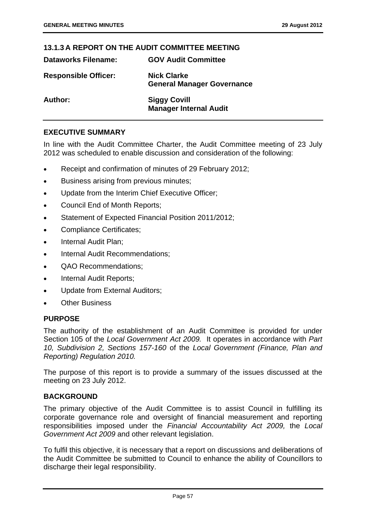# **13.1.3 A REPORT ON THE AUDIT COMMITTEE MEETING**

**Dataworks Filename: GOV Audit Committee** 

| Dataworks Filename:         | <b>GOV AUGIT COMMITTEE</b>                              |
|-----------------------------|---------------------------------------------------------|
| <b>Responsible Officer:</b> | <b>Nick Clarke</b><br><b>General Manager Governance</b> |
| <b>Author:</b>              | <b>Siggy Covill</b><br><b>Manager Internal Audit</b>    |

# **EXECUTIVE SUMMARY**

In line with the Audit Committee Charter, the Audit Committee meeting of 23 July 2012 was scheduled to enable discussion and consideration of the following:

- Receipt and confirmation of minutes of 29 February 2012;
- Business arising from previous minutes;
- Update from the Interim Chief Executive Officer;
- Council End of Month Reports;
- Statement of Expected Financial Position 2011/2012;
- Compliance Certificates;
- Internal Audit Plan;
- Internal Audit Recommendations:
- QAO Recommendations;
- Internal Audit Reports;
- Update from External Auditors;
- **•** Other Business

### **PURPOSE**

The authority of the establishment of an Audit Committee is provided for under Section 105 of the *Local Government Act 2009.* It operates in accordance with *Part 10, Subdivision 2, Sections 157-160* of the *Local Government (Finance, Plan and Reporting) Regulation 2010.* 

The purpose of this report is to provide a summary of the issues discussed at the meeting on 23 July 2012.

### **BACKGROUND**

The primary objective of the Audit Committee is to assist Council in fulfilling its corporate governance role and oversight of financial measurement and reporting responsibilities imposed under the *Financial Accountability Act 2009,* the *Local Government Act 2009* and other relevant legislation.

To fulfil this objective, it is necessary that a report on discussions and deliberations of the Audit Committee be submitted to Council to enhance the ability of Councillors to discharge their legal responsibility.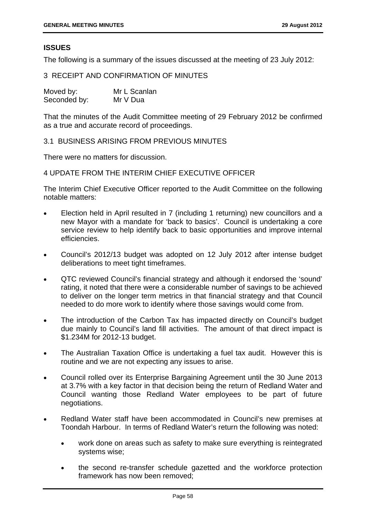# **ISSUES**

The following is a summary of the issues discussed at the meeting of 23 July 2012:

### 3 RECEIPT AND CONFIRMATION OF MINUTES

| Moved by:    | Mr L Scanlan |  |
|--------------|--------------|--|
| Seconded by: | Mr V Dua     |  |

That the minutes of the Audit Committee meeting of 29 February 2012 be confirmed as a true and accurate record of proceedings.

3.1 BUSINESS ARISING FROM PREVIOUS MINUTES

There were no matters for discussion.

### 4 UPDATE FROM THE INTERIM CHIEF EXECUTIVE OFFICER

The Interim Chief Executive Officer reported to the Audit Committee on the following notable matters:

- Election held in April resulted in 7 (including 1 returning) new councillors and a new Mayor with a mandate for 'back to basics'. Council is undertaking a core service review to help identify back to basic opportunities and improve internal efficiencies.
- Council's 2012/13 budget was adopted on 12 July 2012 after intense budget deliberations to meet tight timeframes.
- QTC reviewed Council's financial strategy and although it endorsed the 'sound' rating, it noted that there were a considerable number of savings to be achieved to deliver on the longer term metrics in that financial strategy and that Council needed to do more work to identify where those savings would come from.
- The introduction of the Carbon Tax has impacted directly on Council's budget due mainly to Council's land fill activities. The amount of that direct impact is \$1.234M for 2012-13 budget.
- The Australian Taxation Office is undertaking a fuel tax audit. However this is routine and we are not expecting any issues to arise.
- Council rolled over its Enterprise Bargaining Agreement until the 30 June 2013 at 3.7% with a key factor in that decision being the return of Redland Water and Council wanting those Redland Water employees to be part of future negotiations.
- Redland Water staff have been accommodated in Council's new premises at Toondah Harbour. In terms of Redland Water's return the following was noted:
	- work done on areas such as safety to make sure everything is reintegrated systems wise;
	- the second re-transfer schedule gazetted and the workforce protection framework has now been removed;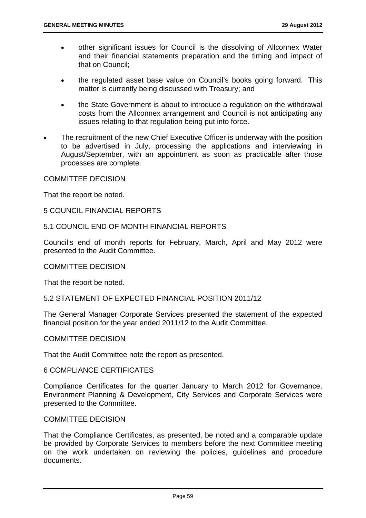- other significant issues for Council is the dissolving of Allconnex Water and their financial statements preparation and the timing and impact of that on Council;
- the regulated asset base value on Council's books going forward. This matter is currently being discussed with Treasury; and
- the State Government is about to introduce a regulation on the withdrawal costs from the Allconnex arrangement and Council is not anticipating any issues relating to that regulation being put into force.
- The recruitment of the new Chief Executive Officer is underway with the position to be advertised in July, processing the applications and interviewing in August/September, with an appointment as soon as practicable after those processes are complete.

# COMMITTEE DECISION

That the report be noted.

5 COUNCIL FINANCIAL REPORTS

# 5.1 COUNCIL END OF MONTH FINANCIAL REPORTS

Council's end of month reports for February, March, April and May 2012 were presented to the Audit Committee.

### COMMITTEE DECISION

That the report be noted.

### 5.2 STATEMENT OF EXPECTED FINANCIAL POSITION 2011/12

The General Manager Corporate Services presented the statement of the expected financial position for the year ended 2011/12 to the Audit Committee.

# COMMITTEE DECISION

That the Audit Committee note the report as presented.

### 6 COMPLIANCE CERTIFICATES

Compliance Certificates for the quarter January to March 2012 for Governance, Environment Planning & Development, City Services and Corporate Services were presented to the Committee.

### COMMITTEE DECISION

That the Compliance Certificates, as presented, be noted and a comparable update be provided by Corporate Services to members before the next Committee meeting on the work undertaken on reviewing the policies, guidelines and procedure documents.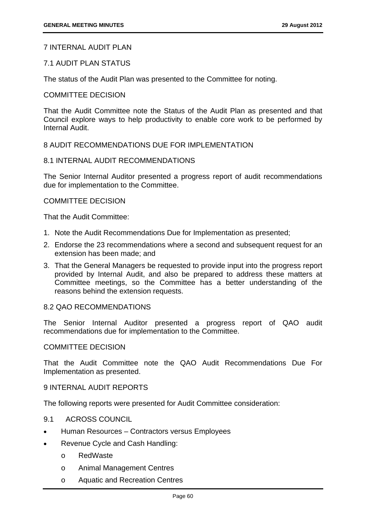# 7 INTERNAL AUDIT PLAN

### 7.1 AUDIT PLAN STATUS

The status of the Audit Plan was presented to the Committee for noting.

### COMMITTEE DECISION

That the Audit Committee note the Status of the Audit Plan as presented and that Council explore ways to help productivity to enable core work to be performed by Internal Audit.

# 8 AUDIT RECOMMENDATIONS DUE FOR IMPLEMENTATION

### 8.1 INTERNAL AUDIT RECOMMENDATIONS

The Senior Internal Auditor presented a progress report of audit recommendations due for implementation to the Committee.

### COMMITTEE DECISION

That the Audit Committee:

- 1. Note the Audit Recommendations Due for Implementation as presented;
- 2. Endorse the 23 recommendations where a second and subsequent request for an extension has been made; and
- 3. That the General Managers be requested to provide input into the progress report provided by Internal Audit, and also be prepared to address these matters at Committee meetings, so the Committee has a better understanding of the reasons behind the extension requests.

### 8.2 QAO RECOMMENDATIONS

The Senior Internal Auditor presented a progress report of QAO audit recommendations due for implementation to the Committee.

### COMMITTEE DECISION

That the Audit Committee note the QAO Audit Recommendations Due For Implementation as presented.

# 9 INTERNAL AUDIT REPORTS

The following reports were presented for Audit Committee consideration:

- 9.1 ACROSS COUNCIL
- Human Resources Contractors versus Employees
- Revenue Cycle and Cash Handling:
	- o RedWaste
	- o Animal Management Centres
	- o Aquatic and Recreation Centres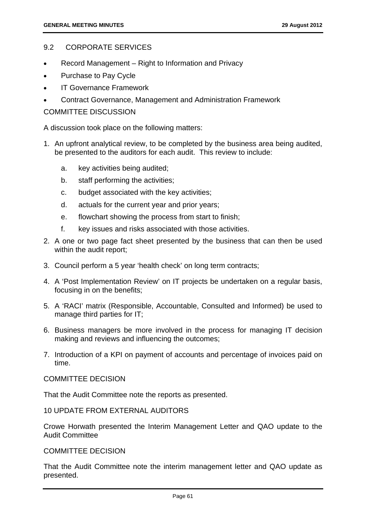## 9.2 CORPORATE SERVICES

- Record Management Right to Information and Privacy
- Purchase to Pay Cycle
- IT Governance Framework
- Contract Governance, Management and Administration Framework

## COMMITTEE DISCUSSION

A discussion took place on the following matters:

- 1. An upfront analytical review, to be completed by the business area being audited, be presented to the auditors for each audit. This review to include:
	- a. key activities being audited;
	- b. staff performing the activities;
	- c. budget associated with the key activities;
	- d. actuals for the current year and prior years;
	- e. flowchart showing the process from start to finish;
	- f. key issues and risks associated with those activities.
- 2. A one or two page fact sheet presented by the business that can then be used within the audit report;
- 3. Council perform a 5 year 'health check' on long term contracts;
- 4. A 'Post Implementation Review' on IT projects be undertaken on a regular basis, focusing in on the benefits;
- 5. A 'RACI' matrix (Responsible, Accountable, Consulted and Informed) be used to manage third parties for IT;
- 6. Business managers be more involved in the process for managing IT decision making and reviews and influencing the outcomes;
- 7. Introduction of a KPI on payment of accounts and percentage of invoices paid on time.

### COMMITTEE DECISION

That the Audit Committee note the reports as presented.

10 UPDATE FROM EXTERNAL AUDITORS

Crowe Horwath presented the Interim Management Letter and QAO update to the Audit Committee

### COMMITTEE DECISION

That the Audit Committee note the interim management letter and QAO update as presented.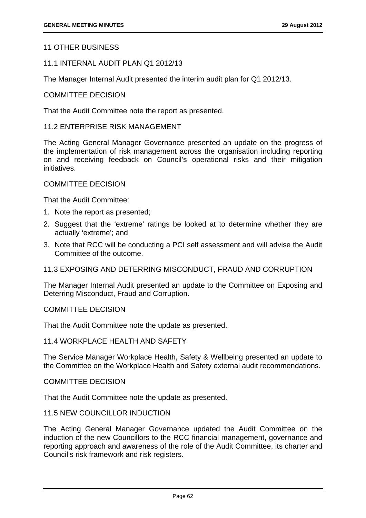# 11 OTHER BUSINESS

### 11.1 INTERNAL AUDIT PLAN Q1 2012/13

The Manager Internal Audit presented the interim audit plan for Q1 2012/13.

### COMMITTEE DECISION

That the Audit Committee note the report as presented.

#### 11.2 ENTERPRISE RISK MANAGEMENT

The Acting General Manager Governance presented an update on the progress of the implementation of risk management across the organisation including reporting on and receiving feedback on Council's operational risks and their mitigation initiatives.

#### COMMITTEE DECISION

That the Audit Committee:

- 1. Note the report as presented;
- 2. Suggest that the 'extreme' ratings be looked at to determine whether they are actually 'extreme'; and
- 3. Note that RCC will be conducting a PCI self assessment and will advise the Audit Committee of the outcome.

### 11.3 EXPOSING AND DETERRING MISCONDUCT, FRAUD AND CORRUPTION

The Manager Internal Audit presented an update to the Committee on Exposing and Deterring Misconduct, Fraud and Corruption.

#### COMMITTEE DECISION

That the Audit Committee note the update as presented.

# 11.4 WORKPLACE HEALTH AND SAFETY

The Service Manager Workplace Health, Safety & Wellbeing presented an update to the Committee on the Workplace Health and Safety external audit recommendations.

#### COMMITTEE DECISION

That the Audit Committee note the update as presented.

#### 11.5 NEW COUNCILLOR INDUCTION

The Acting General Manager Governance updated the Audit Committee on the induction of the new Councillors to the RCC financial management, governance and reporting approach and awareness of the role of the Audit Committee, its charter and Council's risk framework and risk registers.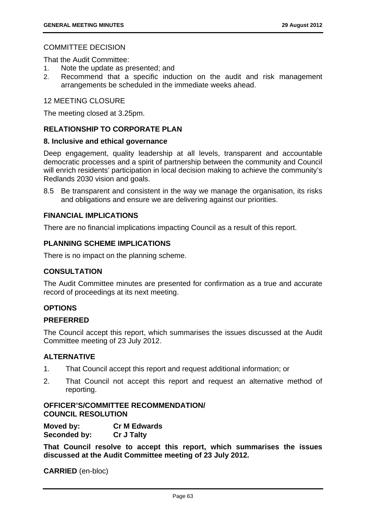# COMMITTEE DECISION

That the Audit Committee:

- 1. Note the update as presented; and
- 2. Recommend that a specific induction on the audit and risk management arrangements be scheduled in the immediate weeks ahead.

### 12 MEETING CLOSURE

The meeting closed at 3.25pm.

### **RELATIONSHIP TO CORPORATE PLAN**

### **8. Inclusive and ethical governance**

Deep engagement, quality leadership at all levels, transparent and accountable democratic processes and a spirit of partnership between the community and Council will enrich residents' participation in local decision making to achieve the community's Redlands 2030 vision and goals.

8.5 Be transparent and consistent in the way we manage the organisation, its risks and obligations and ensure we are delivering against our priorities.

## **FINANCIAL IMPLICATIONS**

There are no financial implications impacting Council as a result of this report.

### **PLANNING SCHEME IMPLICATIONS**

There is no impact on the planning scheme.

### **CONSULTATION**

The Audit Committee minutes are presented for confirmation as a true and accurate record of proceedings at its next meeting.

# **OPTIONS**

### **PREFERRED**

The Council accept this report, which summarises the issues discussed at the Audit Committee meeting of 23 July 2012.

### **ALTERNATIVE**

- 1. That Council accept this report and request additional information; or
- 2. That Council not accept this report and request an alternative method of reporting.

### **OFFICER'S/COMMITTEE RECOMMENDATION/ COUNCIL RESOLUTION**

**Moved by: Cr M Edwards Seconded by: Cr J Talty** 

**That Council resolve to accept this report, which summarises the issues discussed at the Audit Committee meeting of 23 July 2012.** 

**CARRIED** (en-bloc)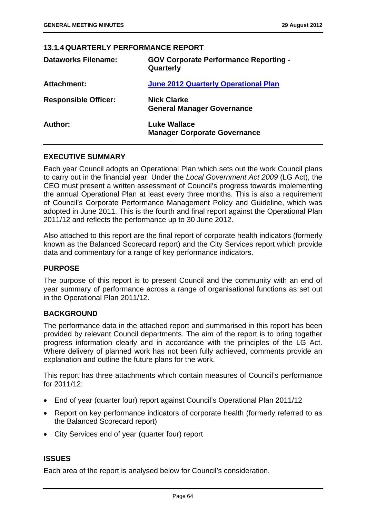#### **13.1.4 QUARTERLY PERFORMANCE REPORT**

| <b>Dataworks Filename:</b>  | <b>GOV Corporate Performance Reporting -</b><br>Quarterly |
|-----------------------------|-----------------------------------------------------------|
| <b>Attachment:</b>          | June 2012 Quarterly Operational Plan                      |
| <b>Responsible Officer:</b> | <b>Nick Clarke</b><br><b>General Manager Governance</b>   |
| Author:                     | Luke Wallace<br><b>Manager Corporate Governance</b>       |

### **EXECUTIVE SUMMARY**

Each year Council adopts an Operational Plan which sets out the work Council plans to carry out in the financial year. Under the *Local Government Act 2009* (LG Act), the CEO must present a written assessment of Council's progress towards implementing the annual Operational Plan at least every three months. This is also a requirement of Council's Corporate Performance Management Policy and Guideline, which was adopted in June 2011. This is the fourth and final report against the Operational Plan 2011/12 and reflects the performance up to 30 June 2012.

Also attached to this report are the final report of corporate health indicators (formerly known as the Balanced Scorecard report) and the City Services report which provide data and commentary for a range of key performance indicators.

### **PURPOSE**

The purpose of this report is to present Council and the community with an end of year summary of performance across a range of organisational functions as set out in the Operational Plan 2011/12.

### **BACKGROUND**

The performance data in the attached report and summarised in this report has been provided by relevant Council departments. The aim of the report is to bring together progress information clearly and in accordance with the principles of the LG Act. Where delivery of planned work has not been fully achieved, comments provide an explanation and outline the future plans for the work.

This report has three attachments which contain measures of Council's performance for 2011/12:

- End of year (quarter four) report against Council's Operational Plan 2011/12
- Report on key performance indicators of corporate health (formerly referred to as the Balanced Scorecard report)
- City Services end of year (quarter four) report

### **ISSUES**

Each area of the report is analysed below for Council's consideration.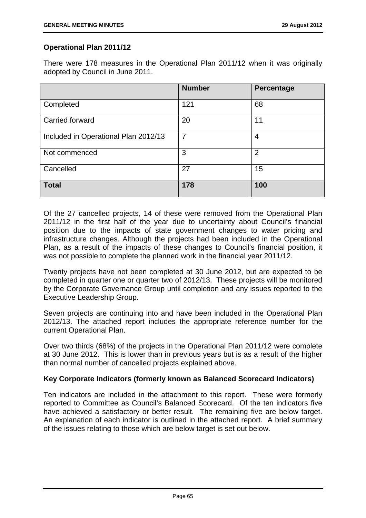# **Operational Plan 2011/12**

There were 178 measures in the Operational Plan 2011/12 when it was originally adopted by Council in June 2011.

|                                      | <b>Number</b> | Percentage     |
|--------------------------------------|---------------|----------------|
| Completed                            | 121           | 68             |
| Carried forward                      | 20            | 11             |
| Included in Operational Plan 2012/13 | 7             | 4              |
| Not commenced                        | 3             | $\overline{2}$ |
| Cancelled                            | 27            | 15             |
| <b>Total</b>                         | 178           | 100            |

Of the 27 cancelled projects, 14 of these were removed from the Operational Plan 2011/12 in the first half of the year due to uncertainty about Council's financial position due to the impacts of state government changes to water pricing and infrastructure changes. Although the projects had been included in the Operational Plan, as a result of the impacts of these changes to Council's financial position, it was not possible to complete the planned work in the financial year 2011/12.

Twenty projects have not been completed at 30 June 2012, but are expected to be completed in quarter one or quarter two of 2012/13. These projects will be monitored by the Corporate Governance Group until completion and any issues reported to the Executive Leadership Group.

Seven projects are continuing into and have been included in the Operational Plan 2012/13. The attached report includes the appropriate reference number for the current Operational Plan.

Over two thirds (68%) of the projects in the Operational Plan 2011/12 were complete at 30 June 2012. This is lower than in previous years but is as a result of the higher than normal number of cancelled projects explained above.

# **Key Corporate Indicators (formerly known as Balanced Scorecard Indicators)**

Ten indicators are included in the attachment to this report. These were formerly reported to Committee as Council's Balanced Scorecard. Of the ten indicators five have achieved a satisfactory or better result. The remaining five are below target. An explanation of each indicator is outlined in the attached report. A brief summary of the issues relating to those which are below target is set out below.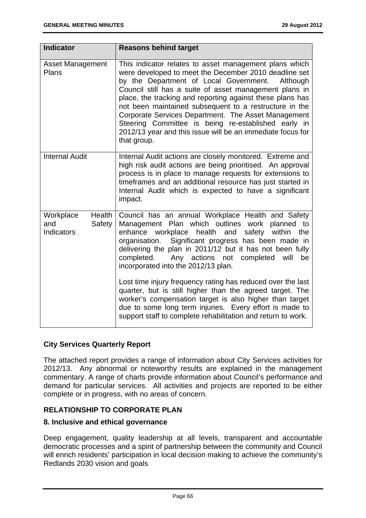| <b>Indicator</b>                                          | <b>Reasons behind target</b>                                                                                                                                                                                                                                                                                                                                                                                                                                                                                                                      |
|-----------------------------------------------------------|---------------------------------------------------------------------------------------------------------------------------------------------------------------------------------------------------------------------------------------------------------------------------------------------------------------------------------------------------------------------------------------------------------------------------------------------------------------------------------------------------------------------------------------------------|
| <b>Asset Management</b><br><b>Plans</b>                   | This indicator relates to asset management plans which<br>were developed to meet the December 2010 deadline set<br>by the Department of Local Government.<br>Although<br>Council still has a suite of asset management plans in<br>place, the tracking and reporting against these plans has<br>not been maintained subsequent to a restructure in the<br>Corporate Services Department. The Asset Management<br>Steering Committee is being re-established early in<br>2012/13 year and this issue will be an immediate focus for<br>that group. |
| <b>Internal Audit</b>                                     | Internal Audit actions are closely monitored. Extreme and<br>high risk audit actions are being prioritised. An approval<br>process is in place to manage requests for extensions to<br>timeframes and an additional resource has just started in<br>Internal Audit which is expected to have a significant<br>impact.                                                                                                                                                                                                                             |
| Workplace<br>Health<br>Safety<br>and<br><b>Indicators</b> | Council has an annual Workplace Health and Safety<br>Management Plan which outlines work planned to<br>enhance workplace<br>health<br>and<br>safety within<br>the<br>Significant progress has been made in<br>organisation.<br>delivering the plan in 2011/12 but it has not been fully<br>completed. Any actions not completed will<br>be<br>incorporated into the 2012/13 plan.                                                                                                                                                                 |
|                                                           | Lost time injury frequency rating has reduced over the last<br>quarter, but is still higher than the agreed target. The<br>worker's compensation target is also higher than target<br>due to some long term injuries. Every effort is made to<br>support staff to complete rehabilitation and return to work.                                                                                                                                                                                                                                     |

# **City Services Quarterly Report**

The attached report provides a range of information about City Services activities for 2012/13. Any abnormal or noteworthy results are explained in the management commentary. A range of charts provide information about Council's performance and demand for particular services. All activities and projects are reported to be either complete or in progress, with no areas of concern.

# **RELATIONSHIP TO CORPORATE PLAN**

### **8. Inclusive and ethical governance**

Deep engagement, quality leadership at all levels, transparent and accountable democratic processes and a spirit of partnership between the community and Council will enrich residents' participation in local decision making to achieve the community's Redlands 2030 vision and goals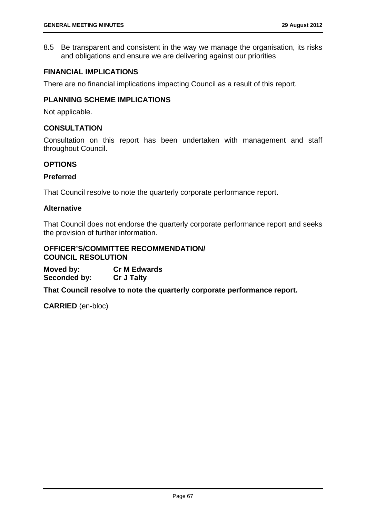8.5 Be transparent and consistent in the way we manage the organisation, its risks and obligations and ensure we are delivering against our priorities

# **FINANCIAL IMPLICATIONS**

There are no financial implications impacting Council as a result of this report.

# **PLANNING SCHEME IMPLICATIONS**

Not applicable.

### **CONSULTATION**

Consultation on this report has been undertaken with management and staff throughout Council.

## **OPTIONS**

### **Preferred**

That Council resolve to note the quarterly corporate performance report.

## **Alternative**

That Council does not endorse the quarterly corporate performance report and seeks the provision of further information.

#### **OFFICER'S/COMMITTEE RECOMMENDATION/ COUNCIL RESOLUTION**

**Moved by: Cr M Edwards Seconded by: Cr J Talty** 

**That Council resolve to note the quarterly corporate performance report.** 

**CARRIED** (en-bloc)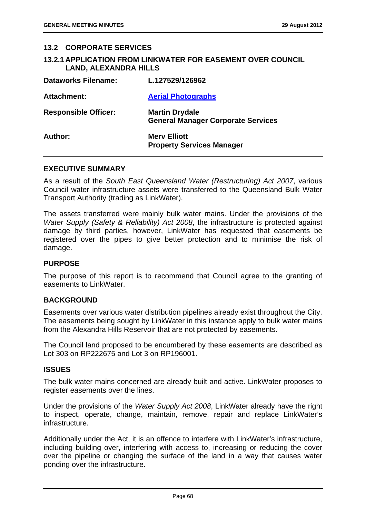#### **13.2 CORPORATE SERVICES**

## **13.2.1 APPLICATION FROM LINKWATER FOR EASEMENT OVER COUNCIL LAND, ALEXANDRA HILLS**

| <b>Dataworks Filename:</b>  | L.127529/126962                                                    |
|-----------------------------|--------------------------------------------------------------------|
| <b>Attachment:</b>          | <b>Aerial Photographs</b>                                          |
| <b>Responsible Officer:</b> | <b>Martin Drydale</b><br><b>General Manager Corporate Services</b> |
| Author:                     | <b>Merv Elliott</b><br><b>Property Services Manager</b>            |

#### **EXECUTIVE SUMMARY**

As a result of the *South East Queensland Water (Restructuring) Act 2007*, various Council water infrastructure assets were transferred to the Queensland Bulk Water Transport Authority (trading as LinkWater).

The assets transferred were mainly bulk water mains. Under the provisions of the *Water Supply (Safety & Reliability) Act 2008*, the infrastructure is protected against damage by third parties, however, LinkWater has requested that easements be registered over the pipes to give better protection and to minimise the risk of damage.

### **PURPOSE**

The purpose of this report is to recommend that Council agree to the granting of easements to LinkWater.

#### **BACKGROUND**

Easements over various water distribution pipelines already exist throughout the City. The easements being sought by LinkWater in this instance apply to bulk water mains from the Alexandra Hills Reservoir that are not protected by easements.

The Council land proposed to be encumbered by these easements are described as Lot 303 on RP222675 and Lot 3 on RP196001.

### **ISSUES**

The bulk water mains concerned are already built and active. LinkWater proposes to register easements over the lines.

Under the provisions of the *Water Supply Act 2008*, LinkWater already have the right to inspect, operate, change, maintain, remove, repair and replace LinkWater's infrastructure.

Additionally under the Act, it is an offence to interfere with LinkWater's infrastructure, including building over, interfering with access to, increasing or reducing the cover over the pipeline or changing the surface of the land in a way that causes water ponding over the infrastructure.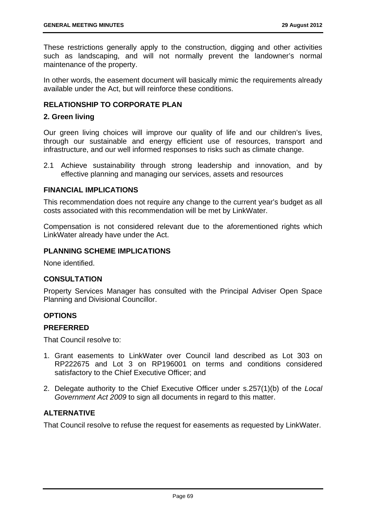These restrictions generally apply to the construction, digging and other activities such as landscaping, and will not normally prevent the landowner's normal maintenance of the property.

In other words, the easement document will basically mimic the requirements already available under the Act, but will reinforce these conditions.

## **RELATIONSHIP TO CORPORATE PLAN**

### **2. Green living**

Our green living choices will improve our quality of life and our children's lives, through our sustainable and energy efficient use of resources, transport and infrastructure, and our well informed responses to risks such as climate change.

2.1 Achieve sustainability through strong leadership and innovation, and by effective planning and managing our services, assets and resources

### **FINANCIAL IMPLICATIONS**

This recommendation does not require any change to the current year's budget as all costs associated with this recommendation will be met by LinkWater.

Compensation is not considered relevant due to the aforementioned rights which LinkWater already have under the Act.

### **PLANNING SCHEME IMPLICATIONS**

None identified.

### **CONSULTATION**

Property Services Manager has consulted with the Principal Adviser Open Space Planning and Divisional Councillor.

## **OPTIONS**

### **PREFERRED**

That Council resolve to:

- 1. Grant easements to LinkWater over Council land described as Lot 303 on RP222675 and Lot 3 on RP196001 on terms and conditions considered satisfactory to the Chief Executive Officer; and
- 2. Delegate authority to the Chief Executive Officer under s.257(1)(b) of the *Local Government Act 2009* to sign all documents in regard to this matter.

## **ALTERNATIVE**

That Council resolve to refuse the request for easements as requested by LinkWater.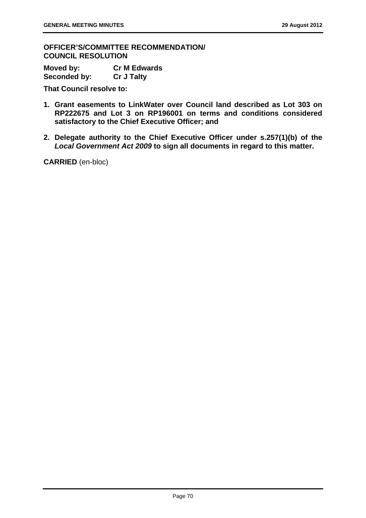**OFFICER'S/COMMITTEE RECOMMENDATION/ COUNCIL RESOLUTION** 

**Moved by: Cr M Edwards Seconded by: Cr J Talty** 

**That Council resolve to:** 

- **1. Grant easements to LinkWater over Council land described as Lot 303 on RP222675 and Lot 3 on RP196001 on terms and conditions considered satisfactory to the Chief Executive Officer; and**
- **2. Delegate authority to the Chief Executive Officer under s.257(1)(b) of the**  *Local Government Act 2009* **to sign all documents in regard to this matter.**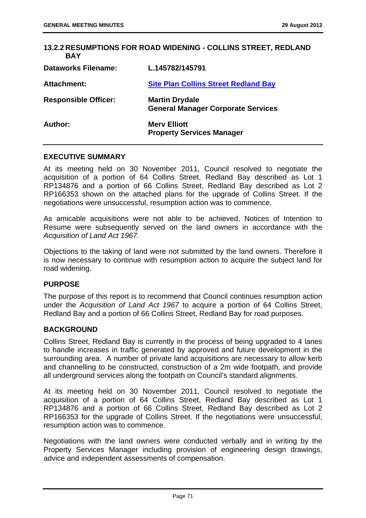| <b>13.2.2 RESUMPTIONS FOR ROAD WIDENING - COLLINS STREET, REDLAND</b><br><b>BAY</b> |                                                                    |  |
|-------------------------------------------------------------------------------------|--------------------------------------------------------------------|--|
| <b>Dataworks Filename:</b>                                                          | L.145782/145791                                                    |  |
| Attachment:                                                                         | <b>Site Plan Collins Street Redland Bay</b>                        |  |
| <b>Responsible Officer:</b>                                                         | <b>Martin Drydale</b><br><b>General Manager Corporate Services</b> |  |
| Author:                                                                             | <b>Mery Elliott</b><br><b>Property Services Manager</b>            |  |

### **EXECUTIVE SUMMARY**

At its meeting held on 30 November 2011, Council resolved to negotiate the acquisition of a portion of 64 Collins Street, Redland Bay described as Lot 1 RP134876 and a portion of 66 Collins Street, Redland Bay described as Lot 2 RP166353 shown on the attached plans for the upgrade of Collins Street. If the negotiations were unsuccessful, resumption action was to commence.

As amicable acquisitions were not able to be achieved, Notices of Intention to Resume were subsequently served on the land owners in accordance with the *Acquisition of Land Act 1967.* 

Objections to the taking of land were not submitted by the land owners. Therefore it is now necessary to continue with resumption action to acquire the subject land for road widening.

### **PURPOSE**

The purpose of this report is to recommend that Council continues resumption action under the *Acquisition of Land Act 1967* to acquire a portion of 64 Collins Street, Redland Bay and a portion of 66 Collins Street, Redland Bay for road purposes.

### **BACKGROUND**

Collins Street, Redland Bay is currently in the process of being upgraded to 4 lanes to handle increases in traffic generated by approved and future development in the surrounding area. A number of private land acquisitions are necessary to allow kerb and channelling to be constructed, construction of a 2m wide footpath, and provide all underground services along the footpath on Council's standard alignments.

At its meeting held on 30 November 2011, Council resolved to negotiate the acquisition of a portion of 64 Collins Street, Redland Bay described as Lot 1 RP134876 and a portion of 66 Collins Street, Redland Bay described as Lot 2 RP166353 for the upgrade of Collins Street. If the negotiations were unsuccessful, resumption action was to commence.

Negotiations with the land owners were conducted verbally and in writing by the Property Services Manager including provision of engineering design drawings, advice and independent assessments of compensation.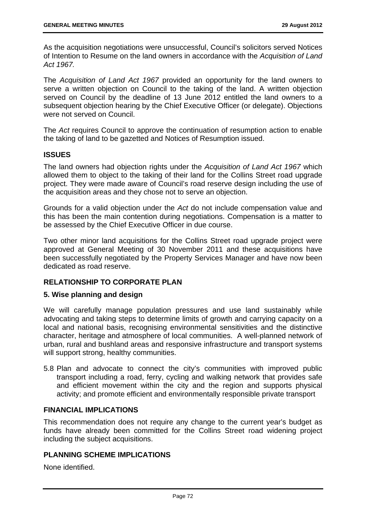As the acquisition negotiations were unsuccessful, Council's solicitors served Notices of Intention to Resume on the land owners in accordance with the *Acquisition of Land Act 1967.*

The *Acquisition of Land Act 1967* provided an opportunity for the land owners to serve a written objection on Council to the taking of the land. A written objection served on Council by the deadline of 13 June 2012 entitled the land owners to a subsequent objection hearing by the Chief Executive Officer (or delegate). Objections were not served on Council.

The *Act* requires Council to approve the continuation of resumption action to enable the taking of land to be gazetted and Notices of Resumption issued.

## **ISSUES**

The land owners had objection rights under the *Acquisition of Land Act 1967* which allowed them to object to the taking of their land for the Collins Street road upgrade project. They were made aware of Council's road reserve design including the use of the acquisition areas and they chose not to serve an objection.

Grounds for a valid objection under the *Act* do not include compensation value and this has been the main contention during negotiations. Compensation is a matter to be assessed by the Chief Executive Officer in due course.

Two other minor land acquisitions for the Collins Street road upgrade project were approved at General Meeting of 30 November 2011 and these acquisitions have been successfully negotiated by the Property Services Manager and have now been dedicated as road reserve.

## **RELATIONSHIP TO CORPORATE PLAN**

### **5. Wise planning and design**

We will carefully manage population pressures and use land sustainably while advocating and taking steps to determine limits of growth and carrying capacity on a local and national basis, recognising environmental sensitivities and the distinctive character, heritage and atmosphere of local communities. A well-planned network of urban, rural and bushland areas and responsive infrastructure and transport systems will support strong, healthy communities.

5.8 Plan and advocate to connect the city's communities with improved public transport including a road, ferry, cycling and walking network that provides safe and efficient movement within the city and the region and supports physical activity; and promote efficient and environmentally responsible private transport

## **FINANCIAL IMPLICATIONS**

This recommendation does not require any change to the current year's budget as funds have already been committed for the Collins Street road widening project including the subject acquisitions.

## **PLANNING SCHEME IMPLICATIONS**

None identified.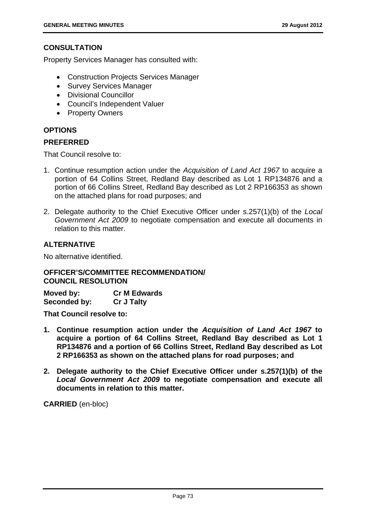## **CONSULTATION**

Property Services Manager has consulted with:

- Construction Projects Services Manager
- Survey Services Manager
- Divisional Councillor
- Council's Independent Valuer
- Property Owners

## **OPTIONS**

### **PREFERRED**

That Council resolve to:

- 1. Continue resumption action under the *Acquisition of Land Act 1967* to acquire a portion of 64 Collins Street, Redland Bay described as Lot 1 RP134876 and a portion of 66 Collins Street, Redland Bay described as Lot 2 RP166353 as shown on the attached plans for road purposes; and
- 2. Delegate authority to the Chief Executive Officer under s.257(1)(b) of the *Local Government Act 2009* to negotiate compensation and execute all documents in relation to this matter.

## **ALTERNATIVE**

No alternative identified.

## **OFFICER'S/COMMITTEE RECOMMENDATION/ COUNCIL RESOLUTION**

**Moved by: Cr M Edwards Seconded by: Cr J Talty** 

**That Council resolve to:** 

- **1. Continue resumption action under the** *Acquisition of Land Act 1967* **to acquire a portion of 64 Collins Street, Redland Bay described as Lot 1 RP134876 and a portion of 66 Collins Street, Redland Bay described as Lot 2 RP166353 as shown on the attached plans for road purposes; and**
- **2. Delegate authority to the Chief Executive Officer under s.257(1)(b) of the**  *Local Government Act 2009* **to negotiate compensation and execute all documents in relation to this matter.**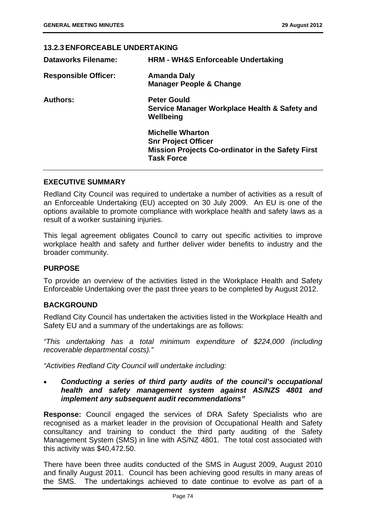## **13.2.3 ENFORCEABLE UNDERTAKING**

| <b>Dataworks Filename:</b>  | <b>HRM - WH&amp;S Enforceable Undertaking</b>                                                                                          |
|-----------------------------|----------------------------------------------------------------------------------------------------------------------------------------|
| <b>Responsible Officer:</b> | <b>Amanda Daly</b><br><b>Manager People &amp; Change</b>                                                                               |
| <b>Authors:</b>             | <b>Peter Gould</b><br>Service Manager Workplace Health & Safety and<br>Wellbeing                                                       |
|                             | <b>Michelle Wharton</b><br><b>Snr Project Officer</b><br><b>Mission Projects Co-ordinator in the Safety First</b><br><b>Task Force</b> |

## **EXECUTIVE SUMMARY**

Redland City Council was required to undertake a number of activities as a result of an Enforceable Undertaking (EU) accepted on 30 July 2009. An EU is one of the options available to promote compliance with workplace health and safety laws as a result of a worker sustaining injuries.

This legal agreement obligates Council to carry out specific activities to improve workplace health and safety and further deliver wider benefits to industry and the broader community.

### **PURPOSE**

To provide an overview of the activities listed in the Workplace Health and Safety Enforceable Undertaking over the past three years to be completed by August 2012.

## **BACKGROUND**

Redland City Council has undertaken the activities listed in the Workplace Health and Safety EU and a summary of the undertakings are as follows:

*"This undertaking has a total minimum expenditure of \$224,000 (including recoverable departmental costs)."* 

*"Activities Redland City Council will undertake including:* 

## *Conducting a series of third party audits of the council's occupational health and safety management system against AS/NZS 4801 and implement any subsequent audit recommendations"*

**Response:** Council engaged the services of DRA Safety Specialists who are recognised as a market leader in the provision of Occupational Health and Safety consultancy and training to conduct the third party auditing of the Safety Management System (SMS) in line with AS/NZ 4801. The total cost associated with this activity was \$40,472.50.

There have been three audits conducted of the SMS in August 2009, August 2010 and finally August 2011. Council has been achieving good results in many areas of the SMS. The undertakings achieved to date continue to evolve as part of a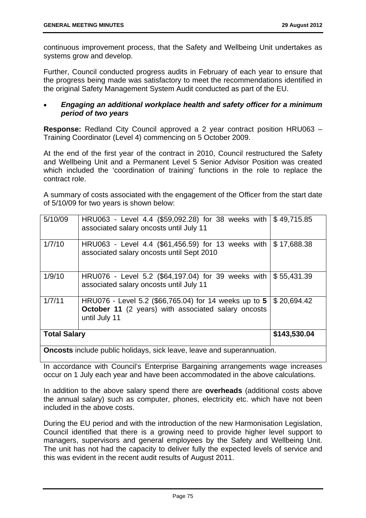continuous improvement process, that the Safety and Wellbeing Unit undertakes as systems grow and develop.

Further, Council conducted progress audits in February of each year to ensure that the progress being made was satisfactory to meet the recommendations identified in the original Safety Management System Audit conducted as part of the EU.

## *Engaging an additional workplace health and safety officer for a minimum period of two years*

**Response:** Redland City Council approved a 2 year contract position HRU063 – Training Coordinator (Level 4) commencing on 5 October 2009.

At the end of the first year of the contract in 2010, Council restructured the Safety and Wellbeing Unit and a Permanent Level 5 Senior Advisor Position was created which included the 'coordination of training' functions in the role to replace the contract role.

A summary of costs associated with the engagement of the Officer from the start date of 5/10/09 for two years is shown below:

| 5/10/09             | HRU063 - Level 4.4 (\$59,092.28) for 38 weeks with $\frac{1}{3}$ 49,715.85<br>associated salary oncosts until July 11                |              |
|---------------------|--------------------------------------------------------------------------------------------------------------------------------------|--------------|
| 1/7/10              | HRU063 - Level 4.4 (\$61,456.59) for 13 weeks with<br>associated salary oncosts until Sept 2010                                      | \$17,688.38  |
| 1/9/10              | HRU076 - Level 5.2 (\$64,197.04) for 39 weeks with<br>associated salary oncosts until July 11                                        | \$55,431.39  |
| 1/7/11              | HRU076 - Level 5.2 (\$66,765.04) for 14 weeks up to 5<br><b>October 11</b> (2 years) with associated salary oncosts<br>until July 11 | \$20,694.42  |
| <b>Total Salary</b> |                                                                                                                                      | \$143,530.04 |
|                     | Onegate include public holidays, aigh legye, legye and superappuotion                                                                |              |

**Oncosts** include public holidays, sick leave, leave and superannuation.

In accordance with Council's Enterprise Bargaining arrangements wage increases occur on 1 July each year and have been accommodated in the above calculations.

In addition to the above salary spend there are **overheads** (additional costs above the annual salary) such as computer, phones, electricity etc. which have not been included in the above costs.

During the EU period and with the introduction of the new Harmonisation Legislation, Council identified that there is a growing need to provide higher level support to managers, supervisors and general employees by the Safety and Wellbeing Unit. The unit has not had the capacity to deliver fully the expected levels of service and this was evident in the recent audit results of August 2011.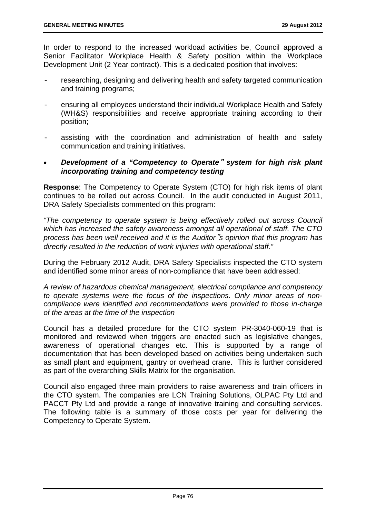In order to respond to the increased workload activities be, Council approved a Senior Facilitator Workplace Health & Safety position within the Workplace Development Unit (2 Year contract). This is a dedicated position that involves:

- researching, designing and delivering health and safety targeted communication and training programs;
- ensuring all employees understand their individual Workplace Health and Safety (WH&S) responsibilities and receive appropriate training according to their position;
- assisting with the coordination and administration of health and safety communication and training initiatives.
- *Development of a "Competency to Operate*" *system for high risk plant incorporating training and competency testing*

**Response**: The Competency to Operate System (CTO) for high risk items of plant continues to be rolled out across Council. In the audit conducted in August 2011, DRA Safety Specialists commented on this program:

*"The competency to operate system is being effectively rolled out across Council which has increased the safety awareness amongst all operational of staff. The CTO process has been well received and it is the Auditor*"*s opinion that this program has directly resulted in the reduction of work injuries with operational staff."* 

During the February 2012 Audit, DRA Safety Specialists inspected the CTO system and identified some minor areas of non-compliance that have been addressed:

*A review of hazardous chemical management, electrical compliance and competency to operate systems were the focus of the inspections. Only minor areas of noncompliance were identified and recommendations were provided to those in-charge of the areas at the time of the inspection* 

Council has a detailed procedure for the CTO system PR-3040-060-19 that is monitored and reviewed when triggers are enacted such as legislative changes, awareness of operational changes etc. This is supported by a range of documentation that has been developed based on activities being undertaken such as small plant and equipment, gantry or overhead crane. This is further considered as part of the overarching Skills Matrix for the organisation.

Council also engaged three main providers to raise awareness and train officers in the CTO system. The companies are LCN Training Solutions, OLPAC Pty Ltd and PACCT Pty Ltd and provide a range of innovative training and consulting services. The following table is a summary of those costs per year for delivering the Competency to Operate System.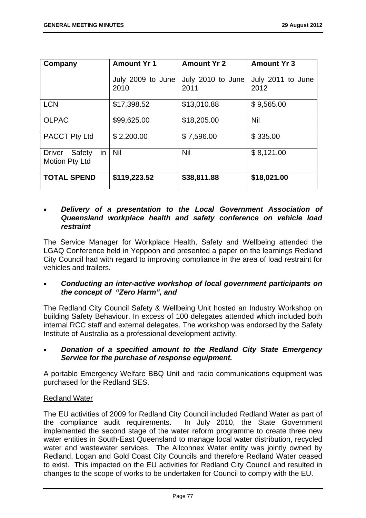| Company                                         | <b>Amount Yr 1</b>        | <b>Amount Yr 2</b>        | <b>Amount Yr 3</b>        |
|-------------------------------------------------|---------------------------|---------------------------|---------------------------|
|                                                 | July 2009 to June<br>2010 | July 2010 to June<br>2011 | July 2011 to June<br>2012 |
| <b>LCN</b>                                      | \$17,398.52               | \$13,010.88               | \$9,565.00                |
| <b>OLPAC</b>                                    | \$99,625.00               | \$18,205.00               | Nil                       |
| <b>PACCT Pty Ltd</b>                            | \$2,200.00                | \$7,596.00                | \$335.00                  |
| Safety<br>in<br><b>Driver</b><br>Motion Pty Ltd | <b>Nil</b>                | <b>Nil</b>                | \$8,121.00                |
| <b>TOTAL SPEND</b>                              | \$119,223.52              | \$38,811.88               | \$18,021.00               |

### *Delivery of a presentation to the Local Government Association of Queensland workplace health and safety conference on vehicle load restraint*

The Service Manager for Workplace Health, Safety and Wellbeing attended the LGAQ Conference held in Yeppoon and presented a paper on the learnings Redland City Council had with regard to improving compliance in the area of load restraint for vehicles and trailers.

## *Conducting an inter-active workshop of local government participants on the concept of "Zero Harm", and*

The Redland City Council Safety & Wellbeing Unit hosted an Industry Workshop on building Safety Behaviour. In excess of 100 delegates attended which included both internal RCC staff and external delegates. The workshop was endorsed by the Safety Institute of Australia as a professional development activity.

## *Donation of a specified amount to the Redland City State Emergency Service for the purchase of response equipment.*

A portable Emergency Welfare BBQ Unit and radio communications equipment was purchased for the Redland SES.

## Redland Water

The EU activities of 2009 for Redland City Council included Redland Water as part of the compliance audit requirements. In July 2010, the State Government implemented the second stage of the water reform programme to create three new water entities in South-East Queensland to manage local water distribution, recycled water and wastewater services. The Allconnex Water entity was jointly owned by Redland, Logan and Gold Coast City Councils and therefore Redland Water ceased to exist. This impacted on the EU activities for Redland City Council and resulted in changes to the scope of works to be undertaken for Council to comply with the EU.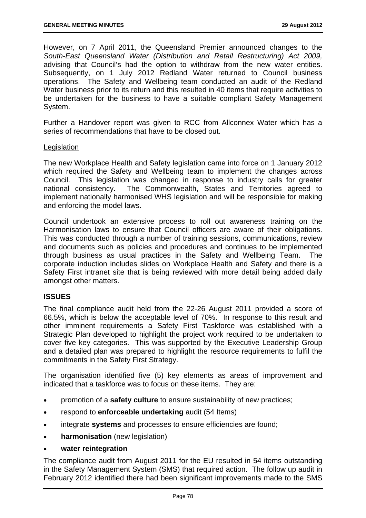However, on 7 April 2011, the Queensland Premier announced changes to the *South-East Queensland Water (Distribution and Retail Restructuring) Act 2009,*  advising that Council's had the option to withdraw from the new water entities. Subsequently, on 1 July 2012 Redland Water returned to Council business operations. The Safety and Wellbeing team conducted an audit of the Redland Water business prior to its return and this resulted in 40 items that require activities to be undertaken for the business to have a suitable compliant Safety Management System.

Further a Handover report was given to RCC from Allconnex Water which has a series of recommendations that have to be closed out.

#### **Legislation**

The new Workplace Health and Safety legislation came into force on 1 January 2012 which required the Safety and Wellbeing team to implement the changes across Council. This legislation was changed in response to industry calls for greater national consistency. The Commonwealth, States and Territories agreed to implement nationally harmonised WHS legislation and will be responsible for making and enforcing the model laws.

Council undertook an extensive process to roll out awareness training on the Harmonisation laws to ensure that Council officers are aware of their obligations. This was conducted through a number of training sessions, communications, review and documents such as policies and procedures and continues to be implemented through business as usual practices in the Safety and Wellbeing Team. The corporate induction includes slides on Workplace Health and Safety and there is a Safety First intranet site that is being reviewed with more detail being added daily amongst other matters.

### **ISSUES**

The final compliance audit held from the 22-26 August 2011 provided a score of 66.5%, which is below the acceptable level of 70%. In response to this result and other imminent requirements a Safety First Taskforce was established with a Strategic Plan developed to highlight the project work required to be undertaken to cover five key categories. This was supported by the Executive Leadership Group and a detailed plan was prepared to highlight the resource requirements to fulfil the commitments in the Safety First Strategy.

The organisation identified five (5) key elements as areas of improvement and indicated that a taskforce was to focus on these items. They are:

- promotion of a **safety culture** to ensure sustainability of new practices;
- respond to **enforceable undertaking** audit (54 Items)
- integrate **systems** and processes to ensure efficiencies are found;
- **harmonisation** (new legislation)
- **water reintegration**

The compliance audit from August 2011 for the EU resulted in 54 items outstanding in the Safety Management System (SMS) that required action. The follow up audit in February 2012 identified there had been significant improvements made to the SMS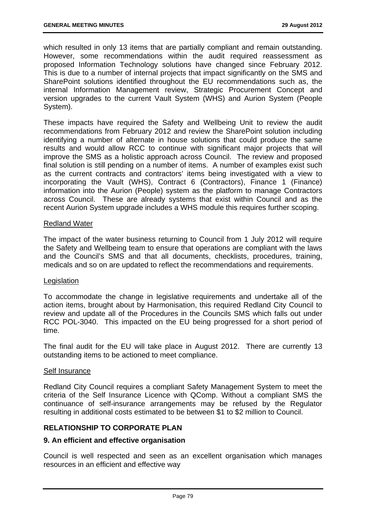which resulted in only 13 items that are partially compliant and remain outstanding. However, some recommendations within the audit required reassessment as proposed Information Technology solutions have changed since February 2012. This is due to a number of internal projects that impact significantly on the SMS and SharePoint solutions identified throughout the EU recommendations such as, the internal Information Management review, Strategic Procurement Concept and version upgrades to the current Vault System (WHS) and Aurion System (People System).

These impacts have required the Safety and Wellbeing Unit to review the audit recommendations from February 2012 and review the SharePoint solution including identifying a number of alternate in house solutions that could produce the same results and would allow RCC to continue with significant major projects that will improve the SMS as a holistic approach across Council. The review and proposed final solution is still pending on a number of items. A number of examples exist such as the current contracts and contractors' items being investigated with a view to incorporating the Vault (WHS), Contract 6 (Contractors), Finance 1 (Finance) information into the Aurion (People) system as the platform to manage Contractors across Council. These are already systems that exist within Council and as the recent Aurion System upgrade includes a WHS module this requires further scoping.

### Redland Water

The impact of the water business returning to Council from 1 July 2012 will require the Safety and Wellbeing team to ensure that operations are compliant with the laws and the Council's SMS and that all documents, checklists, procedures, training, medicals and so on are updated to reflect the recommendations and requirements.

### Legislation

To accommodate the change in legislative requirements and undertake all of the action items, brought about by Harmonisation, this required Redland City Council to review and update all of the Procedures in the Councils SMS which falls out under RCC POL-3040. This impacted on the EU being progressed for a short period of time.

The final audit for the EU will take place in August 2012. There are currently 13 outstanding items to be actioned to meet compliance.

### Self Insurance

Redland City Council requires a compliant Safety Management System to meet the criteria of the Self Insurance Licence with QComp. Without a compliant SMS the continuance of self-insurance arrangements may be refused by the Regulator resulting in additional costs estimated to be between \$1 to \$2 million to Council.

## **RELATIONSHIP TO CORPORATE PLAN**

### **9. An efficient and effective organisation**

Council is well respected and seen as an excellent organisation which manages resources in an efficient and effective way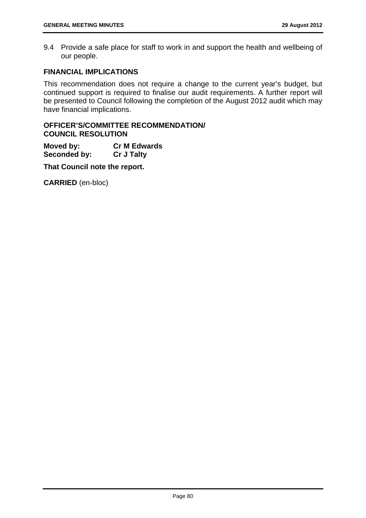9.4 Provide a safe place for staff to work in and support the health and wellbeing of our people.

## **FINANCIAL IMPLICATIONS**

This recommendation does not require a change to the current year's budget, but continued support is required to finalise our audit requirements. A further report will be presented to Council following the completion of the August 2012 audit which may have financial implications.

## **OFFICER'S/COMMITTEE RECOMMENDATION/ COUNCIL RESOLUTION**

**Moved by: Cr M Edwards Seconded by: Cr J Talty** 

**That Council note the report.**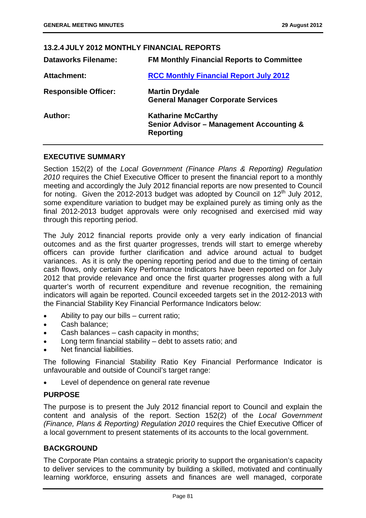# **13.2.4 JULY 2012 MONTHLY FINANCIAL REPORTS**

| <b>Dataworks Filename:</b>  | <b>FM Monthly Financial Reports to Committee</b>                                                     |
|-----------------------------|------------------------------------------------------------------------------------------------------|
| <b>Attachment:</b>          | <b>RCC Monthly Financial Report July 2012</b>                                                        |
| <b>Responsible Officer:</b> | <b>Martin Drydale</b><br><b>General Manager Corporate Services</b>                                   |
| Author:                     | <b>Katharine McCarthy</b><br><b>Senior Advisor - Management Accounting &amp;</b><br><b>Reporting</b> |

## **EXECUTIVE SUMMARY**

Section 152(2) of the *Local Government (Finance Plans & Reporting) Regulation 2010* requires the Chief Executive Officer to present the financial report to a monthly meeting and accordingly the July 2012 financial reports are now presented to Council for noting. Given the 2012-2013 budget was adopted by Council on  $12<sup>th</sup>$  July 2012, some expenditure variation to budget may be explained purely as timing only as the final 2012-2013 budget approvals were only recognised and exercised mid way through this reporting period.

The July 2012 financial reports provide only a very early indication of financial outcomes and as the first quarter progresses, trends will start to emerge whereby officers can provide further clarification and advice around actual to budget variances. As it is only the opening reporting period and due to the timing of certain cash flows, only certain Key Performance Indicators have been reported on for July 2012 that provide relevance and once the first quarter progresses along with a full quarter's worth of recurrent expenditure and revenue recognition, the remaining indicators will again be reported. Council exceeded targets set in the 2012-2013 with the Financial Stability Key Financial Performance Indicators below:

- Ability to pay our bills current ratio;
- Cash balance;
- Cash balances cash capacity in months;
- Long term financial stability debt to assets ratio; and
- Net financial liabilities.

The following Financial Stability Ratio Key Financial Performance Indicator is unfavourable and outside of Council's target range:

Level of dependence on general rate revenue

## **PURPOSE**

The purpose is to present the July 2012 financial report to Council and explain the content and analysis of the report. Section 152(2) of the *Local Government (Finance, Plans & Reporting) Regulation 2010* requires the Chief Executive Officer of a local government to present statements of its accounts to the local government.

### **BACKGROUND**

The Corporate Plan contains a strategic priority to support the organisation's capacity to deliver services to the community by building a skilled, motivated and continually learning workforce, ensuring assets and finances are well managed, corporate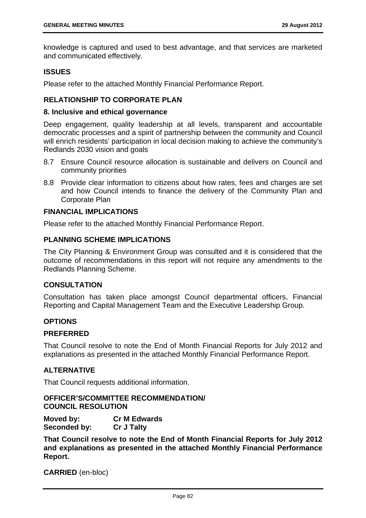knowledge is captured and used to best advantage, and that services are marketed and communicated effectively.

### **ISSUES**

Please refer to the attached Monthly Financial Performance Report.

## **RELATIONSHIP TO CORPORATE PLAN**

#### **8. Inclusive and ethical governance**

Deep engagement, quality leadership at all levels, transparent and accountable democratic processes and a spirit of partnership between the community and Council will enrich residents' participation in local decision making to achieve the community's Redlands 2030 vision and goals

- 8.7 Ensure Council resource allocation is sustainable and delivers on Council and community priorities
- 8.8 Provide clear information to citizens about how rates, fees and charges are set and how Council intends to finance the delivery of the Community Plan and Corporate Plan

### **FINANCIAL IMPLICATIONS**

Please refer to the attached Monthly Financial Performance Report.

## **PLANNING SCHEME IMPLICATIONS**

The City Planning & Environment Group was consulted and it is considered that the outcome of recommendations in this report will not require any amendments to the Redlands Planning Scheme.

### **CONSULTATION**

Consultation has taken place amongst Council departmental officers, Financial Reporting and Capital Management Team and the Executive Leadership Group.

### **OPTIONS**

### **PREFERRED**

That Council resolve to note the End of Month Financial Reports for July 2012 and explanations as presented in the attached Monthly Financial Performance Report.

### **ALTERNATIVE**

That Council requests additional information.

## **OFFICER'S/COMMITTEE RECOMMENDATION/ COUNCIL RESOLUTION**

**Moved by: Cr M Edwards Seconded by: Cr J Talty** 

**That Council resolve to note the End of Month Financial Reports for July 2012 and explanations as presented in the attached Monthly Financial Performance Report.**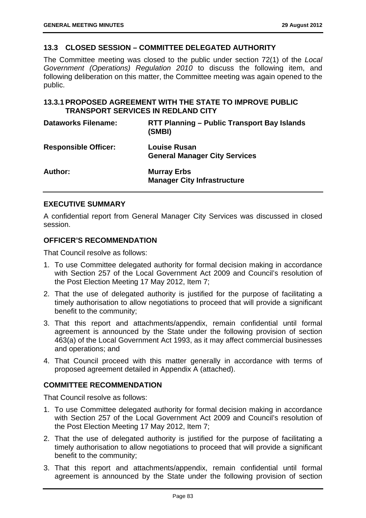## **13.3 CLOSED SESSION – COMMITTEE DELEGATED AUTHORITY**

The Committee meeting was closed to the public under section 72(1) of the *Local Government (Operations) Regulation 2010* to discuss the following item, and following deliberation on this matter, the Committee meeting was again opened to the public.

## **13.3.1 PROPOSED AGREEMENT WITH THE STATE TO IMPROVE PUBLIC TRANSPORT SERVICES IN REDLAND CITY**

| <b>Dataworks Filename:</b>  | RTT Planning – Public Transport Bay Islands<br>(SMBI)       |
|-----------------------------|-------------------------------------------------------------|
| <b>Responsible Officer:</b> | <b>Louise Rusan</b><br><b>General Manager City Services</b> |
| Author:                     | <b>Murray Erbs</b><br><b>Manager City Infrastructure</b>    |

## **EXECUTIVE SUMMARY**

A confidential report from General Manager City Services was discussed in closed session.

### **OFFICER'S RECOMMENDATION**

That Council resolve as follows:

- 1. To use Committee delegated authority for formal decision making in accordance with Section 257 of the Local Government Act 2009 and Council's resolution of the Post Election Meeting 17 May 2012, Item 7;
- 2. That the use of delegated authority is justified for the purpose of facilitating a timely authorisation to allow negotiations to proceed that will provide a significant benefit to the community;
- 3. That this report and attachments/appendix, remain confidential until formal agreement is announced by the State under the following provision of section 463(a) of the Local Government Act 1993, as it may affect commercial businesses and operations; and
- 4. That Council proceed with this matter generally in accordance with terms of proposed agreement detailed in Appendix A (attached).

### **COMMITTEE RECOMMENDATION**

That Council resolve as follows:

- 1. To use Committee delegated authority for formal decision making in accordance with Section 257 of the Local Government Act 2009 and Council's resolution of the Post Election Meeting 17 May 2012, Item 7;
- 2. That the use of delegated authority is justified for the purpose of facilitating a timely authorisation to allow negotiations to proceed that will provide a significant benefit to the community;
- 3. That this report and attachments/appendix, remain confidential until formal agreement is announced by the State under the following provision of section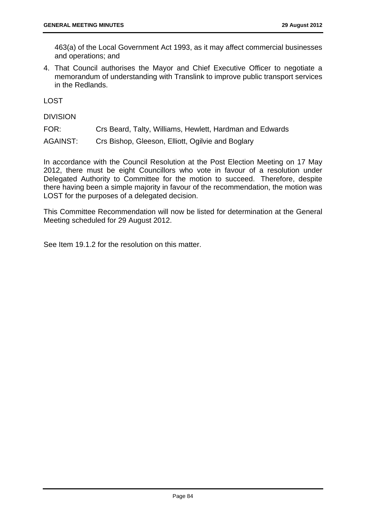463(a) of the Local Government Act 1993, as it may affect commercial businesses and operations; and

4. That Council authorises the Mayor and Chief Executive Officer to negotiate a memorandum of understanding with Translink to improve public transport services in the Redlands.

LOST

DIVISION

FOR: Crs Beard, Talty, Williams, Hewlett, Hardman and Edwards

AGAINST: Crs Bishop, Gleeson, Elliott, Ogilvie and Boglary

In accordance with the Council Resolution at the Post Election Meeting on 17 May 2012, there must be eight Councillors who vote in favour of a resolution under Delegated Authority to Committee for the motion to succeed. Therefore, despite there having been a simple majority in favour of the recommendation, the motion was LOST for the purposes of a delegated decision.

This Committee Recommendation will now be listed for determination at the General Meeting scheduled for 29 August 2012.

See Item 19.1.2 for the resolution on this matter.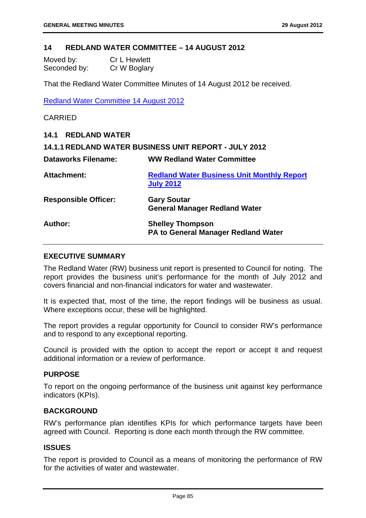### **14 REDLAND WATER COMMITTEE – 14 AUGUST 2012**

| Moved by:    | <b>Cr L Hewlett</b> |
|--------------|---------------------|
| Seconded by: | Cr W Boglary        |

That the Redland Water Committee Minutes of 14 August 2012 be received.

Redland Water Committee 14 August 2012

### CARRIED

| <b>14.1 REDLAND WATER</b>   |                                                                       |
|-----------------------------|-----------------------------------------------------------------------|
|                             | 14.1.1 REDLAND WATER BUSINESS UNIT REPORT - JULY 2012                 |
| <b>Dataworks Filename:</b>  | <b>WW Redland Water Committee</b>                                     |
| <b>Attachment:</b>          | <b>Redland Water Business Unit Monthly Report</b><br><b>July 2012</b> |
| <b>Responsible Officer:</b> | <b>Gary Soutar</b><br><b>General Manager Redland Water</b>            |
| Author:                     | <b>Shelley Thompson</b><br><b>PA to General Manager Redland Water</b> |

## **EXECUTIVE SUMMARY**

The Redland Water (RW) business unit report is presented to Council for noting. The report provides the business unit's performance for the month of July 2012 and covers financial and non-financial indicators for water and wastewater.

It is expected that, most of the time, the report findings will be business as usual. Where exceptions occur, these will be highlighted.

The report provides a regular opportunity for Council to consider RW's performance and to respond to any exceptional reporting.

Council is provided with the option to accept the report or accept it and request additional information or a review of performance.

### **PURPOSE**

To report on the ongoing performance of the business unit against key performance indicators (KPIs).

### **BACKGROUND**

RW's performance plan identifies KPIs for which performance targets have been agreed with Council. Reporting is done each month through the RW committee.

### **ISSUES**

The report is provided to Council as a means of monitoring the performance of RW for the activities of water and wastewater.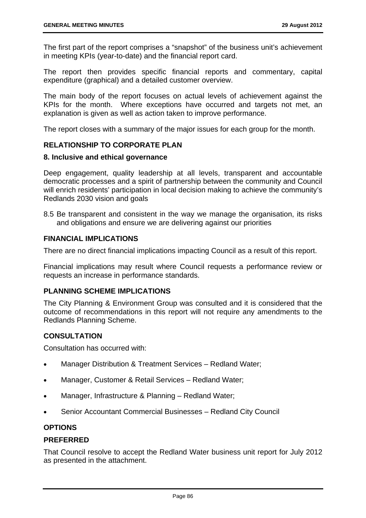The first part of the report comprises a "snapshot" of the business unit's achievement in meeting KPIs (year-to-date) and the financial report card.

The report then provides specific financial reports and commentary, capital expenditure (graphical) and a detailed customer overview.

The main body of the report focuses on actual levels of achievement against the KPIs for the month. Where exceptions have occurred and targets not met, an explanation is given as well as action taken to improve performance.

The report closes with a summary of the major issues for each group for the month.

## **RELATIONSHIP TO CORPORATE PLAN**

### **8. Inclusive and ethical governance**

Deep engagement, quality leadership at all levels, transparent and accountable democratic processes and a spirit of partnership between the community and Council will enrich residents' participation in local decision making to achieve the community's Redlands 2030 vision and goals

8.5 Be transparent and consistent in the way we manage the organisation, its risks and obligations and ensure we are delivering against our priorities

## **FINANCIAL IMPLICATIONS**

There are no direct financial implications impacting Council as a result of this report.

Financial implications may result where Council requests a performance review or requests an increase in performance standards.

## **PLANNING SCHEME IMPLICATIONS**

The City Planning & Environment Group was consulted and it is considered that the outcome of recommendations in this report will not require any amendments to the Redlands Planning Scheme.

## **CONSULTATION**

Consultation has occurred with:

- Manager Distribution & Treatment Services Redland Water;
- Manager, Customer & Retail Services Redland Water;
- Manager, Infrastructure & Planning Redland Water;
- Senior Accountant Commercial Businesses Redland City Council

## **OPTIONS**

## **PREFERRED**

That Council resolve to accept the Redland Water business unit report for July 2012 as presented in the attachment.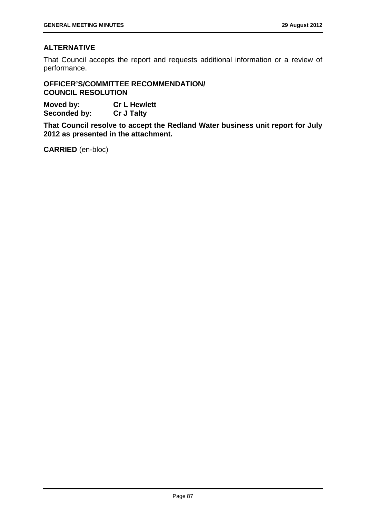## **ALTERNATIVE**

That Council accepts the report and requests additional information or a review of performance.

**OFFICER'S/COMMITTEE RECOMMENDATION/ COUNCIL RESOLUTION** 

**Moved by: Cr L Hewlett Seconded by: Cr J Talty** 

**That Council resolve to accept the Redland Water business unit report for July 2012 as presented in the attachment.**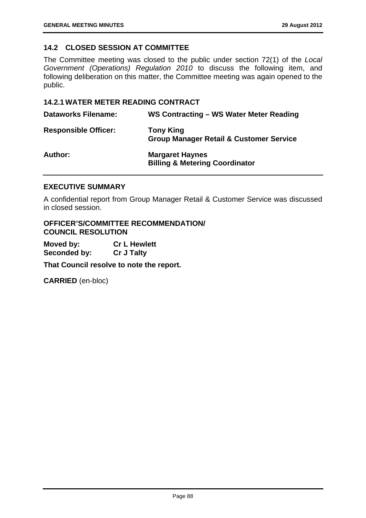## **14.2 CLOSED SESSION AT COMMITTEE**

The Committee meeting was closed to the public under section 72(1) of the *Local Government (Operations) Regulation 2010* to discuss the following item, and following deliberation on this matter, the Committee meeting was again opened to the public.

### **14.2.1 WATER METER READING CONTRACT**

| <b>Dataworks Filename:</b>  | WS Contracting - WS Water Meter Reading                                |
|-----------------------------|------------------------------------------------------------------------|
| <b>Responsible Officer:</b> | <b>Tony King</b><br><b>Group Manager Retail &amp; Customer Service</b> |
| <b>Author:</b>              | <b>Margaret Haynes</b><br><b>Billing &amp; Metering Coordinator</b>    |

### **EXECUTIVE SUMMARY**

A confidential report from Group Manager Retail & Customer Service was discussed in closed session.

**OFFICER'S/COMMITTEE RECOMMENDATION/ COUNCIL RESOLUTION** 

**Moved by: Cr L Hewlett Seconded by: Cr J Talty** 

**That Council resolve to note the report.**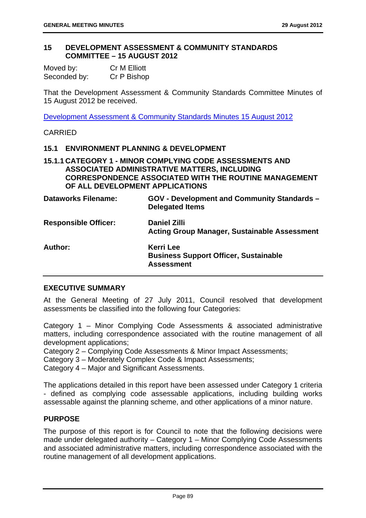### **15 DEVELOPMENT ASSESSMENT & COMMUNITY STANDARDS COMMITTEE – 15 AUGUST 2012**

| Moved by:    | Cr M Elliott |
|--------------|--------------|
| Seconded by: | Cr P Bishop  |

That the Development Assessment & Community Standards Committee Minutes of 15 August 2012 be received.

Development Assessment & Community Standards Minutes 15 August 2012

## CARRIED

### **15.1 ENVIRONMENT PLANNING & DEVELOPMENT**

## **15.1.1 CATEGORY 1 - MINOR COMPLYING CODE ASSESSMENTS AND ASSOCIATED ADMINISTRATIVE MATTERS, INCLUDING CORRESPONDENCE ASSOCIATED WITH THE ROUTINE MANAGEMENT OF ALL DEVELOPMENT APPLICATIONS**

| <b>Dataworks Filename:</b>  | <b>GOV - Development and Community Standards -</b><br><b>Delegated Items</b>          |
|-----------------------------|---------------------------------------------------------------------------------------|
| <b>Responsible Officer:</b> | <b>Daniel Zilli</b><br><b>Acting Group Manager, Sustainable Assessment</b>            |
| Author:                     | <b>Kerri Lee</b><br><b>Business Support Officer, Sustainable</b><br><b>Assessment</b> |

### **EXECUTIVE SUMMARY**

At the General Meeting of 27 July 2011, Council resolved that development assessments be classified into the following four Categories:

Category 1 – Minor Complying Code Assessments & associated administrative matters, including correspondence associated with the routine management of all development applications;

Category 2 – Complying Code Assessments & Minor Impact Assessments;

Category 3 – Moderately Complex Code & Impact Assessments;

Category 4 – Major and Significant Assessments.

The applications detailed in this report have been assessed under Category 1 criteria - defined as complying code assessable applications, including building works assessable against the planning scheme, and other applications of a minor nature.

### **PURPOSE**

The purpose of this report is for Council to note that the following decisions were made under delegated authority – Category 1 – Minor Complying Code Assessments and associated administrative matters, including correspondence associated with the routine management of all development applications.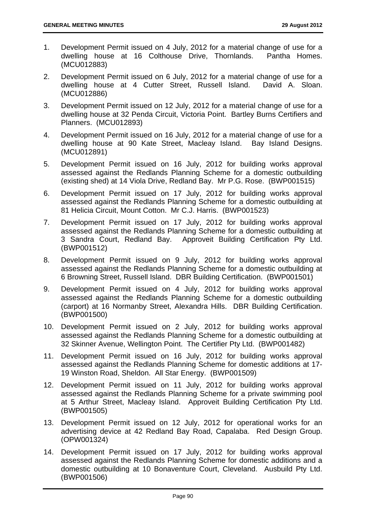- 1. Development Permit issued on 4 July, 2012 for a material change of use for a dwelling house at 16 Colthouse Drive, Thornlands. Pantha Homes. (MCU012883)
- 2. Development Permit issued on 6 July, 2012 for a material change of use for a dwelling house at 4 Cutter Street, Russell Island. David A. Sloan. (MCU012886)
- 3. Development Permit issued on 12 July, 2012 for a material change of use for a dwelling house at 32 Penda Circuit, Victoria Point. Bartley Burns Certifiers and Planners. (MCU012893)
- 4. Development Permit issued on 16 July, 2012 for a material change of use for a dwelling house at 90 Kate Street, Macleay Island. Bay Island Designs. (MCU012891)
- 5. Development Permit issued on 16 July, 2012 for building works approval assessed against the Redlands Planning Scheme for a domestic outbuilding (existing shed) at 14 Viola Drive, Redland Bay. Mr P.G. Rose. (BWP001515)
- 6. Development Permit issued on 17 July, 2012 for building works approval assessed against the Redlands Planning Scheme for a domestic outbuilding at 81 Helicia Circuit, Mount Cotton. Mr C.J. Harris. (BWP001523)
- 7. Development Permit issued on 17 July, 2012 for building works approval assessed against the Redlands Planning Scheme for a domestic outbuilding at 3 Sandra Court, Redland Bay. Approveit Building Certification Pty Ltd. (BWP001512)
- 8. Development Permit issued on 9 July, 2012 for building works approval assessed against the Redlands Planning Scheme for a domestic outbuilding at 6 Browning Street, Russell Island. DBR Building Certification. (BWP001501)
- 9. Development Permit issued on 4 July, 2012 for building works approval assessed against the Redlands Planning Scheme for a domestic outbuilding (carport) at 16 Normanby Street, Alexandra Hills. DBR Building Certification. (BWP001500)
- 10. Development Permit issued on 2 July, 2012 for building works approval assessed against the Redlands Planning Scheme for a domestic outbuilding at 32 Skinner Avenue, Wellington Point. The Certifier Pty Ltd. (BWP001482)
- 11. Development Permit issued on 16 July, 2012 for building works approval assessed against the Redlands Planning Scheme for domestic additions at 17- 19 Winston Road, Sheldon. All Star Energy. (BWP001509)
- 12. Development Permit issued on 11 July, 2012 for building works approval assessed against the Redlands Planning Scheme for a private swimming pool at 5 Arthur Street, Macleay Island. Approveit Building Certification Pty Ltd. (BWP001505)
- 13. Development Permit issued on 12 July, 2012 for operational works for an advertising device at 42 Redland Bay Road, Capalaba. Red Design Group. (OPW001324)
- 14. Development Permit issued on 17 July, 2012 for building works approval assessed against the Redlands Planning Scheme for domestic additions and a domestic outbuilding at 10 Bonaventure Court, Cleveland. Ausbuild Pty Ltd. (BWP001506)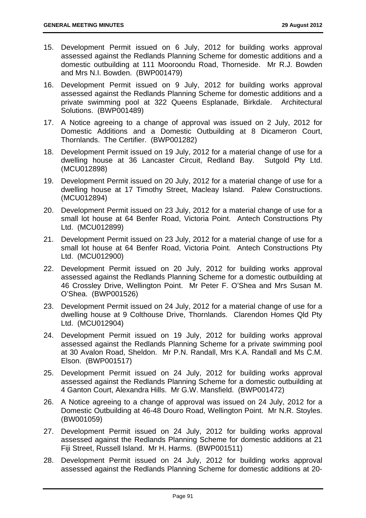- 15. Development Permit issued on 6 July, 2012 for building works approval assessed against the Redlands Planning Scheme for domestic additions and a domestic outbuilding at 111 Mooroondu Road, Thorneside. Mr R.J. Bowden and Mrs N.I. Bowden. (BWP001479)
- 16. Development Permit issued on 9 July, 2012 for building works approval assessed against the Redlands Planning Scheme for domestic additions and a private swimming pool at 322 Queens Esplanade, Birkdale. Architectural Solutions. (BWP001489)
- 17. A Notice agreeing to a change of approval was issued on 2 July, 2012 for Domestic Additions and a Domestic Outbuilding at 8 Dicameron Court, Thornlands. The Certifier. (BWP001282)
- 18. Development Permit issued on 19 July, 2012 for a material change of use for a dwelling house at 36 Lancaster Circuit, Redland Bay. Sutgold Pty Ltd. (MCU012898)
- 19. Development Permit issued on 20 July, 2012 for a material change of use for a dwelling house at 17 Timothy Street, Macleay Island. Palew Constructions. (MCU012894)
- 20. Development Permit issued on 23 July, 2012 for a material change of use for a small lot house at 64 Benfer Road, Victoria Point. Antech Constructions Pty Ltd. (MCU012899)
- 21. Development Permit issued on 23 July, 2012 for a material change of use for a small lot house at 64 Benfer Road, Victoria Point. Antech Constructions Pty Ltd. (MCU012900)
- 22. Development Permit issued on 20 July, 2012 for building works approval assessed against the Redlands Planning Scheme for a domestic outbuilding at 46 Crossley Drive, Wellington Point. Mr Peter F. O'Shea and Mrs Susan M. O'Shea. (BWP001526)
- 23. Development Permit issued on 24 July, 2012 for a material change of use for a dwelling house at 9 Colthouse Drive, Thornlands. Clarendon Homes Qld Pty Ltd. (MCU012904)
- 24. Development Permit issued on 19 July, 2012 for building works approval assessed against the Redlands Planning Scheme for a private swimming pool at 30 Avalon Road, Sheldon. Mr P.N. Randall, Mrs K.A. Randall and Ms C.M. Elson. (BWP001517)
- 25. Development Permit issued on 24 July, 2012 for building works approval assessed against the Redlands Planning Scheme for a domestic outbuilding at 4 Ganton Court, Alexandra Hills. Mr G.W. Mansfield. (BWP001472)
- 26. A Notice agreeing to a change of approval was issued on 24 July, 2012 for a Domestic Outbuilding at 46-48 Douro Road, Wellington Point. Mr N.R. Stoyles. (BW001059)
- 27. Development Permit issued on 24 July, 2012 for building works approval assessed against the Redlands Planning Scheme for domestic additions at 21 Fiji Street, Russell Island. Mr H. Harms. (BWP001511)
- 28. Development Permit issued on 24 July, 2012 for building works approval assessed against the Redlands Planning Scheme for domestic additions at 20-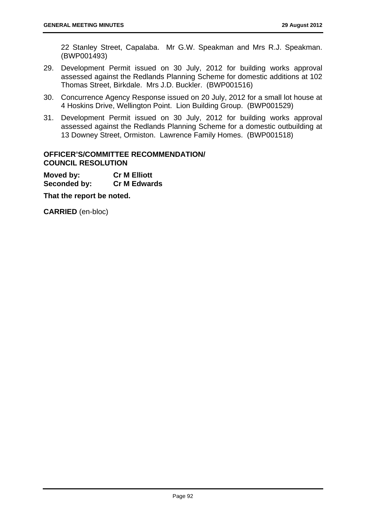22 Stanley Street, Capalaba. Mr G.W. Speakman and Mrs R.J. Speakman. (BWP001493)

- 29. Development Permit issued on 30 July, 2012 for building works approval assessed against the Redlands Planning Scheme for domestic additions at 102 Thomas Street, Birkdale. Mrs J.D. Buckler. (BWP001516)
- 30. Concurrence Agency Response issued on 20 July, 2012 for a small lot house at 4 Hoskins Drive, Wellington Point. Lion Building Group. (BWP001529)
- 31. Development Permit issued on 30 July, 2012 for building works approval assessed against the Redlands Planning Scheme for a domestic outbuilding at 13 Downey Street, Ormiston. Lawrence Family Homes. (BWP001518)

## **OFFICER'S/COMMITTEE RECOMMENDATION/ COUNCIL RESOLUTION**

**Moved by: Cr M Elliott Seconded by: Cr M Edwards** 

**That the report be noted.**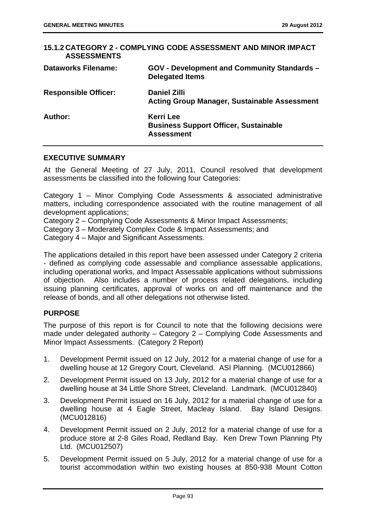| 15.1.2 CATEGORY 2 - COMPLYING CODE ASSESSMENT AND MINOR IMPACT<br><b>ASSESSMENTS</b> |                                                                                       |  |
|--------------------------------------------------------------------------------------|---------------------------------------------------------------------------------------|--|
| <b>Dataworks Filename:</b>                                                           | <b>GOV - Development and Community Standards -</b><br><b>Delegated Items</b>          |  |
| <b>Responsible Officer:</b>                                                          | <b>Daniel Zilli</b><br><b>Acting Group Manager, Sustainable Assessment</b>            |  |
| Author:                                                                              | <b>Kerri Lee</b><br><b>Business Support Officer, Sustainable</b><br><b>Assessment</b> |  |

### **EXECUTIVE SUMMARY**

At the General Meeting of 27 July, 2011, Council resolved that development assessments be classified into the following four Categories:

Category 1 – Minor Complying Code Assessments & associated administrative matters, including correspondence associated with the routine management of all development applications;

Category 2 – Complying Code Assessments & Minor Impact Assessments;

Category 3 – Moderately Complex Code & Impact Assessments; and

Category 4 – Major and Significant Assessments.

The applications detailed in this report have been assessed under Category 2 criteria - defined as complying code assessable and compliance assessable applications, including operational works, and Impact Assessable applications without submissions of objection. Also includes a number of process related delegations, including issuing planning certificates, approval of works on and off maintenance and the release of bonds, and all other delegations not otherwise listed.

## **PURPOSE**

The purpose of this report is for Council to note that the following decisions were made under delegated authority – Category 2 – Complying Code Assessments and Minor Impact Assessments. (Category 2 Report)

- 1. Development Permit issued on 12 July, 2012 for a material change of use for a dwelling house at 12 Gregory Court, Cleveland. ASI Planning. (MCU012866)
- 2. Development Permit issued on 13 July, 2012 for a material change of use for a dwelling house at 34 Little Shore Street, Cleveland. Landmark. (MCU012840)
- 3. Development Permit issued on 16 July, 2012 for a material change of use for a dwelling house at 4 Eagle Street, Macleay Island. Bay Island Designs. (MCU012816)
- 4. Development Permit issued on 2 July, 2012 for a material change of use for a produce store at 2-8 Giles Road, Redland Bay. Ken Drew Town Planning Pty Ltd. (MCU012507)
- 5. Development Permit issued on 5 July, 2012 for a material change of use for a tourist accommodation within two existing houses at 850-938 Mount Cotton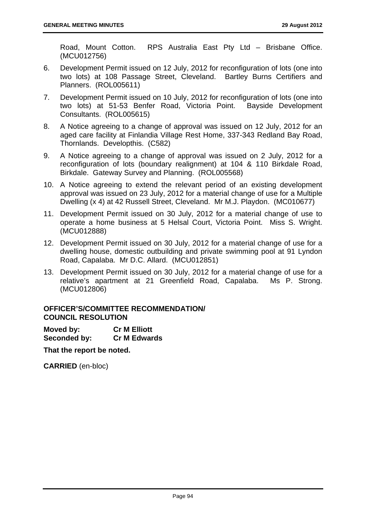Road, Mount Cotton. RPS Australia East Pty Ltd – Brisbane Office. (MCU012756)

- 6. Development Permit issued on 12 July, 2012 for reconfiguration of lots (one into two lots) at 108 Passage Street, Cleveland. Bartley Burns Certifiers and Planners. (ROL005611)
- 7. Development Permit issued on 10 July, 2012 for reconfiguration of lots (one into two lots) at 51-53 Benfer Road, Victoria Point. Bayside Development Consultants. (ROL005615)
- 8. A Notice agreeing to a change of approval was issued on 12 July, 2012 for an aged care facility at Finlandia Village Rest Home, 337-343 Redland Bay Road, Thornlands. Developthis. (C582)
- 9. A Notice agreeing to a change of approval was issued on 2 July, 2012 for a reconfiguration of lots (boundary realignment) at 104 & 110 Birkdale Road, Birkdale. Gateway Survey and Planning. (ROL005568)
- 10. A Notice agreeing to extend the relevant period of an existing development approval was issued on 23 July, 2012 for a material change of use for a Multiple Dwelling (x 4) at 42 Russell Street, Cleveland. Mr M.J. Playdon. (MC010677)
- 11. Development Permit issued on 30 July, 2012 for a material change of use to operate a home business at 5 Helsal Court, Victoria Point. Miss S. Wright. (MCU012888)
- 12. Development Permit issued on 30 July, 2012 for a material change of use for a dwelling house, domestic outbuilding and private swimming pool at 91 Lyndon Road, Capalaba. Mr D.C. Allard. (MCU012851)
- 13. Development Permit issued on 30 July, 2012 for a material change of use for a relative's apartment at 21 Greenfield Road, Capalaba. Ms P. Strong. (MCU012806)

## **OFFICER'S/COMMITTEE RECOMMENDATION/ COUNCIL RESOLUTION**

| Moved by:           | <b>Cr M Elliott</b> |
|---------------------|---------------------|
| <b>Seconded by:</b> | <b>Cr M Edwards</b> |

**That the report be noted.**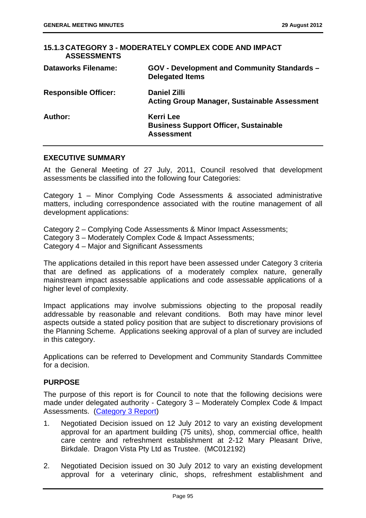| <b>ASSESSMENTS</b>          | 15.1.3 CATEGORY 3 - MODERATELY COMPLEX CODE AND IMPACT                                |
|-----------------------------|---------------------------------------------------------------------------------------|
| <b>Dataworks Filename:</b>  | <b>GOV - Development and Community Standards -</b><br><b>Delegated Items</b>          |
| <b>Responsible Officer:</b> | <b>Daniel Zilli</b><br><b>Acting Group Manager, Sustainable Assessment</b>            |
| Author:                     | <b>Kerri Lee</b><br><b>Business Support Officer, Sustainable</b><br><b>Assessment</b> |

#### **EXECUTIVE SUMMARY**

At the General Meeting of 27 July, 2011, Council resolved that development assessments be classified into the following four Categories:

Category 1 – Minor Complying Code Assessments & associated administrative matters, including correspondence associated with the routine management of all development applications:

Category 2 – Complying Code Assessments & Minor Impact Assessments; Category 3 – Moderately Complex Code & Impact Assessments; Category 4 – Major and Significant Assessments

The applications detailed in this report have been assessed under Category 3 criteria that are defined as applications of a moderately complex nature, generally mainstream impact assessable applications and code assessable applications of a higher level of complexity.

Impact applications may involve submissions objecting to the proposal readily addressable by reasonable and relevant conditions. Both may have minor level aspects outside a stated policy position that are subject to discretionary provisions of the Planning Scheme. Applications seeking approval of a plan of survey are included in this category.

Applications can be referred to Development and Community Standards Committee for a decision.

### **PURPOSE**

The purpose of this report is for Council to note that the following decisions were made under delegated authority - Category 3 – Moderately Complex Code & Impact Assessments. (Category 3 Report)

- 1. Negotiated Decision issued on 12 July 2012 to vary an existing development approval for an apartment building (75 units), shop, commercial office, health care centre and refreshment establishment at 2-12 Mary Pleasant Drive, Birkdale. Dragon Vista Pty Ltd as Trustee. (MC012192)
- 2. Negotiated Decision issued on 30 July 2012 to vary an existing development approval for a veterinary clinic, shops, refreshment establishment and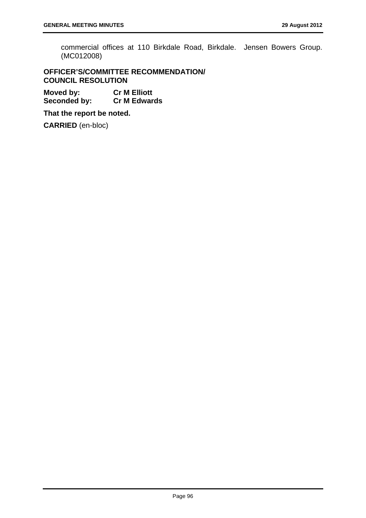commercial offices at 110 Birkdale Road, Birkdale. Jensen Bowers Group. (MC012008)

## **OFFICER'S/COMMITTEE RECOMMENDATION/ COUNCIL RESOLUTION**

**Moved by: Cr M Elliott Seconded by: Cr M Edwards** 

**That the report be noted.**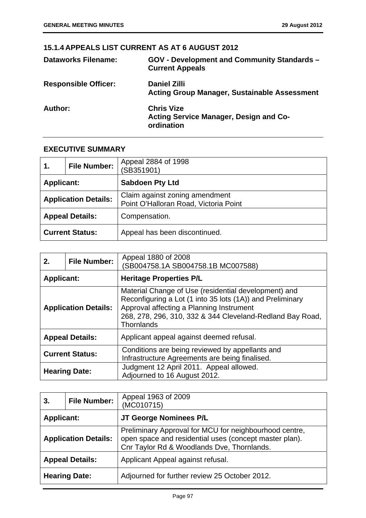# **15.1.4 APPEALS LIST CURRENT AS AT 6 AUGUST 2012**

| <b>Dataworks Filename:</b>  | GOV - Development and Community Standards -<br><b>Current Appeals</b>      |
|-----------------------------|----------------------------------------------------------------------------|
| <b>Responsible Officer:</b> | <b>Daniel Zilli</b><br><b>Acting Group Manager, Sustainable Assessment</b> |
| Author:                     | <b>Chris Vize</b><br>Acting Service Manager, Design and Co-<br>ordination  |

### **EXECUTIVE SUMMARY**

| 1.                | <b>File Number:</b>         | Appeal 2884 of 1998<br>(SB351901)                                       |
|-------------------|-----------------------------|-------------------------------------------------------------------------|
| <b>Applicant:</b> |                             | <b>Sabdoen Pty Ltd</b>                                                  |
|                   | <b>Application Details:</b> | Claim against zoning amendment<br>Point O'Halloran Road, Victoria Point |
|                   | <b>Appeal Details:</b>      | Compensation.                                                           |
|                   | <b>Current Status:</b>      | Appeal has been discontinued.                                           |

| 2.                | <b>File Number:</b>         | Appeal 1880 of 2008<br>SB004758.1A SB004758.1B MC007588)                                                                                                                                                                                 |
|-------------------|-----------------------------|------------------------------------------------------------------------------------------------------------------------------------------------------------------------------------------------------------------------------------------|
| <b>Applicant:</b> |                             | <b>Heritage Properties P/L</b>                                                                                                                                                                                                           |
|                   | <b>Application Details:</b> | Material Change of Use (residential development) and<br>Reconfiguring a Lot (1 into 35 lots (1A)) and Preliminary<br>Approval affecting a Planning Instrument<br>268, 278, 296, 310, 332 & 344 Cleveland-Redland Bay Road,<br>Thornlands |
|                   | <b>Appeal Details:</b>      | Applicant appeal against deemed refusal.                                                                                                                                                                                                 |
|                   | <b>Current Status:</b>      | Conditions are being reviewed by appellants and<br>Infrastructure Agreements are being finalised.                                                                                                                                        |
|                   | <b>Hearing Date:</b>        | Judgment 12 April 2011. Appeal allowed.<br>Adjourned to 16 August 2012.                                                                                                                                                                  |

| 3.                | <b>File Number:</b>         | Appeal 1963 of 2009<br>(MC010715)                                                                                                                              |
|-------------------|-----------------------------|----------------------------------------------------------------------------------------------------------------------------------------------------------------|
| <b>Applicant:</b> |                             | JT George Nominees P/L                                                                                                                                         |
|                   | <b>Application Details:</b> | Preliminary Approval for MCU for neighbourhood centre,<br>open space and residential uses (concept master plan).<br>Cnr Taylor Rd & Woodlands Dve, Thornlands. |
|                   | <b>Appeal Details:</b>      | Applicant Appeal against refusal.                                                                                                                              |
|                   | <b>Hearing Date:</b>        | Adjourned for further review 25 October 2012.                                                                                                                  |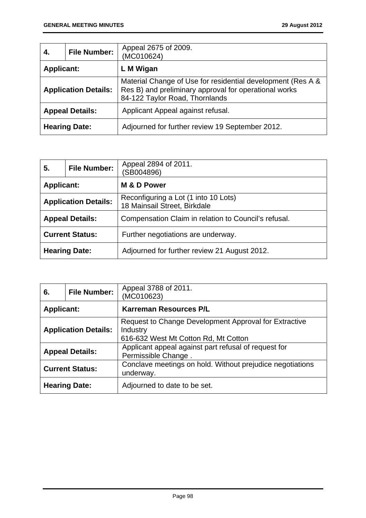| 4.                | <b>File Number:</b>         | Appeal 2675 of 2009.<br>(MC010624)                                                                                                                     |
|-------------------|-----------------------------|--------------------------------------------------------------------------------------------------------------------------------------------------------|
| <b>Applicant:</b> |                             | L M Wigan                                                                                                                                              |
|                   | <b>Application Details:</b> | Material Change of Use for residential development (Res A &<br>Res B) and preliminary approval for operational works<br>84-122 Taylor Road, Thornlands |
|                   | <b>Appeal Details:</b>      | Applicant Appeal against refusal.                                                                                                                      |
|                   | <b>Hearing Date:</b>        | Adjourned for further review 19 September 2012.                                                                                                        |

| 5.                | <b>File Number:</b>         | Appeal 2894 of 2011.<br>(SB004896)                                   |
|-------------------|-----------------------------|----------------------------------------------------------------------|
| <b>Applicant:</b> |                             | M & D Power                                                          |
|                   | <b>Application Details:</b> | Reconfiguring a Lot (1 into 10 Lots)<br>18 Mainsail Street, Birkdale |
|                   | <b>Appeal Details:</b>      | Compensation Claim in relation to Council's refusal.                 |
|                   | <b>Current Status:</b>      | Further negotiations are underway.                                   |
|                   | <b>Hearing Date:</b>        | Adjourned for further review 21 August 2012.                         |

| 6.                | <b>File Number:</b>         | Appeal 3788 of 2011.<br>(MC010623)                                                                        |
|-------------------|-----------------------------|-----------------------------------------------------------------------------------------------------------|
| <b>Applicant:</b> |                             | <b>Karreman Resources P/L</b>                                                                             |
|                   | <b>Application Details:</b> | Request to Change Development Approval for Extractive<br>Industry<br>616-632 West Mt Cotton Rd, Mt Cotton |
|                   | <b>Appeal Details:</b>      | Applicant appeal against part refusal of request for<br>Permissible Change.                               |
|                   | <b>Current Status:</b>      | Conclave meetings on hold. Without prejudice negotiations<br>underway.                                    |
|                   | <b>Hearing Date:</b>        | Adjourned to date to be set.                                                                              |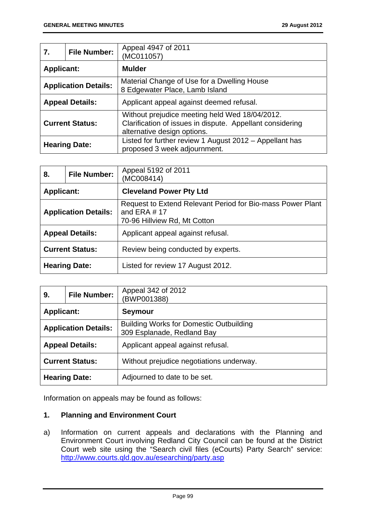| 7.                | <b>File Number:</b>         | Appeal 4947 of 2011                                                                                                                        |
|-------------------|-----------------------------|--------------------------------------------------------------------------------------------------------------------------------------------|
|                   |                             | (MC011057)                                                                                                                                 |
| <b>Applicant:</b> |                             | <b>Mulder</b>                                                                                                                              |
|                   | <b>Application Details:</b> | Material Change of Use for a Dwelling House<br>8 Edgewater Place, Lamb Island                                                              |
|                   | <b>Appeal Details:</b>      | Applicant appeal against deemed refusal.                                                                                                   |
|                   | <b>Current Status:</b>      | Without prejudice meeting held Wed 18/04/2012.<br>Clarification of issues in dispute. Appellant considering<br>alternative design options. |
|                   | <b>Hearing Date:</b>        | Listed for further review 1 August 2012 - Appellant has<br>proposed 3 week adjournment.                                                    |

| 8.                     | <b>File Number:</b>         | Appeal 5192 of 2011<br>(MC008414)                                                                            |
|------------------------|-----------------------------|--------------------------------------------------------------------------------------------------------------|
| <b>Applicant:</b>      |                             | <b>Cleveland Power Pty Ltd</b>                                                                               |
|                        | <b>Application Details:</b> | Request to Extend Relevant Period for Bio-mass Power Plant<br>and ERA $#$ 17<br>70-96 Hillview Rd, Mt Cotton |
| <b>Appeal Details:</b> |                             | Applicant appeal against refusal.                                                                            |
|                        | <b>Current Status:</b>      | Review being conducted by experts.                                                                           |
| <b>Hearing Date:</b>   |                             | Listed for review 17 August 2012.                                                                            |

| 9.                          | <b>File Number:</b> | Appeal 342 of 2012<br>(BWP001388)                                            |
|-----------------------------|---------------------|------------------------------------------------------------------------------|
| <b>Applicant:</b>           |                     | <b>Seymour</b>                                                               |
| <b>Application Details:</b> |                     | <b>Building Works for Domestic Outbuilding</b><br>309 Esplanade, Redland Bay |
| <b>Appeal Details:</b>      |                     | Applicant appeal against refusal.                                            |
| <b>Current Status:</b>      |                     | Without prejudice negotiations underway.                                     |
| <b>Hearing Date:</b>        |                     | Adjourned to date to be set.                                                 |

Information on appeals may be found as follows:

## **1. Planning and Environment Court**

a) Information on current appeals and declarations with the Planning and Environment Court involving Redland City Council can be found at the District Court web site using the "Search civil files (eCourts) Party Search" service: http://www.courts.qld.gov.au/esearching/party.asp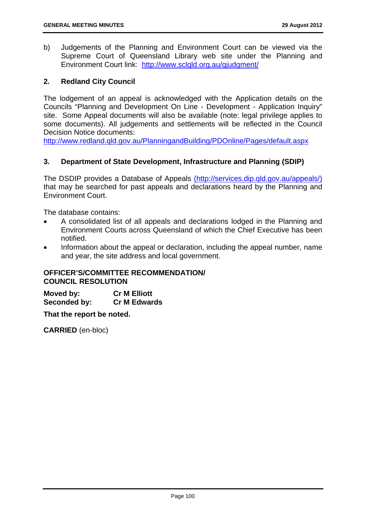b) Judgements of the Planning and Environment Court can be viewed via the Supreme Court of Queensland Library web site under the Planning and Environment Court link: http://www.sclqld.org.au/qjudgment/

### **2. Redland City Council**

The lodgement of an appeal is acknowledged with the Application details on the Councils "Planning and Development On Line - Development - Application Inquiry" site. Some Appeal documents will also be available (note: legal privilege applies to some documents). All judgements and settlements will be reflected in the Council Decision Notice documents:

http://www.redland.qld.gov.au/PlanningandBuilding/PDOnline/Pages/default.aspx

### **3. Department of State Development, Infrastructure and Planning (SDIP)**

The DSDIP provides a Database of Appeals (http://services.dip.qld.gov.au/appeals/) that may be searched for past appeals and declarations heard by the Planning and Environment Court.

The database contains:

- A consolidated list of all appeals and declarations lodged in the Planning and Environment Courts across Queensland of which the Chief Executive has been notified.
- Information about the appeal or declaration, including the appeal number, name and year, the site address and local government.

## **OFFICER'S/COMMITTEE RECOMMENDATION/ COUNCIL RESOLUTION**

**Moved by: Cr M Elliott Seconded by: Cr M Edwards** 

**That the report be noted.**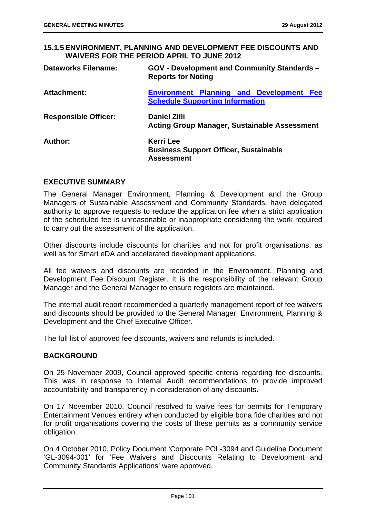## **15.1.5 ENVIRONMENT, PLANNING AND DEVELOPMENT FEE DISCOUNTS AND WAIVERS FOR THE PERIOD APRIL TO JUNE 2012**

| <b>Dataworks Filename:</b>  | <b>GOV - Development and Community Standards -</b><br><b>Reports for Noting</b>           |  |  |
|-----------------------------|-------------------------------------------------------------------------------------------|--|--|
| <b>Attachment:</b>          | <b>Environment Planning and Development Fee</b><br><b>Schedule Supporting Information</b> |  |  |
| <b>Responsible Officer:</b> | <b>Daniel Zilli</b><br><b>Acting Group Manager, Sustainable Assessment</b>                |  |  |
| Author:                     | <b>Kerri Lee</b><br><b>Business Support Officer, Sustainable</b><br><b>Assessment</b>     |  |  |

## **EXECUTIVE SUMMARY**

The General Manager Environment, Planning & Development and the Group Managers of Sustainable Assessment and Community Standards, have delegated authority to approve requests to reduce the application fee when a strict application of the scheduled fee is unreasonable or inappropriate considering the work required to carry out the assessment of the application.

Other discounts include discounts for charities and not for profit organisations, as well as for Smart eDA and accelerated development applications.

All fee waivers and discounts are recorded in the Environment, Planning and Development Fee Discount Register. It is the responsibility of the relevant Group Manager and the General Manager to ensure registers are maintained.

The internal audit report recommended a quarterly management report of fee waivers and discounts should be provided to the General Manager, Environment, Planning & Development and the Chief Executive Officer.

The full list of approved fee discounts, waivers and refunds is included.

### **BACKGROUND**

On 25 November 2009, Council approved specific criteria regarding fee discounts. This was in response to Internal Audit recommendations to provide improved accountability and transparency in consideration of any discounts.

On 17 November 2010, Council resolved to waive fees for permits for Temporary Entertainment Venues entirely when conducted by eligible bona fide charities and not for profit organisations covering the costs of these permits as a community service obligation.

On 4 October 2010, Policy Document 'Corporate POL-3094 and Guideline Document 'GL-3094-001' for 'Fee Waivers and Discounts Relating to Development and Community Standards Applications' were approved.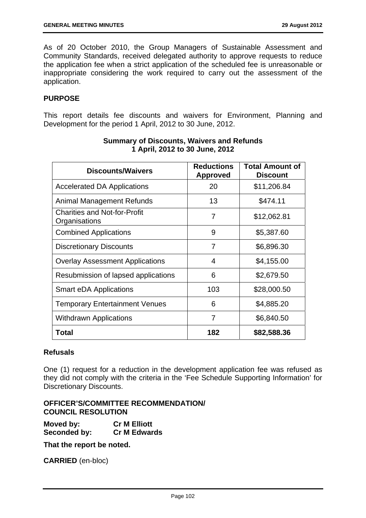As of 20 October 2010, the Group Managers of Sustainable Assessment and Community Standards, received delegated authority to approve requests to reduce the application fee when a strict application of the scheduled fee is unreasonable or inappropriate considering the work required to carry out the assessment of the application.

## **PURPOSE**

This report details fee discounts and waivers for Environment, Planning and Development for the period 1 April, 2012 to 30 June, 2012.

| <b>Discounts/Waivers</b>                             | <b>Reductions</b><br><b>Approved</b> | <b>Total Amount of</b><br><b>Discount</b> |
|------------------------------------------------------|--------------------------------------|-------------------------------------------|
| <b>Accelerated DA Applications</b>                   | 20                                   | \$11,206.84                               |
| Animal Management Refunds                            | 13                                   | \$474.11                                  |
| <b>Charities and Not-for-Profit</b><br>Organisations | 7                                    | \$12,062.81                               |
| <b>Combined Applications</b>                         | 9                                    | \$5,387.60                                |
| <b>Discretionary Discounts</b>                       | 7                                    | \$6,896.30                                |
| <b>Overlay Assessment Applications</b>               | 4                                    | \$4,155.00                                |
| Resubmission of lapsed applications                  | 6                                    | \$2,679.50                                |
| <b>Smart eDA Applications</b>                        | 103                                  | \$28,000.50                               |
| <b>Temporary Entertainment Venues</b>                | 6                                    | \$4,885.20                                |
| <b>Withdrawn Applications</b>                        | 7                                    | \$6,840.50                                |
| Total                                                | 182                                  | \$82,588.36                               |

## **Summary of Discounts, Waivers and Refunds 1 April, 2012 to 30 June, 2012**

### **Refusals**

One (1) request for a reduction in the development application fee was refused as they did not comply with the criteria in the 'Fee Schedule Supporting Information' for Discretionary Discounts.

## **OFFICER'S/COMMITTEE RECOMMENDATION/ COUNCIL RESOLUTION**

**Moved by: Cr M Elliott Seconded by: Cr M Edwards** 

**That the report be noted.**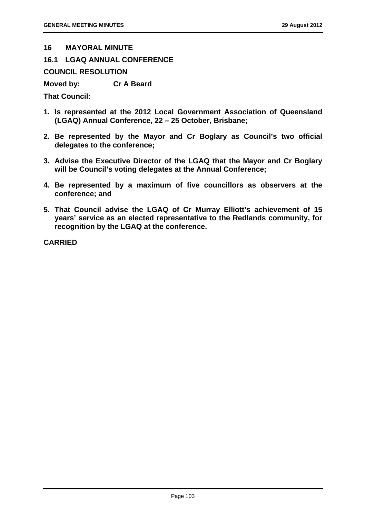#### **16 MAYORAL MINUTE**

**16.1 LGAQ ANNUAL CONFERENCE** 

**COUNCIL RESOLUTION** 

**Moved by: Cr A Beard** 

**That Council:** 

- **1. Is represented at the 2012 Local Government Association of Queensland (LGAQ) Annual Conference, 22 – 25 October, Brisbane;**
- **2. Be represented by the Mayor and Cr Boglary as Council's two official delegates to the conference;**
- **3. Advise the Executive Director of the LGAQ that the Mayor and Cr Boglary will be Council's voting delegates at the Annual Conference;**
- **4. Be represented by a maximum of five councillors as observers at the conference; and**
- **5. That Council advise the LGAQ of Cr Murray Elliott's achievement of 15 years' service as an elected representative to the Redlands community, for recognition by the LGAQ at the conference.**

**CARRIED**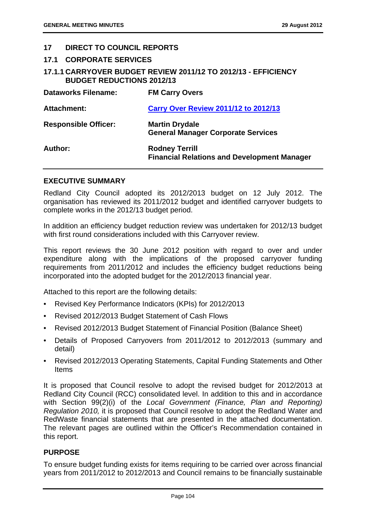### **17 DIRECT TO COUNCIL REPORTS**

### **17.1 CORPORATE SERVICES**

## **17.1.1 CARRYOVER BUDGET REVIEW 2011/12 TO 2012/13 - EFFICIENCY BUDGET REDUCTIONS 2012/13**

| <b>Dataworks Filename:</b>  | <b>FM Carry Overs</b>                                                       |
|-----------------------------|-----------------------------------------------------------------------------|
| <b>Attachment:</b>          | <b>Carry Over Review 2011/12 to 2012/13</b>                                 |
| <b>Responsible Officer:</b> | <b>Martin Drydale</b><br><b>General Manager Corporate Services</b>          |
| Author:                     | <b>Rodney Terrill</b><br><b>Financial Relations and Development Manager</b> |

### **EXECUTIVE SUMMARY**

Redland City Council adopted its 2012/2013 budget on 12 July 2012. The organisation has reviewed its 2011/2012 budget and identified carryover budgets to complete works in the 2012/13 budget period.

In addition an efficiency budget reduction review was undertaken for 2012/13 budget with first round considerations included with this Carryover review.

This report reviews the 30 June 2012 position with regard to over and under expenditure along with the implications of the proposed carryover funding requirements from 2011/2012 and includes the efficiency budget reductions being incorporated into the adopted budget for the 2012/2013 financial year.

Attached to this report are the following details:

- Revised Key Performance Indicators (KPIs) for 2012/2013
- Revised 2012/2013 Budget Statement of Cash Flows
- Revised 2012/2013 Budget Statement of Financial Position (Balance Sheet)
- Details of Proposed Carryovers from 2011/2012 to 2012/2013 (summary and detail)
- Revised 2012/2013 Operating Statements, Capital Funding Statements and Other Items

It is proposed that Council resolve to adopt the revised budget for 2012/2013 at Redland City Council (RCC) consolidated level. In addition to this and in accordance with Section 99(2)(i) of the *Local Government (Finance, Plan and Reporting) Regulation 2010,* it is proposed that Council resolve to adopt the Redland Water and RedWaste financial statements that are presented in the attached documentation. The relevant pages are outlined within the Officer's Recommendation contained in this report.

### **PURPOSE**

To ensure budget funding exists for items requiring to be carried over across financial years from 2011/2012 to 2012/2013 and Council remains to be financially sustainable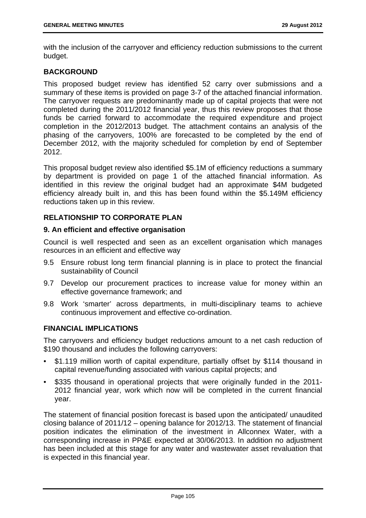with the inclusion of the carryover and efficiency reduction submissions to the current budget.

## **BACKGROUND**

This proposed budget review has identified 52 carry over submissions and a summary of these items is provided on page 3-7 of the attached financial information. The carryover requests are predominantly made up of capital projects that were not completed during the 2011/2012 financial year, thus this review proposes that those funds be carried forward to accommodate the required expenditure and project completion in the 2012/2013 budget. The attachment contains an analysis of the phasing of the carryovers, 100% are forecasted to be completed by the end of December 2012, with the majority scheduled for completion by end of September 2012.

This proposal budget review also identified \$5.1M of efficiency reductions a summary by department is provided on page 1 of the attached financial information. As identified in this review the original budget had an approximate \$4M budgeted efficiency already built in, and this has been found within the \$5.149M efficiency reductions taken up in this review.

## **RELATIONSHIP TO CORPORATE PLAN**

### **9. An efficient and effective organisation**

Council is well respected and seen as an excellent organisation which manages resources in an efficient and effective way

- 9.5 Ensure robust long term financial planning is in place to protect the financial sustainability of Council
- 9.7 Develop our procurement practices to increase value for money within an effective governance framework; and
- 9.8 Work 'smarter' across departments, in multi-disciplinary teams to achieve continuous improvement and effective co-ordination.

### **FINANCIAL IMPLICATIONS**

The carryovers and efficiency budget reductions amount to a net cash reduction of \$190 thousand and includes the following carryovers:

- \$1.119 million worth of capital expenditure, partially offset by \$114 thousand in capital revenue/funding associated with various capital projects; and
- \$335 thousand in operational projects that were originally funded in the 2011-2012 financial year, work which now will be completed in the current financial year.

The statement of financial position forecast is based upon the anticipated/ unaudited closing balance of 2011/12 – opening balance for 2012/13. The statement of financial position indicates the elimination of the investment in Allconnex Water, with a corresponding increase in PP&E expected at 30/06/2013. In addition no adjustment has been included at this stage for any water and wastewater asset revaluation that is expected in this financial year.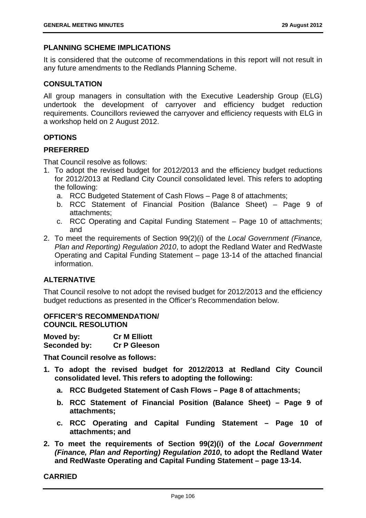## **PLANNING SCHEME IMPLICATIONS**

It is considered that the outcome of recommendations in this report will not result in any future amendments to the Redlands Planning Scheme.

### **CONSULTATION**

All group managers in consultation with the Executive Leadership Group (ELG) undertook the development of carryover and efficiency budget reduction requirements. Councillors reviewed the carryover and efficiency requests with ELG in a workshop held on 2 August 2012.

## **OPTIONS**

### **PREFERRED**

That Council resolve as follows:

- 1. To adopt the revised budget for 2012/2013 and the efficiency budget reductions for 2012/2013 at Redland City Council consolidated level. This refers to adopting the following:
	- a. RCC Budgeted Statement of Cash Flows Page 8 of attachments;
	- b. RCC Statement of Financial Position (Balance Sheet) Page 9 of attachments;
	- c. RCC Operating and Capital Funding Statement Page 10 of attachments; and
- 2. To meet the requirements of Section 99(2)(i) of the *Local Government (Finance, Plan and Reporting) Regulation 2010*, to adopt the Redland Water and RedWaste Operating and Capital Funding Statement – page 13-14 of the attached financial information.

# **ALTERNATIVE**

That Council resolve to not adopt the revised budget for 2012/2013 and the efficiency budget reductions as presented in the Officer's Recommendation below.

### **OFFICER'S RECOMMENDATION/ COUNCIL RESOLUTION**

**Moved by: Cr M Elliott Seconded by: Cr P Gleeson** 

**That Council resolve as follows:** 

- **1. To adopt the revised budget for 2012/2013 at Redland City Council consolidated level. This refers to adopting the following:** 
	- **a. RCC Budgeted Statement of Cash Flows Page 8 of attachments;**
	- **b. RCC Statement of Financial Position (Balance Sheet) Page 9 of attachments;**
	- **c. RCC Operating and Capital Funding Statement Page 10 of attachments; and**
- **2. To meet the requirements of Section 99(2)(i) of the** *Local Government (Finance, Plan and Reporting) Regulation 2010***, to adopt the Redland Water and RedWaste Operating and Capital Funding Statement – page 13-14.**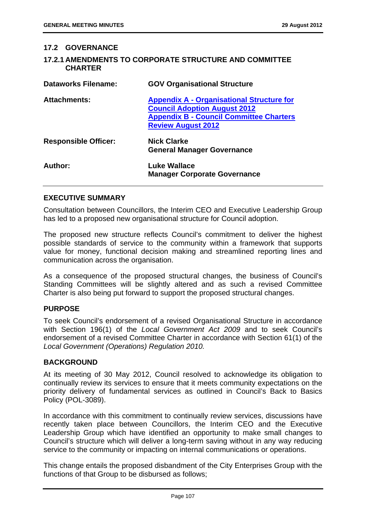### **17.2 GOVERNANCE**

### **17.2.1 AMENDMENTS TO CORPORATE STRUCTURE AND COMMITTEE CHARTER**

| <b>Dataworks Filename:</b>  | <b>GOV Organisational Structure</b>                                                                                                                                    |
|-----------------------------|------------------------------------------------------------------------------------------------------------------------------------------------------------------------|
| <b>Attachments:</b>         | <b>Appendix A - Organisational Structure for</b><br><b>Council Adoption August 2012</b><br><b>Appendix B - Council Committee Charters</b><br><b>Review August 2012</b> |
| <b>Responsible Officer:</b> | <b>Nick Clarke</b><br><b>General Manager Governance</b>                                                                                                                |
| Author:                     | Luke Wallace<br><b>Manager Corporate Governance</b>                                                                                                                    |

### **EXECUTIVE SUMMARY**

Consultation between Councillors, the Interim CEO and Executive Leadership Group has led to a proposed new organisational structure for Council adoption.

The proposed new structure reflects Council's commitment to deliver the highest possible standards of service to the community within a framework that supports value for money, functional decision making and streamlined reporting lines and communication across the organisation.

As a consequence of the proposed structural changes, the business of Council's Standing Committees will be slightly altered and as such a revised Committee Charter is also being put forward to support the proposed structural changes.

### **PURPOSE**

To seek Council's endorsement of a revised Organisational Structure in accordance with Section 196(1) of the *Local Government Act 2009* and to seek Council's endorsement of a revised Committee Charter in accordance with Section 61(1) of the *Local Government (Operations) Regulation 2010.* 

### **BACKGROUND**

At its meeting of 30 May 2012, Council resolved to acknowledge its obligation to continually review its services to ensure that it meets community expectations on the priority delivery of fundamental services as outlined in Council's Back to Basics Policy (POL-3089).

In accordance with this commitment to continually review services, discussions have recently taken place between Councillors, the Interim CEO and the Executive Leadership Group which have identified an opportunity to make small changes to Council's structure which will deliver a long-term saving without in any way reducing service to the community or impacting on internal communications or operations.

This change entails the proposed disbandment of the City Enterprises Group with the functions of that Group to be disbursed as follows;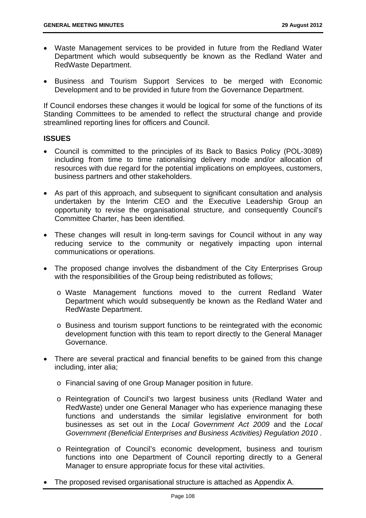- Waste Management services to be provided in future from the Redland Water Department which would subsequently be known as the Redland Water and RedWaste Department.
- Business and Tourism Support Services to be merged with Economic Development and to be provided in future from the Governance Department.

If Council endorses these changes it would be logical for some of the functions of its Standing Committees to be amended to reflect the structural change and provide streamlined reporting lines for officers and Council.

## **ISSUES**

- Council is committed to the principles of its Back to Basics Policy (POL-3089) including from time to time rationalising delivery mode and/or allocation of resources with due regard for the potential implications on employees, customers, business partners and other stakeholders.
- As part of this approach, and subsequent to significant consultation and analysis undertaken by the Interim CEO and the Executive Leadership Group an opportunity to revise the organisational structure, and consequently Council's Committee Charter, has been identified.
- These changes will result in long-term savings for Council without in any way reducing service to the community or negatively impacting upon internal communications or operations.
- The proposed change involves the disbandment of the City Enterprises Group with the responsibilities of the Group being redistributed as follows;
	- o Waste Management functions moved to the current Redland Water Department which would subsequently be known as the Redland Water and RedWaste Department.
	- o Business and tourism support functions to be reintegrated with the economic development function with this team to report directly to the General Manager Governance.
- There are several practical and financial benefits to be gained from this change including, inter alia;
	- o Financial saving of one Group Manager position in future.
	- o Reintegration of Council's two largest business units (Redland Water and RedWaste) under one General Manager who has experience managing these functions and understands the similar legislative environment for both businesses as set out in the *Local Government Act 2009* and the *Local Government (Beneficial Enterprises and Business Activities) Regulation 2010* .
	- o Reintegration of Council's economic development, business and tourism functions into one Department of Council reporting directly to a General Manager to ensure appropriate focus for these vital activities.
- The proposed revised organisational structure is attached as Appendix A.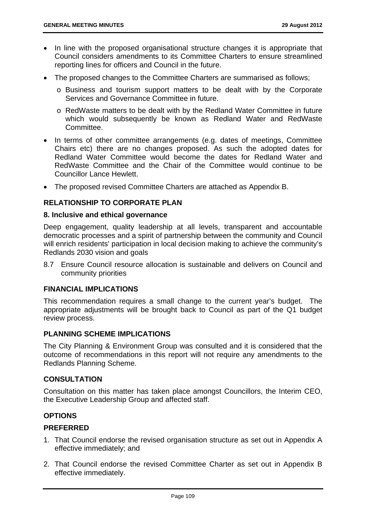- In line with the proposed organisational structure changes it is appropriate that Council considers amendments to its Committee Charters to ensure streamlined reporting lines for officers and Council in the future.
- The proposed changes to the Committee Charters are summarised as follows;
	- o Business and tourism support matters to be dealt with by the Corporate Services and Governance Committee in future.
	- o RedWaste matters to be dealt with by the Redland Water Committee in future which would subsequently be known as Redland Water and RedWaste Committee.
- In terms of other committee arrangements (e.g. dates of meetings, Committee Chairs etc) there are no changes proposed. As such the adopted dates for Redland Water Committee would become the dates for Redland Water and RedWaste Committee and the Chair of the Committee would continue to be Councillor Lance Hewlett.
- The proposed revised Committee Charters are attached as Appendix B.

# **RELATIONSHIP TO CORPORATE PLAN**

### **8. Inclusive and ethical governance**

Deep engagement, quality leadership at all levels, transparent and accountable democratic processes and a spirit of partnership between the community and Council will enrich residents' participation in local decision making to achieve the community's Redlands 2030 vision and goals

8.7 Ensure Council resource allocation is sustainable and delivers on Council and community priorities

### **FINANCIAL IMPLICATIONS**

This recommendation requires a small change to the current year's budget. The appropriate adjustments will be brought back to Council as part of the Q1 budget review process.

# **PLANNING SCHEME IMPLICATIONS**

The City Planning & Environment Group was consulted and it is considered that the outcome of recommendations in this report will not require any amendments to the Redlands Planning Scheme.

### **CONSULTATION**

Consultation on this matter has taken place amongst Councillors, the Interim CEO, the Executive Leadership Group and affected staff.

### **OPTIONS**

## **PREFERRED**

- 1. That Council endorse the revised organisation structure as set out in Appendix A effective immediately; and
- 2. That Council endorse the revised Committee Charter as set out in Appendix B effective immediately.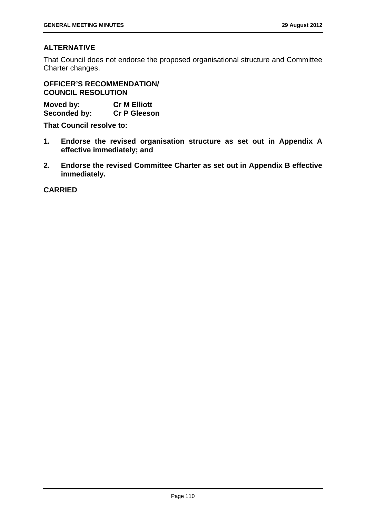# **ALTERNATIVE**

That Council does not endorse the proposed organisational structure and Committee Charter changes.

**OFFICER'S RECOMMENDATION/ COUNCIL RESOLUTION** 

| Moved by:    | <b>Cr M Elliott</b> |
|--------------|---------------------|
| Seconded by: | <b>Cr P Gleeson</b> |

**That Council resolve to:** 

- **1. Endorse the revised organisation structure as set out in Appendix A effective immediately; and**
- **2. Endorse the revised Committee Charter as set out in Appendix B effective immediately.**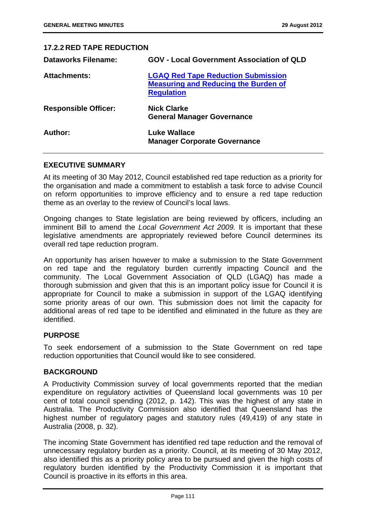| <b>17.2.2 RED TAPE REDUCTION</b> |                                                                                                               |
|----------------------------------|---------------------------------------------------------------------------------------------------------------|
| <b>Dataworks Filename:</b>       | <b>GOV - Local Government Association of QLD</b>                                                              |
| <b>Attachments:</b>              | <b>LGAQ Red Tape Reduction Submission</b><br><b>Measuring and Reducing the Burden of</b><br><b>Regulation</b> |
| <b>Responsible Officer:</b>      | <b>Nick Clarke</b><br><b>General Manager Governance</b>                                                       |
| Author:                          | Luke Wallace<br><b>Manager Corporate Governance</b>                                                           |

### **EXECUTIVE SUMMARY**

At its meeting of 30 May 2012, Council established red tape reduction as a priority for the organisation and made a commitment to establish a task force to advise Council on reform opportunities to improve efficiency and to ensure a red tape reduction theme as an overlay to the review of Council's local laws.

Ongoing changes to State legislation are being reviewed by officers, including an imminent Bill to amend the *Local Government Act 2009.* It is important that these legislative amendments are appropriately reviewed before Council determines its overall red tape reduction program.

An opportunity has arisen however to make a submission to the State Government on red tape and the regulatory burden currently impacting Council and the community. The Local Government Association of QLD (LGAQ) has made a thorough submission and given that this is an important policy issue for Council it is appropriate for Council to make a submission in support of the LGAQ identifying some priority areas of our own. This submission does not limit the capacity for additional areas of red tape to be identified and eliminated in the future as they are identified.

### **PURPOSE**

To seek endorsement of a submission to the State Government on red tape reduction opportunities that Council would like to see considered.

### **BACKGROUND**

A Productivity Commission survey of local governments reported that the median expenditure on regulatory activities of Queensland local governments was 10 per cent of total council spending (2012, p. 142). This was the highest of any state in Australia. The Productivity Commission also identified that Queensland has the highest number of regulatory pages and statutory rules (49,419) of any state in Australia (2008, p. 32).

The incoming State Government has identified red tape reduction and the removal of unnecessary regulatory burden as a priority. Council, at its meeting of 30 May 2012, also identified this as a priority policy area to be pursued and given the high costs of regulatory burden identified by the Productivity Commission it is important that Council is proactive in its efforts in this area.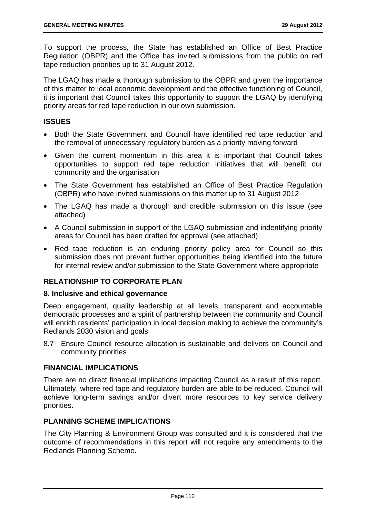To support the process, the State has established an Office of Best Practice Regulation (OBPR) and the Office has invited submissions from the public on red tape reduction priorities up to 31 August 2012.

The LGAQ has made a thorough submission to the OBPR and given the importance of this matter to local economic development and the effective functioning of Council, it is important that Council takes this opportunity to support the LGAQ by identifying priority areas for red tape reduction in our own submission.

# **ISSUES**

- Both the State Government and Council have identified red tape reduction and the removal of unnecessary regulatory burden as a priority moving forward
- Given the current momentum in this area it is important that Council takes opportunities to support red tape reduction initiatives that will benefit our community and the organisation
- The State Government has established an Office of Best Practice Regulation (OBPR) who have invited submissions on this matter up to 31 August 2012
- The LGAQ has made a thorough and credible submission on this issue (see attached)
- A Council submission in support of the LGAQ submission and indentifying priority areas for Council has been drafted for approval (see attached)
- Red tape reduction is an enduring priority policy area for Council so this submission does not prevent further opportunities being identified into the future for internal review and/or submission to the State Government where appropriate

# **RELATIONSHIP TO CORPORATE PLAN**

# **8. Inclusive and ethical governance**

Deep engagement, quality leadership at all levels, transparent and accountable democratic processes and a spirit of partnership between the community and Council will enrich residents' participation in local decision making to achieve the community's Redlands 2030 vision and goals

8.7 Ensure Council resource allocation is sustainable and delivers on Council and community priorities

### **FINANCIAL IMPLICATIONS**

There are no direct financial implications impacting Council as a result of this report. Ultimately, where red tape and regulatory burden are able to be reduced, Council will achieve long-term savings and/or divert more resources to key service delivery priorities.

# **PLANNING SCHEME IMPLICATIONS**

The City Planning & Environment Group was consulted and it is considered that the outcome of recommendations in this report will not require any amendments to the Redlands Planning Scheme.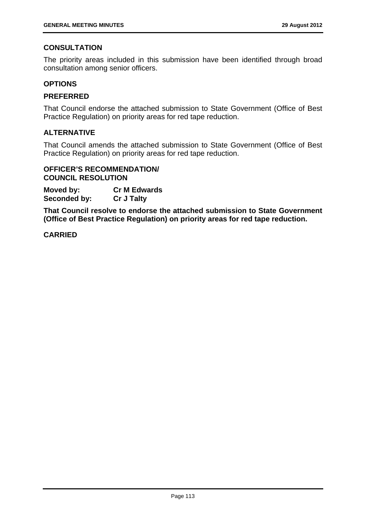# **CONSULTATION**

The priority areas included in this submission have been identified through broad consultation among senior officers.

### **OPTIONS**

## **PREFERRED**

That Council endorse the attached submission to State Government (Office of Best Practice Regulation) on priority areas for red tape reduction.

## **ALTERNATIVE**

That Council amends the attached submission to State Government (Office of Best Practice Regulation) on priority areas for red tape reduction.

### **OFFICER'S RECOMMENDATION/ COUNCIL RESOLUTION**

**Moved by: Cr M Edwards Seconded by: Cr J Talty** 

**That Council resolve to endorse the attached submission to State Government (Office of Best Practice Regulation) on priority areas for red tape reduction.**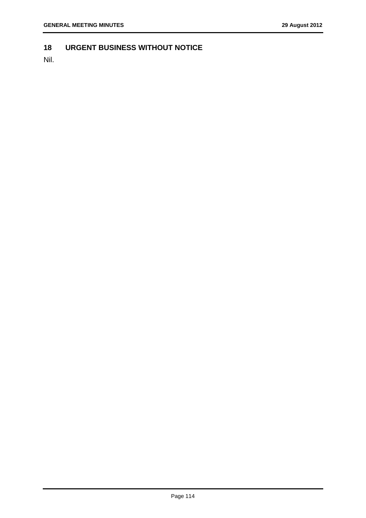# **18 URGENT BUSINESS WITHOUT NOTICE**

Nil.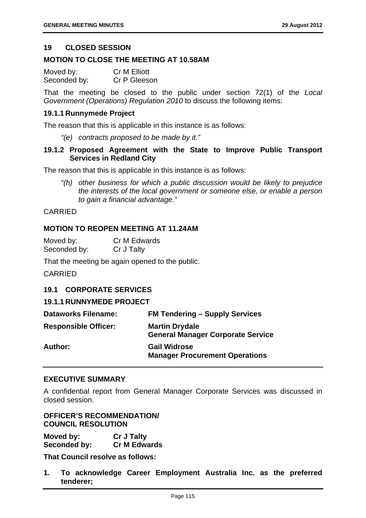### **19 CLOSED SESSION**

### **MOTION TO CLOSE THE MEETING AT 10.58AM**

| Moved by:    | <b>Cr M Elliott</b> |
|--------------|---------------------|
| Seconded by: | Cr P Gleeson        |

That the meeting be closed to the public under section 72(1) of the *Local Government (Operations) Regulation 2010* to discuss the following items:

### **19.1.1 Runnymede Project**

The reason that this is applicable in this instance is as follows:

*"(e) contracts proposed to be made by it."* 

# **19.1.2 Proposed Agreement with the State to Improve Public Transport Services in Redland City**

The reason that this is applicable in this instance is as follows:

*"(h) other business for which a public discussion would be likely to prejudice the interests of the local government or someone else, or enable a person to gain a financial advantage."* 

### CARRIED

### **MOTION TO REOPEN MEETING AT 11.24AM**

| Moved by:    | Cr M Edwards |
|--------------|--------------|
| Seconded by: | Cr J Talty   |

That the meeting be again opened to the public.

CARRIED

### **19.1 CORPORATE SERVICES**

### **19.1.1 RUNNYMEDE PROJECT**

| <b>Dataworks Filename:</b>  | <b>FM Tendering - Supply Services</b>                             |
|-----------------------------|-------------------------------------------------------------------|
| <b>Responsible Officer:</b> | <b>Martin Drydale</b><br><b>General Manager Corporate Service</b> |
| <b>Author:</b>              | <b>Gail Widrose</b><br><b>Manager Procurement Operations</b>      |

### **EXECUTIVE SUMMARY**

A confidential report from General Manager Corporate Services was discussed in closed session.

## **OFFICER'S RECOMMENDATION/ COUNCIL RESOLUTION**

**Moved by: Cr J Talty Seconded by: Cr M Edwards** 

**That Council resolve as follows:** 

**1. To acknowledge Career Employment Australia Inc. as the preferred tenderer;**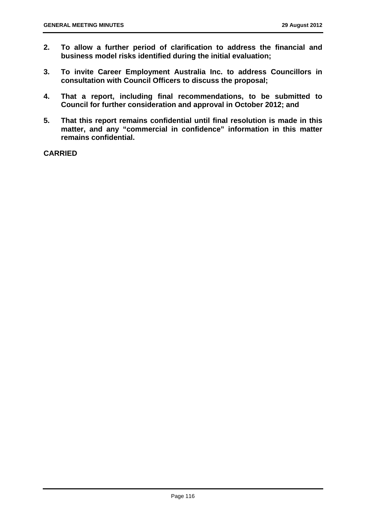- **2. To allow a further period of clarification to address the financial and business model risks identified during the initial evaluation;**
- **3. To invite Career Employment Australia Inc. to address Councillors in consultation with Council Officers to discuss the proposal;**
- **4. That a report, including final recommendations, to be submitted to Council for further consideration and approval in October 2012; and**
- **5. That this report remains confidential until final resolution is made in this matter, and any "commercial in confidence" information in this matter remains confidential.**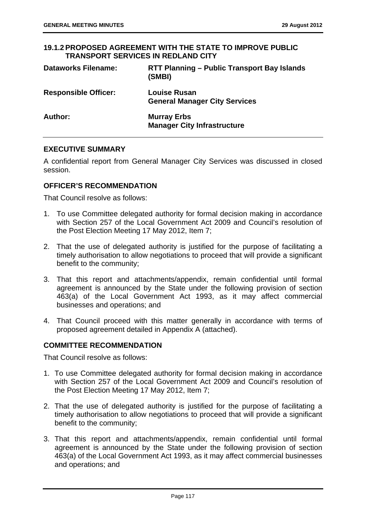### **19.1.2 PROPOSED AGREEMENT WITH THE STATE TO IMPROVE PUBLIC TRANSPORT SERVICES IN REDLAND CITY**

| <b>Dataworks Filename:</b>  | RTT Planning – Public Transport Bay Islands<br>(SMBI)       |
|-----------------------------|-------------------------------------------------------------|
| <b>Responsible Officer:</b> | <b>Louise Rusan</b><br><b>General Manager City Services</b> |
| Author:                     | <b>Murray Erbs</b><br><b>Manager City Infrastructure</b>    |

## **EXECUTIVE SUMMARY**

A confidential report from General Manager City Services was discussed in closed session.

# **OFFICER'S RECOMMENDATION**

That Council resolve as follows:

- 1. To use Committee delegated authority for formal decision making in accordance with Section 257 of the Local Government Act 2009 and Council's resolution of the Post Election Meeting 17 May 2012, Item 7;
- 2. That the use of delegated authority is justified for the purpose of facilitating a timely authorisation to allow negotiations to proceed that will provide a significant benefit to the community;
- 3. That this report and attachments/appendix, remain confidential until formal agreement is announced by the State under the following provision of section 463(a) of the Local Government Act 1993, as it may affect commercial businesses and operations; and
- 4. That Council proceed with this matter generally in accordance with terms of proposed agreement detailed in Appendix A (attached).

# **COMMITTEE RECOMMENDATION**

That Council resolve as follows:

- 1. To use Committee delegated authority for formal decision making in accordance with Section 257 of the Local Government Act 2009 and Council's resolution of the Post Election Meeting 17 May 2012, Item 7;
- 2. That the use of delegated authority is justified for the purpose of facilitating a timely authorisation to allow negotiations to proceed that will provide a significant benefit to the community;
- 3. That this report and attachments/appendix, remain confidential until formal agreement is announced by the State under the following provision of section 463(a) of the Local Government Act 1993, as it may affect commercial businesses and operations; and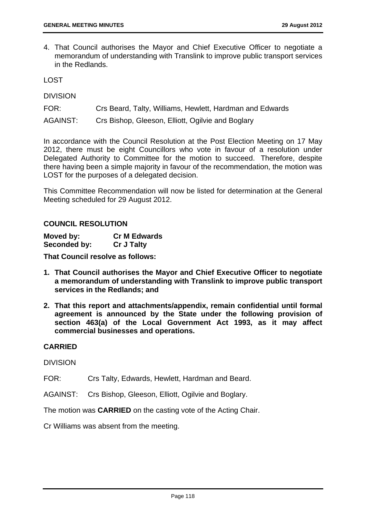4. That Council authorises the Mayor and Chief Executive Officer to negotiate a memorandum of understanding with Translink to improve public transport services in the Redlands.

LOST

DIVISION

FOR: Crs Beard, Talty, Williams, Hewlett, Hardman and Edwards

AGAINST: Crs Bishop, Gleeson, Elliott, Ogilvie and Boglary

In accordance with the Council Resolution at the Post Election Meeting on 17 May 2012, there must be eight Councillors who vote in favour of a resolution under Delegated Authority to Committee for the motion to succeed. Therefore, despite there having been a simple majority in favour of the recommendation, the motion was LOST for the purposes of a delegated decision.

This Committee Recommendation will now be listed for determination at the General Meeting scheduled for 29 August 2012.

## **COUNCIL RESOLUTION**

| Moved by:    | <b>Cr M Edwards</b> |
|--------------|---------------------|
| Seconded by: | <b>Cr J Talty</b>   |

**That Council resolve as follows:** 

- **1. That Council authorises the Mayor and Chief Executive Officer to negotiate a memorandum of understanding with Translink to improve public transport services in the Redlands; and**
- **2. That this report and attachments/appendix, remain confidential until formal agreement is announced by the State under the following provision of section 463(a) of the Local Government Act 1993, as it may affect commercial businesses and operations.**

# **CARRIED**

DIVISION

FOR: Crs Talty, Edwards, Hewlett, Hardman and Beard.

AGAINST: Crs Bishop, Gleeson, Elliott, Ogilvie and Boglary.

The motion was **CARRIED** on the casting vote of the Acting Chair.

Cr Williams was absent from the meeting.